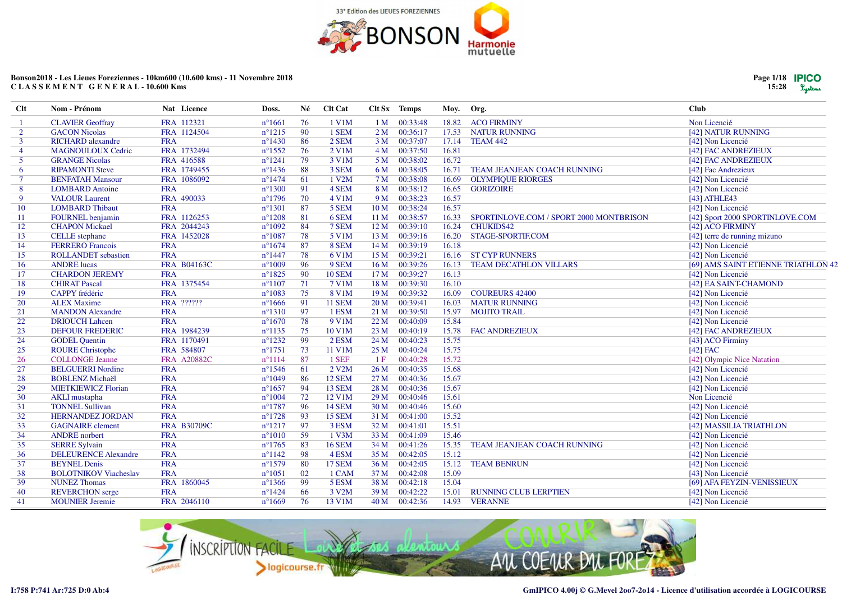

| Page 1/18 <b>PICO</b> |         |
|-----------------------|---------|
| 15:28                 | Lystems |

| FRA 112321<br>76<br>1 V1M<br>1 M 00:33:48<br>18.82<br><b>ACO FIRMINY</b><br>Non Licencié<br><b>CLAVIER Geoffray</b><br>$n^{\circ}1661$<br>FRA 1124504<br>90<br>1 SEM<br>00:36:17<br>$\overline{2}$<br><b>GACON Nicolas</b><br>$n^{\circ}1215$<br>2 <sub>M</sub><br>17.53<br><b>NATUR RUNNING</b><br>[42] NATUR RUNNING<br>86<br><b>RICHARD</b> alexandre<br><b>FRA</b><br>$n^{\circ}1430$<br>2 SEM<br>00:37:07<br>17.14<br>3<br>3 <sub>M</sub><br>TEAM 442<br>[42] Non Licencié<br>$n^{\circ}1552$<br>76<br>00:37:50<br>16.81<br><b>MAGNOULOUX Cedric</b><br>FRA 1732494<br>2 V1M<br>4 M<br>[42] FAC ANDREZIEUX<br>$\overline{4}$<br>16.72<br>5<br><b>GRANGE Nicolas</b><br>FRA 416588<br>$n^{\circ}1241$<br>79<br>3 V1M<br>5 M 00:38:02<br>[42] FAC ANDREZIEUX<br>88<br>3 SEM<br><b>RIPAMONTI Steve</b><br>FRA 1749455<br>$n^{\circ}$ 1436<br>6 M<br>00:38:05<br>16.71<br>TEAM JEANJEAN COACH RUNNING<br>[42] Fac Andrezieux<br>6<br>$\tau$<br><b>BENFATAH Mansour</b><br>FRA 1086092<br>$n^{\circ}1474$<br>61<br>1 V2M<br>00:38:08<br>7 M<br>16.69<br><b>OLYMPIOUE RIORGES</b><br>[42] Non Licencié<br><b>FRA</b><br>$n^{\circ}1300$<br>91<br>4 SEM<br>8 M<br>00:38:12<br>16.65<br><b>GORIZOIRE</b><br>[42] Non Licencié<br>8<br><b>LOMBARD</b> Antoine<br>FRA 490033<br>70<br>9<br><b>VALOUR Laurent</b><br>$n^{\circ}1796$<br>4 V1M<br>9 M 00:38:23<br>16.57<br>[43] ATHLE43<br><b>FRA</b><br>87<br>5 SEM<br>00:38:24<br>16.57<br>10<br><b>LOMBARD Thibaut</b><br>$n^{\circ}1301$<br>10 <sub>M</sub><br>[42] Non Licencié<br>81<br>FRA 1126253<br>$n^{\circ}1208$<br>6 SEM<br>00:38:57<br><b>FOURNEL</b> benjamin<br>11 <sub>M</sub><br>16.33<br>SPORTINLOVE.COM / SPORT 2000 MONTBRISON<br>[42] Sport 2000 SPORTINLOVE.COM<br>11<br>FRA 2044243<br>00:39:10<br><b>CHAPON Mickael</b><br>$n^{\circ}1092$<br>84<br>7 SEM<br>12 <sub>M</sub><br>16.24<br><b>CHUKIDS42</b><br>[42] ACO FIRMINY<br>12<br>FRA 1452028<br>78<br>13<br><b>CELLE</b> stephane<br>$n^{\circ}1087$<br>5 V1M<br>00:39:16<br>16.20<br>STAGE-SPORTIF.COM<br>[42] terre de running mizuno<br>13M<br><b>FRA</b><br>$n^{\circ}1674$<br>87<br>8 SEM<br>00:39:19<br>16.18<br>[42] Non Licencié<br>14<br><b>FERRERO</b> Francois<br>14M<br>78<br><b>FRA</b><br>6 V1M<br>00:39:21<br><b>ST CYP RUNNERS</b><br>[42] Non Licencié<br>15<br><b>ROLLANDET</b> sebastien<br>$n^{\circ}$ 1447<br>15 <sub>M</sub><br>16.16<br>FRA B04163C<br><b>ANDRE</b> lucas<br>$n^{\circ}1009$<br>-96<br>9 SEM<br>00:39:26<br>[69] AMS SAINT ETIENNE TRIATHLON 42<br>16<br>16 <sub>M</sub><br>16.13<br><b>TEAM DECATHLON VILLARS</b><br>90<br>00:39:27<br>17<br><b>CHARDON JEREMY</b><br><b>FRA</b><br>$n^{\circ}1825$<br><b>10 SEM</b><br>16.13<br>[42] Non Licencié<br>17 <sub>M</sub><br>FRA 1375454<br>71<br>18 M 00:39:30<br>16.10<br><b>CHIRAT Pascal</b><br>$n^{\circ}1107$<br>7 V1M<br>[42] EA SAINT-CHAMOND<br>18<br>CAPPY frédéric<br><b>FRA</b><br>$n^{\circ}1083$<br>75<br>8 V1M<br>00:39:32<br>19<br>19 <sub>M</sub><br>16.09<br><b>COUREURS 42400</b><br>[42] Non Licencié<br>FRA ??????<br><b>ALEX Maxime</b><br>$n^{\circ}1666$<br>91<br><b>11 SEM</b><br>20 <sub>M</sub><br>00:39:41<br>16.03<br><b>MATUR RUNNING</b><br>[42] Non Licencié<br>20<br><b>FRA</b><br>1 ESM<br>21<br><b>MANDON Alexandre</b><br>$n^{\circ}1310$<br>97<br>21 M<br>00:39:50<br>15.97<br><b>MOJITO TRAIL</b><br>[42] Non Licencié<br>22<br><b>FRA</b><br>78<br>9 V1M<br>15.84<br><b>DRIOUCH Lahcen</b><br>$n^{\circ}1670$<br>22 M<br>00:40:09<br>[42] Non Licencié<br>23<br>FRA 1984239<br>75<br>10 V1M<br><b>DEFOUR FREDERIC</b><br>$n^{\circ}1135$<br>23 M<br>00:40:19<br>15.78<br><b>FAC ANDREZIEUX</b><br>[42] FAC ANDREZIEUX<br>$n^{\circ}1232$<br>-99<br>$2$ ESM<br>15.75<br>24<br>FRA 1170491<br>24 M<br>00:40:23<br>[43] ACO Firminy<br><b>GODEL Quentin</b><br>25<br><b>ROURE Christophe</b><br>FRA 584807<br>$n^{\circ}1751$<br>73<br>11 V1M<br>25 <sub>M</sub><br>00:40:24<br>15.75<br>$[42]$ FAC<br><b>FRA A20882C</b><br>87<br>1 SEF<br>15.72<br>[42] Olympic Nice Natation<br>26<br><b>COLLONGE Jeanne</b><br>$n^{\circ}1114$<br>00:40:28<br>1F<br>15.68<br>27<br><b>BELGUERRI Nordine</b><br><b>FRA</b><br>$n^{\circ}1546$<br>61<br>2 V <sub>2</sub> M<br>26M<br>00:40:35<br>[42] Non Licencié<br><b>FRA</b><br>[42] Non Licencié<br><b>BOBLENZ Michaël</b><br>$n^{\circ}1049$<br>86<br>12 SEM<br>27 <sub>M</sub><br>00:40:36<br>15.67<br>28<br><b>FRA</b><br>15.67<br>29<br><b>MIETKIEWICZ Florian</b><br>$n^{\circ}1657$<br>-94<br>13 SEM<br>28 M<br>00:40:36<br>[42] Non Licencié<br><b>FRA</b><br>72<br>15.61<br>Non Licencié<br>30<br>$n^{\circ}1004$<br>12 V1M<br>29 M<br>00:40:46<br><b>AKLI</b> mustapha<br>31<br><b>TONNEL Sullivan</b><br><b>FRA</b><br>$n^{\circ}1787$<br>-96<br><b>14 SEM</b><br>15.60<br>30 <sub>M</sub><br>00:40:46<br>[42] Non Licencié<br><b>FRA</b><br>15.52<br>32<br><b>HERNANDEZ JORDAN</b><br>$n^{\circ}1728$<br>-93<br>15 SEM<br>00:41:00<br>[42] Non Licencié<br>31 M<br>33<br>FRA B30709C<br>15.51<br><b>GAGNAIRE</b> clement<br>$n^{\circ}1217$<br>97<br>3 ESM<br>32 M 00:41:01<br>[42] MASSILIA TRIATHLON<br>34<br><b>FRA</b><br>59<br>1 V3M<br>15.46<br><b>ANDRE</b> norbert<br>$n^{\circ}1010$<br>33 M 00:41:09<br>[42] Non Licencié<br><b>FRA</b><br>83<br><b>16 SEM</b><br>35<br><b>SERRE Sylvain</b><br>$n^{\circ}1765$<br>34 M 00:41:26<br>15.35<br>TEAM JEANJEAN COACH RUNNING<br>[42] Non Licencié<br><b>FRA</b><br>15.12<br>36<br><b>DELEURENCE Alexandre</b><br>$n^{\circ}1142$<br>-98<br>4 ESM<br>35 M<br>00:42:05<br>[42] Non Licencié<br><b>BEYNEL Denis</b><br><b>FRA</b><br>37<br>$n^{\circ}1579$<br>-80<br><b>17 SEM</b><br>36 M<br>00:42:05<br>15.12<br><b>TEAM BENRUN</b><br>[42] Non Licencié<br><b>FRA</b><br>02<br>15.09<br>38<br><b>BOLOTNIKOV Viacheslav</b><br>$n^{\circ}1051$<br>1 CAM<br>37 M 00:42:08<br>[43] Non Licencié<br>39<br>FRA 1860045<br>-99<br>5 ESM<br>15.04<br><b>NUNEZ Thomas</b><br>$n^{\circ}1366$<br>38 M<br>00:42:18<br>[69] AFA FEYZIN-VENISSIEUX<br>40<br><b>FRA</b><br>$n^{\circ}1424$<br>-66<br>3 V2M<br>39 M<br>00:42:22<br>15.01<br><b>RUNNING CLUB LERPTIEN</b><br><b>REVERCHON</b> serge<br>[42] Non Licencié<br>41<br><b>MOUNIER Jeremie</b><br>FRA 2046110<br>$n^{\circ}1669$<br>76<br>13 V1M<br>40 M 00:42:36<br>14.93 VERANNE<br>[42] Non Licencié | Clt | Nom - Prénom | Nat Licence | Doss. | Né | Clt Cat | Clt Sx Temps | Moy. | Org. | Club |
|------------------------------------------------------------------------------------------------------------------------------------------------------------------------------------------------------------------------------------------------------------------------------------------------------------------------------------------------------------------------------------------------------------------------------------------------------------------------------------------------------------------------------------------------------------------------------------------------------------------------------------------------------------------------------------------------------------------------------------------------------------------------------------------------------------------------------------------------------------------------------------------------------------------------------------------------------------------------------------------------------------------------------------------------------------------------------------------------------------------------------------------------------------------------------------------------------------------------------------------------------------------------------------------------------------------------------------------------------------------------------------------------------------------------------------------------------------------------------------------------------------------------------------------------------------------------------------------------------------------------------------------------------------------------------------------------------------------------------------------------------------------------------------------------------------------------------------------------------------------------------------------------------------------------------------------------------------------------------------------------------------------------------------------------------------------------------------------------------------------------------------------------------------------------------------------------------------------------------------------------------------------------------------------------------------------------------------------------------------------------------------------------------------------------------------------------------------------------------------------------------------------------------------------------------------------------------------------------------------------------------------------------------------------------------------------------------------------------------------------------------------------------------------------------------------------------------------------------------------------------------------------------------------------------------------------------------------------------------------------------------------------------------------------------------------------------------------------------------------------------------------------------------------------------------------------------------------------------------------------------------------------------------------------------------------------------------------------------------------------------------------------------------------------------------------------------------------------------------------------------------------------------------------------------------------------------------------------------------------------------------------------------------------------------------------------------------------------------------------------------------------------------------------------------------------------------------------------------------------------------------------------------------------------------------------------------------------------------------------------------------------------------------------------------------------------------------------------------------------------------------------------------------------------------------------------------------------------------------------------------------------------------------------------------------------------------------------------------------------------------------------------------------------------------------------------------------------------------------------------------------------------------------------------------------------------------------------------------------------------------------------------------------------------------------------------------------------------------------------------------------------------------------------------------------------------------------------------------------------------------------------------------------------------------------------------------------------------------------------------------------------------------------------------------------------------------------------------------------------------------------------------------------------------------------------------------------------------------------------------------------------------------------------------------------------------------------------------------------------------------------------------------------------------------------------------------------------------------------------------------------------------------------------------------------------------------------------------------------------------------------------------------------------------------------------------------------------------------------------------------------------------------------------------------------------------------------------------------------------------------------------------------------------------------------------------------------------------------------------------------------------------------------------------------------------------------------------------------------------------------------------------------------------------------------------------------------------------------------------------------------------------------------------------------------------|-----|--------------|-------------|-------|----|---------|--------------|------|------|------|
|                                                                                                                                                                                                                                                                                                                                                                                                                                                                                                                                                                                                                                                                                                                                                                                                                                                                                                                                                                                                                                                                                                                                                                                                                                                                                                                                                                                                                                                                                                                                                                                                                                                                                                                                                                                                                                                                                                                                                                                                                                                                                                                                                                                                                                                                                                                                                                                                                                                                                                                                                                                                                                                                                                                                                                                                                                                                                                                                                                                                                                                                                                                                                                                                                                                                                                                                                                                                                                                                                                                                                                                                                                                                                                                                                                                                                                                                                                                                                                                                                                                                                                                                                                                                                                                                                                                                                                                                                                                                                                                                                                                                                                                                                                                                                                                                                                                                                                                                                                                                                                                                                                                                                                                                                                                                                                                                                                                                                                                                                                                                                                                                                                                                                                                                                                                                                                                                                                                                                                                                                                                                                                                                                                                                                                                                                                            |     |              |             |       |    |         |              |      |      |      |
|                                                                                                                                                                                                                                                                                                                                                                                                                                                                                                                                                                                                                                                                                                                                                                                                                                                                                                                                                                                                                                                                                                                                                                                                                                                                                                                                                                                                                                                                                                                                                                                                                                                                                                                                                                                                                                                                                                                                                                                                                                                                                                                                                                                                                                                                                                                                                                                                                                                                                                                                                                                                                                                                                                                                                                                                                                                                                                                                                                                                                                                                                                                                                                                                                                                                                                                                                                                                                                                                                                                                                                                                                                                                                                                                                                                                                                                                                                                                                                                                                                                                                                                                                                                                                                                                                                                                                                                                                                                                                                                                                                                                                                                                                                                                                                                                                                                                                                                                                                                                                                                                                                                                                                                                                                                                                                                                                                                                                                                                                                                                                                                                                                                                                                                                                                                                                                                                                                                                                                                                                                                                                                                                                                                                                                                                                                            |     |              |             |       |    |         |              |      |      |      |
|                                                                                                                                                                                                                                                                                                                                                                                                                                                                                                                                                                                                                                                                                                                                                                                                                                                                                                                                                                                                                                                                                                                                                                                                                                                                                                                                                                                                                                                                                                                                                                                                                                                                                                                                                                                                                                                                                                                                                                                                                                                                                                                                                                                                                                                                                                                                                                                                                                                                                                                                                                                                                                                                                                                                                                                                                                                                                                                                                                                                                                                                                                                                                                                                                                                                                                                                                                                                                                                                                                                                                                                                                                                                                                                                                                                                                                                                                                                                                                                                                                                                                                                                                                                                                                                                                                                                                                                                                                                                                                                                                                                                                                                                                                                                                                                                                                                                                                                                                                                                                                                                                                                                                                                                                                                                                                                                                                                                                                                                                                                                                                                                                                                                                                                                                                                                                                                                                                                                                                                                                                                                                                                                                                                                                                                                                                            |     |              |             |       |    |         |              |      |      |      |
|                                                                                                                                                                                                                                                                                                                                                                                                                                                                                                                                                                                                                                                                                                                                                                                                                                                                                                                                                                                                                                                                                                                                                                                                                                                                                                                                                                                                                                                                                                                                                                                                                                                                                                                                                                                                                                                                                                                                                                                                                                                                                                                                                                                                                                                                                                                                                                                                                                                                                                                                                                                                                                                                                                                                                                                                                                                                                                                                                                                                                                                                                                                                                                                                                                                                                                                                                                                                                                                                                                                                                                                                                                                                                                                                                                                                                                                                                                                                                                                                                                                                                                                                                                                                                                                                                                                                                                                                                                                                                                                                                                                                                                                                                                                                                                                                                                                                                                                                                                                                                                                                                                                                                                                                                                                                                                                                                                                                                                                                                                                                                                                                                                                                                                                                                                                                                                                                                                                                                                                                                                                                                                                                                                                                                                                                                                            |     |              |             |       |    |         |              |      |      |      |
|                                                                                                                                                                                                                                                                                                                                                                                                                                                                                                                                                                                                                                                                                                                                                                                                                                                                                                                                                                                                                                                                                                                                                                                                                                                                                                                                                                                                                                                                                                                                                                                                                                                                                                                                                                                                                                                                                                                                                                                                                                                                                                                                                                                                                                                                                                                                                                                                                                                                                                                                                                                                                                                                                                                                                                                                                                                                                                                                                                                                                                                                                                                                                                                                                                                                                                                                                                                                                                                                                                                                                                                                                                                                                                                                                                                                                                                                                                                                                                                                                                                                                                                                                                                                                                                                                                                                                                                                                                                                                                                                                                                                                                                                                                                                                                                                                                                                                                                                                                                                                                                                                                                                                                                                                                                                                                                                                                                                                                                                                                                                                                                                                                                                                                                                                                                                                                                                                                                                                                                                                                                                                                                                                                                                                                                                                                            |     |              |             |       |    |         |              |      |      |      |
|                                                                                                                                                                                                                                                                                                                                                                                                                                                                                                                                                                                                                                                                                                                                                                                                                                                                                                                                                                                                                                                                                                                                                                                                                                                                                                                                                                                                                                                                                                                                                                                                                                                                                                                                                                                                                                                                                                                                                                                                                                                                                                                                                                                                                                                                                                                                                                                                                                                                                                                                                                                                                                                                                                                                                                                                                                                                                                                                                                                                                                                                                                                                                                                                                                                                                                                                                                                                                                                                                                                                                                                                                                                                                                                                                                                                                                                                                                                                                                                                                                                                                                                                                                                                                                                                                                                                                                                                                                                                                                                                                                                                                                                                                                                                                                                                                                                                                                                                                                                                                                                                                                                                                                                                                                                                                                                                                                                                                                                                                                                                                                                                                                                                                                                                                                                                                                                                                                                                                                                                                                                                                                                                                                                                                                                                                                            |     |              |             |       |    |         |              |      |      |      |
|                                                                                                                                                                                                                                                                                                                                                                                                                                                                                                                                                                                                                                                                                                                                                                                                                                                                                                                                                                                                                                                                                                                                                                                                                                                                                                                                                                                                                                                                                                                                                                                                                                                                                                                                                                                                                                                                                                                                                                                                                                                                                                                                                                                                                                                                                                                                                                                                                                                                                                                                                                                                                                                                                                                                                                                                                                                                                                                                                                                                                                                                                                                                                                                                                                                                                                                                                                                                                                                                                                                                                                                                                                                                                                                                                                                                                                                                                                                                                                                                                                                                                                                                                                                                                                                                                                                                                                                                                                                                                                                                                                                                                                                                                                                                                                                                                                                                                                                                                                                                                                                                                                                                                                                                                                                                                                                                                                                                                                                                                                                                                                                                                                                                                                                                                                                                                                                                                                                                                                                                                                                                                                                                                                                                                                                                                                            |     |              |             |       |    |         |              |      |      |      |
|                                                                                                                                                                                                                                                                                                                                                                                                                                                                                                                                                                                                                                                                                                                                                                                                                                                                                                                                                                                                                                                                                                                                                                                                                                                                                                                                                                                                                                                                                                                                                                                                                                                                                                                                                                                                                                                                                                                                                                                                                                                                                                                                                                                                                                                                                                                                                                                                                                                                                                                                                                                                                                                                                                                                                                                                                                                                                                                                                                                                                                                                                                                                                                                                                                                                                                                                                                                                                                                                                                                                                                                                                                                                                                                                                                                                                                                                                                                                                                                                                                                                                                                                                                                                                                                                                                                                                                                                                                                                                                                                                                                                                                                                                                                                                                                                                                                                                                                                                                                                                                                                                                                                                                                                                                                                                                                                                                                                                                                                                                                                                                                                                                                                                                                                                                                                                                                                                                                                                                                                                                                                                                                                                                                                                                                                                                            |     |              |             |       |    |         |              |      |      |      |
|                                                                                                                                                                                                                                                                                                                                                                                                                                                                                                                                                                                                                                                                                                                                                                                                                                                                                                                                                                                                                                                                                                                                                                                                                                                                                                                                                                                                                                                                                                                                                                                                                                                                                                                                                                                                                                                                                                                                                                                                                                                                                                                                                                                                                                                                                                                                                                                                                                                                                                                                                                                                                                                                                                                                                                                                                                                                                                                                                                                                                                                                                                                                                                                                                                                                                                                                                                                                                                                                                                                                                                                                                                                                                                                                                                                                                                                                                                                                                                                                                                                                                                                                                                                                                                                                                                                                                                                                                                                                                                                                                                                                                                                                                                                                                                                                                                                                                                                                                                                                                                                                                                                                                                                                                                                                                                                                                                                                                                                                                                                                                                                                                                                                                                                                                                                                                                                                                                                                                                                                                                                                                                                                                                                                                                                                                                            |     |              |             |       |    |         |              |      |      |      |
|                                                                                                                                                                                                                                                                                                                                                                                                                                                                                                                                                                                                                                                                                                                                                                                                                                                                                                                                                                                                                                                                                                                                                                                                                                                                                                                                                                                                                                                                                                                                                                                                                                                                                                                                                                                                                                                                                                                                                                                                                                                                                                                                                                                                                                                                                                                                                                                                                                                                                                                                                                                                                                                                                                                                                                                                                                                                                                                                                                                                                                                                                                                                                                                                                                                                                                                                                                                                                                                                                                                                                                                                                                                                                                                                                                                                                                                                                                                                                                                                                                                                                                                                                                                                                                                                                                                                                                                                                                                                                                                                                                                                                                                                                                                                                                                                                                                                                                                                                                                                                                                                                                                                                                                                                                                                                                                                                                                                                                                                                                                                                                                                                                                                                                                                                                                                                                                                                                                                                                                                                                                                                                                                                                                                                                                                                                            |     |              |             |       |    |         |              |      |      |      |
|                                                                                                                                                                                                                                                                                                                                                                                                                                                                                                                                                                                                                                                                                                                                                                                                                                                                                                                                                                                                                                                                                                                                                                                                                                                                                                                                                                                                                                                                                                                                                                                                                                                                                                                                                                                                                                                                                                                                                                                                                                                                                                                                                                                                                                                                                                                                                                                                                                                                                                                                                                                                                                                                                                                                                                                                                                                                                                                                                                                                                                                                                                                                                                                                                                                                                                                                                                                                                                                                                                                                                                                                                                                                                                                                                                                                                                                                                                                                                                                                                                                                                                                                                                                                                                                                                                                                                                                                                                                                                                                                                                                                                                                                                                                                                                                                                                                                                                                                                                                                                                                                                                                                                                                                                                                                                                                                                                                                                                                                                                                                                                                                                                                                                                                                                                                                                                                                                                                                                                                                                                                                                                                                                                                                                                                                                                            |     |              |             |       |    |         |              |      |      |      |
|                                                                                                                                                                                                                                                                                                                                                                                                                                                                                                                                                                                                                                                                                                                                                                                                                                                                                                                                                                                                                                                                                                                                                                                                                                                                                                                                                                                                                                                                                                                                                                                                                                                                                                                                                                                                                                                                                                                                                                                                                                                                                                                                                                                                                                                                                                                                                                                                                                                                                                                                                                                                                                                                                                                                                                                                                                                                                                                                                                                                                                                                                                                                                                                                                                                                                                                                                                                                                                                                                                                                                                                                                                                                                                                                                                                                                                                                                                                                                                                                                                                                                                                                                                                                                                                                                                                                                                                                                                                                                                                                                                                                                                                                                                                                                                                                                                                                                                                                                                                                                                                                                                                                                                                                                                                                                                                                                                                                                                                                                                                                                                                                                                                                                                                                                                                                                                                                                                                                                                                                                                                                                                                                                                                                                                                                                                            |     |              |             |       |    |         |              |      |      |      |
|                                                                                                                                                                                                                                                                                                                                                                                                                                                                                                                                                                                                                                                                                                                                                                                                                                                                                                                                                                                                                                                                                                                                                                                                                                                                                                                                                                                                                                                                                                                                                                                                                                                                                                                                                                                                                                                                                                                                                                                                                                                                                                                                                                                                                                                                                                                                                                                                                                                                                                                                                                                                                                                                                                                                                                                                                                                                                                                                                                                                                                                                                                                                                                                                                                                                                                                                                                                                                                                                                                                                                                                                                                                                                                                                                                                                                                                                                                                                                                                                                                                                                                                                                                                                                                                                                                                                                                                                                                                                                                                                                                                                                                                                                                                                                                                                                                                                                                                                                                                                                                                                                                                                                                                                                                                                                                                                                                                                                                                                                                                                                                                                                                                                                                                                                                                                                                                                                                                                                                                                                                                                                                                                                                                                                                                                                                            |     |              |             |       |    |         |              |      |      |      |
|                                                                                                                                                                                                                                                                                                                                                                                                                                                                                                                                                                                                                                                                                                                                                                                                                                                                                                                                                                                                                                                                                                                                                                                                                                                                                                                                                                                                                                                                                                                                                                                                                                                                                                                                                                                                                                                                                                                                                                                                                                                                                                                                                                                                                                                                                                                                                                                                                                                                                                                                                                                                                                                                                                                                                                                                                                                                                                                                                                                                                                                                                                                                                                                                                                                                                                                                                                                                                                                                                                                                                                                                                                                                                                                                                                                                                                                                                                                                                                                                                                                                                                                                                                                                                                                                                                                                                                                                                                                                                                                                                                                                                                                                                                                                                                                                                                                                                                                                                                                                                                                                                                                                                                                                                                                                                                                                                                                                                                                                                                                                                                                                                                                                                                                                                                                                                                                                                                                                                                                                                                                                                                                                                                                                                                                                                                            |     |              |             |       |    |         |              |      |      |      |
|                                                                                                                                                                                                                                                                                                                                                                                                                                                                                                                                                                                                                                                                                                                                                                                                                                                                                                                                                                                                                                                                                                                                                                                                                                                                                                                                                                                                                                                                                                                                                                                                                                                                                                                                                                                                                                                                                                                                                                                                                                                                                                                                                                                                                                                                                                                                                                                                                                                                                                                                                                                                                                                                                                                                                                                                                                                                                                                                                                                                                                                                                                                                                                                                                                                                                                                                                                                                                                                                                                                                                                                                                                                                                                                                                                                                                                                                                                                                                                                                                                                                                                                                                                                                                                                                                                                                                                                                                                                                                                                                                                                                                                                                                                                                                                                                                                                                                                                                                                                                                                                                                                                                                                                                                                                                                                                                                                                                                                                                                                                                                                                                                                                                                                                                                                                                                                                                                                                                                                                                                                                                                                                                                                                                                                                                                                            |     |              |             |       |    |         |              |      |      |      |
|                                                                                                                                                                                                                                                                                                                                                                                                                                                                                                                                                                                                                                                                                                                                                                                                                                                                                                                                                                                                                                                                                                                                                                                                                                                                                                                                                                                                                                                                                                                                                                                                                                                                                                                                                                                                                                                                                                                                                                                                                                                                                                                                                                                                                                                                                                                                                                                                                                                                                                                                                                                                                                                                                                                                                                                                                                                                                                                                                                                                                                                                                                                                                                                                                                                                                                                                                                                                                                                                                                                                                                                                                                                                                                                                                                                                                                                                                                                                                                                                                                                                                                                                                                                                                                                                                                                                                                                                                                                                                                                                                                                                                                                                                                                                                                                                                                                                                                                                                                                                                                                                                                                                                                                                                                                                                                                                                                                                                                                                                                                                                                                                                                                                                                                                                                                                                                                                                                                                                                                                                                                                                                                                                                                                                                                                                                            |     |              |             |       |    |         |              |      |      |      |
|                                                                                                                                                                                                                                                                                                                                                                                                                                                                                                                                                                                                                                                                                                                                                                                                                                                                                                                                                                                                                                                                                                                                                                                                                                                                                                                                                                                                                                                                                                                                                                                                                                                                                                                                                                                                                                                                                                                                                                                                                                                                                                                                                                                                                                                                                                                                                                                                                                                                                                                                                                                                                                                                                                                                                                                                                                                                                                                                                                                                                                                                                                                                                                                                                                                                                                                                                                                                                                                                                                                                                                                                                                                                                                                                                                                                                                                                                                                                                                                                                                                                                                                                                                                                                                                                                                                                                                                                                                                                                                                                                                                                                                                                                                                                                                                                                                                                                                                                                                                                                                                                                                                                                                                                                                                                                                                                                                                                                                                                                                                                                                                                                                                                                                                                                                                                                                                                                                                                                                                                                                                                                                                                                                                                                                                                                                            |     |              |             |       |    |         |              |      |      |      |
|                                                                                                                                                                                                                                                                                                                                                                                                                                                                                                                                                                                                                                                                                                                                                                                                                                                                                                                                                                                                                                                                                                                                                                                                                                                                                                                                                                                                                                                                                                                                                                                                                                                                                                                                                                                                                                                                                                                                                                                                                                                                                                                                                                                                                                                                                                                                                                                                                                                                                                                                                                                                                                                                                                                                                                                                                                                                                                                                                                                                                                                                                                                                                                                                                                                                                                                                                                                                                                                                                                                                                                                                                                                                                                                                                                                                                                                                                                                                                                                                                                                                                                                                                                                                                                                                                                                                                                                                                                                                                                                                                                                                                                                                                                                                                                                                                                                                                                                                                                                                                                                                                                                                                                                                                                                                                                                                                                                                                                                                                                                                                                                                                                                                                                                                                                                                                                                                                                                                                                                                                                                                                                                                                                                                                                                                                                            |     |              |             |       |    |         |              |      |      |      |
|                                                                                                                                                                                                                                                                                                                                                                                                                                                                                                                                                                                                                                                                                                                                                                                                                                                                                                                                                                                                                                                                                                                                                                                                                                                                                                                                                                                                                                                                                                                                                                                                                                                                                                                                                                                                                                                                                                                                                                                                                                                                                                                                                                                                                                                                                                                                                                                                                                                                                                                                                                                                                                                                                                                                                                                                                                                                                                                                                                                                                                                                                                                                                                                                                                                                                                                                                                                                                                                                                                                                                                                                                                                                                                                                                                                                                                                                                                                                                                                                                                                                                                                                                                                                                                                                                                                                                                                                                                                                                                                                                                                                                                                                                                                                                                                                                                                                                                                                                                                                                                                                                                                                                                                                                                                                                                                                                                                                                                                                                                                                                                                                                                                                                                                                                                                                                                                                                                                                                                                                                                                                                                                                                                                                                                                                                                            |     |              |             |       |    |         |              |      |      |      |
|                                                                                                                                                                                                                                                                                                                                                                                                                                                                                                                                                                                                                                                                                                                                                                                                                                                                                                                                                                                                                                                                                                                                                                                                                                                                                                                                                                                                                                                                                                                                                                                                                                                                                                                                                                                                                                                                                                                                                                                                                                                                                                                                                                                                                                                                                                                                                                                                                                                                                                                                                                                                                                                                                                                                                                                                                                                                                                                                                                                                                                                                                                                                                                                                                                                                                                                                                                                                                                                                                                                                                                                                                                                                                                                                                                                                                                                                                                                                                                                                                                                                                                                                                                                                                                                                                                                                                                                                                                                                                                                                                                                                                                                                                                                                                                                                                                                                                                                                                                                                                                                                                                                                                                                                                                                                                                                                                                                                                                                                                                                                                                                                                                                                                                                                                                                                                                                                                                                                                                                                                                                                                                                                                                                                                                                                                                            |     |              |             |       |    |         |              |      |      |      |
|                                                                                                                                                                                                                                                                                                                                                                                                                                                                                                                                                                                                                                                                                                                                                                                                                                                                                                                                                                                                                                                                                                                                                                                                                                                                                                                                                                                                                                                                                                                                                                                                                                                                                                                                                                                                                                                                                                                                                                                                                                                                                                                                                                                                                                                                                                                                                                                                                                                                                                                                                                                                                                                                                                                                                                                                                                                                                                                                                                                                                                                                                                                                                                                                                                                                                                                                                                                                                                                                                                                                                                                                                                                                                                                                                                                                                                                                                                                                                                                                                                                                                                                                                                                                                                                                                                                                                                                                                                                                                                                                                                                                                                                                                                                                                                                                                                                                                                                                                                                                                                                                                                                                                                                                                                                                                                                                                                                                                                                                                                                                                                                                                                                                                                                                                                                                                                                                                                                                                                                                                                                                                                                                                                                                                                                                                                            |     |              |             |       |    |         |              |      |      |      |
|                                                                                                                                                                                                                                                                                                                                                                                                                                                                                                                                                                                                                                                                                                                                                                                                                                                                                                                                                                                                                                                                                                                                                                                                                                                                                                                                                                                                                                                                                                                                                                                                                                                                                                                                                                                                                                                                                                                                                                                                                                                                                                                                                                                                                                                                                                                                                                                                                                                                                                                                                                                                                                                                                                                                                                                                                                                                                                                                                                                                                                                                                                                                                                                                                                                                                                                                                                                                                                                                                                                                                                                                                                                                                                                                                                                                                                                                                                                                                                                                                                                                                                                                                                                                                                                                                                                                                                                                                                                                                                                                                                                                                                                                                                                                                                                                                                                                                                                                                                                                                                                                                                                                                                                                                                                                                                                                                                                                                                                                                                                                                                                                                                                                                                                                                                                                                                                                                                                                                                                                                                                                                                                                                                                                                                                                                                            |     |              |             |       |    |         |              |      |      |      |
|                                                                                                                                                                                                                                                                                                                                                                                                                                                                                                                                                                                                                                                                                                                                                                                                                                                                                                                                                                                                                                                                                                                                                                                                                                                                                                                                                                                                                                                                                                                                                                                                                                                                                                                                                                                                                                                                                                                                                                                                                                                                                                                                                                                                                                                                                                                                                                                                                                                                                                                                                                                                                                                                                                                                                                                                                                                                                                                                                                                                                                                                                                                                                                                                                                                                                                                                                                                                                                                                                                                                                                                                                                                                                                                                                                                                                                                                                                                                                                                                                                                                                                                                                                                                                                                                                                                                                                                                                                                                                                                                                                                                                                                                                                                                                                                                                                                                                                                                                                                                                                                                                                                                                                                                                                                                                                                                                                                                                                                                                                                                                                                                                                                                                                                                                                                                                                                                                                                                                                                                                                                                                                                                                                                                                                                                                                            |     |              |             |       |    |         |              |      |      |      |
|                                                                                                                                                                                                                                                                                                                                                                                                                                                                                                                                                                                                                                                                                                                                                                                                                                                                                                                                                                                                                                                                                                                                                                                                                                                                                                                                                                                                                                                                                                                                                                                                                                                                                                                                                                                                                                                                                                                                                                                                                                                                                                                                                                                                                                                                                                                                                                                                                                                                                                                                                                                                                                                                                                                                                                                                                                                                                                                                                                                                                                                                                                                                                                                                                                                                                                                                                                                                                                                                                                                                                                                                                                                                                                                                                                                                                                                                                                                                                                                                                                                                                                                                                                                                                                                                                                                                                                                                                                                                                                                                                                                                                                                                                                                                                                                                                                                                                                                                                                                                                                                                                                                                                                                                                                                                                                                                                                                                                                                                                                                                                                                                                                                                                                                                                                                                                                                                                                                                                                                                                                                                                                                                                                                                                                                                                                            |     |              |             |       |    |         |              |      |      |      |
|                                                                                                                                                                                                                                                                                                                                                                                                                                                                                                                                                                                                                                                                                                                                                                                                                                                                                                                                                                                                                                                                                                                                                                                                                                                                                                                                                                                                                                                                                                                                                                                                                                                                                                                                                                                                                                                                                                                                                                                                                                                                                                                                                                                                                                                                                                                                                                                                                                                                                                                                                                                                                                                                                                                                                                                                                                                                                                                                                                                                                                                                                                                                                                                                                                                                                                                                                                                                                                                                                                                                                                                                                                                                                                                                                                                                                                                                                                                                                                                                                                                                                                                                                                                                                                                                                                                                                                                                                                                                                                                                                                                                                                                                                                                                                                                                                                                                                                                                                                                                                                                                                                                                                                                                                                                                                                                                                                                                                                                                                                                                                                                                                                                                                                                                                                                                                                                                                                                                                                                                                                                                                                                                                                                                                                                                                                            |     |              |             |       |    |         |              |      |      |      |
|                                                                                                                                                                                                                                                                                                                                                                                                                                                                                                                                                                                                                                                                                                                                                                                                                                                                                                                                                                                                                                                                                                                                                                                                                                                                                                                                                                                                                                                                                                                                                                                                                                                                                                                                                                                                                                                                                                                                                                                                                                                                                                                                                                                                                                                                                                                                                                                                                                                                                                                                                                                                                                                                                                                                                                                                                                                                                                                                                                                                                                                                                                                                                                                                                                                                                                                                                                                                                                                                                                                                                                                                                                                                                                                                                                                                                                                                                                                                                                                                                                                                                                                                                                                                                                                                                                                                                                                                                                                                                                                                                                                                                                                                                                                                                                                                                                                                                                                                                                                                                                                                                                                                                                                                                                                                                                                                                                                                                                                                                                                                                                                                                                                                                                                                                                                                                                                                                                                                                                                                                                                                                                                                                                                                                                                                                                            |     |              |             |       |    |         |              |      |      |      |
|                                                                                                                                                                                                                                                                                                                                                                                                                                                                                                                                                                                                                                                                                                                                                                                                                                                                                                                                                                                                                                                                                                                                                                                                                                                                                                                                                                                                                                                                                                                                                                                                                                                                                                                                                                                                                                                                                                                                                                                                                                                                                                                                                                                                                                                                                                                                                                                                                                                                                                                                                                                                                                                                                                                                                                                                                                                                                                                                                                                                                                                                                                                                                                                                                                                                                                                                                                                                                                                                                                                                                                                                                                                                                                                                                                                                                                                                                                                                                                                                                                                                                                                                                                                                                                                                                                                                                                                                                                                                                                                                                                                                                                                                                                                                                                                                                                                                                                                                                                                                                                                                                                                                                                                                                                                                                                                                                                                                                                                                                                                                                                                                                                                                                                                                                                                                                                                                                                                                                                                                                                                                                                                                                                                                                                                                                                            |     |              |             |       |    |         |              |      |      |      |
|                                                                                                                                                                                                                                                                                                                                                                                                                                                                                                                                                                                                                                                                                                                                                                                                                                                                                                                                                                                                                                                                                                                                                                                                                                                                                                                                                                                                                                                                                                                                                                                                                                                                                                                                                                                                                                                                                                                                                                                                                                                                                                                                                                                                                                                                                                                                                                                                                                                                                                                                                                                                                                                                                                                                                                                                                                                                                                                                                                                                                                                                                                                                                                                                                                                                                                                                                                                                                                                                                                                                                                                                                                                                                                                                                                                                                                                                                                                                                                                                                                                                                                                                                                                                                                                                                                                                                                                                                                                                                                                                                                                                                                                                                                                                                                                                                                                                                                                                                                                                                                                                                                                                                                                                                                                                                                                                                                                                                                                                                                                                                                                                                                                                                                                                                                                                                                                                                                                                                                                                                                                                                                                                                                                                                                                                                                            |     |              |             |       |    |         |              |      |      |      |
|                                                                                                                                                                                                                                                                                                                                                                                                                                                                                                                                                                                                                                                                                                                                                                                                                                                                                                                                                                                                                                                                                                                                                                                                                                                                                                                                                                                                                                                                                                                                                                                                                                                                                                                                                                                                                                                                                                                                                                                                                                                                                                                                                                                                                                                                                                                                                                                                                                                                                                                                                                                                                                                                                                                                                                                                                                                                                                                                                                                                                                                                                                                                                                                                                                                                                                                                                                                                                                                                                                                                                                                                                                                                                                                                                                                                                                                                                                                                                                                                                                                                                                                                                                                                                                                                                                                                                                                                                                                                                                                                                                                                                                                                                                                                                                                                                                                                                                                                                                                                                                                                                                                                                                                                                                                                                                                                                                                                                                                                                                                                                                                                                                                                                                                                                                                                                                                                                                                                                                                                                                                                                                                                                                                                                                                                                                            |     |              |             |       |    |         |              |      |      |      |
|                                                                                                                                                                                                                                                                                                                                                                                                                                                                                                                                                                                                                                                                                                                                                                                                                                                                                                                                                                                                                                                                                                                                                                                                                                                                                                                                                                                                                                                                                                                                                                                                                                                                                                                                                                                                                                                                                                                                                                                                                                                                                                                                                                                                                                                                                                                                                                                                                                                                                                                                                                                                                                                                                                                                                                                                                                                                                                                                                                                                                                                                                                                                                                                                                                                                                                                                                                                                                                                                                                                                                                                                                                                                                                                                                                                                                                                                                                                                                                                                                                                                                                                                                                                                                                                                                                                                                                                                                                                                                                                                                                                                                                                                                                                                                                                                                                                                                                                                                                                                                                                                                                                                                                                                                                                                                                                                                                                                                                                                                                                                                                                                                                                                                                                                                                                                                                                                                                                                                                                                                                                                                                                                                                                                                                                                                                            |     |              |             |       |    |         |              |      |      |      |
|                                                                                                                                                                                                                                                                                                                                                                                                                                                                                                                                                                                                                                                                                                                                                                                                                                                                                                                                                                                                                                                                                                                                                                                                                                                                                                                                                                                                                                                                                                                                                                                                                                                                                                                                                                                                                                                                                                                                                                                                                                                                                                                                                                                                                                                                                                                                                                                                                                                                                                                                                                                                                                                                                                                                                                                                                                                                                                                                                                                                                                                                                                                                                                                                                                                                                                                                                                                                                                                                                                                                                                                                                                                                                                                                                                                                                                                                                                                                                                                                                                                                                                                                                                                                                                                                                                                                                                                                                                                                                                                                                                                                                                                                                                                                                                                                                                                                                                                                                                                                                                                                                                                                                                                                                                                                                                                                                                                                                                                                                                                                                                                                                                                                                                                                                                                                                                                                                                                                                                                                                                                                                                                                                                                                                                                                                                            |     |              |             |       |    |         |              |      |      |      |
|                                                                                                                                                                                                                                                                                                                                                                                                                                                                                                                                                                                                                                                                                                                                                                                                                                                                                                                                                                                                                                                                                                                                                                                                                                                                                                                                                                                                                                                                                                                                                                                                                                                                                                                                                                                                                                                                                                                                                                                                                                                                                                                                                                                                                                                                                                                                                                                                                                                                                                                                                                                                                                                                                                                                                                                                                                                                                                                                                                                                                                                                                                                                                                                                                                                                                                                                                                                                                                                                                                                                                                                                                                                                                                                                                                                                                                                                                                                                                                                                                                                                                                                                                                                                                                                                                                                                                                                                                                                                                                                                                                                                                                                                                                                                                                                                                                                                                                                                                                                                                                                                                                                                                                                                                                                                                                                                                                                                                                                                                                                                                                                                                                                                                                                                                                                                                                                                                                                                                                                                                                                                                                                                                                                                                                                                                                            |     |              |             |       |    |         |              |      |      |      |
|                                                                                                                                                                                                                                                                                                                                                                                                                                                                                                                                                                                                                                                                                                                                                                                                                                                                                                                                                                                                                                                                                                                                                                                                                                                                                                                                                                                                                                                                                                                                                                                                                                                                                                                                                                                                                                                                                                                                                                                                                                                                                                                                                                                                                                                                                                                                                                                                                                                                                                                                                                                                                                                                                                                                                                                                                                                                                                                                                                                                                                                                                                                                                                                                                                                                                                                                                                                                                                                                                                                                                                                                                                                                                                                                                                                                                                                                                                                                                                                                                                                                                                                                                                                                                                                                                                                                                                                                                                                                                                                                                                                                                                                                                                                                                                                                                                                                                                                                                                                                                                                                                                                                                                                                                                                                                                                                                                                                                                                                                                                                                                                                                                                                                                                                                                                                                                                                                                                                                                                                                                                                                                                                                                                                                                                                                                            |     |              |             |       |    |         |              |      |      |      |
|                                                                                                                                                                                                                                                                                                                                                                                                                                                                                                                                                                                                                                                                                                                                                                                                                                                                                                                                                                                                                                                                                                                                                                                                                                                                                                                                                                                                                                                                                                                                                                                                                                                                                                                                                                                                                                                                                                                                                                                                                                                                                                                                                                                                                                                                                                                                                                                                                                                                                                                                                                                                                                                                                                                                                                                                                                                                                                                                                                                                                                                                                                                                                                                                                                                                                                                                                                                                                                                                                                                                                                                                                                                                                                                                                                                                                                                                                                                                                                                                                                                                                                                                                                                                                                                                                                                                                                                                                                                                                                                                                                                                                                                                                                                                                                                                                                                                                                                                                                                                                                                                                                                                                                                                                                                                                                                                                                                                                                                                                                                                                                                                                                                                                                                                                                                                                                                                                                                                                                                                                                                                                                                                                                                                                                                                                                            |     |              |             |       |    |         |              |      |      |      |
|                                                                                                                                                                                                                                                                                                                                                                                                                                                                                                                                                                                                                                                                                                                                                                                                                                                                                                                                                                                                                                                                                                                                                                                                                                                                                                                                                                                                                                                                                                                                                                                                                                                                                                                                                                                                                                                                                                                                                                                                                                                                                                                                                                                                                                                                                                                                                                                                                                                                                                                                                                                                                                                                                                                                                                                                                                                                                                                                                                                                                                                                                                                                                                                                                                                                                                                                                                                                                                                                                                                                                                                                                                                                                                                                                                                                                                                                                                                                                                                                                                                                                                                                                                                                                                                                                                                                                                                                                                                                                                                                                                                                                                                                                                                                                                                                                                                                                                                                                                                                                                                                                                                                                                                                                                                                                                                                                                                                                                                                                                                                                                                                                                                                                                                                                                                                                                                                                                                                                                                                                                                                                                                                                                                                                                                                                                            |     |              |             |       |    |         |              |      |      |      |
|                                                                                                                                                                                                                                                                                                                                                                                                                                                                                                                                                                                                                                                                                                                                                                                                                                                                                                                                                                                                                                                                                                                                                                                                                                                                                                                                                                                                                                                                                                                                                                                                                                                                                                                                                                                                                                                                                                                                                                                                                                                                                                                                                                                                                                                                                                                                                                                                                                                                                                                                                                                                                                                                                                                                                                                                                                                                                                                                                                                                                                                                                                                                                                                                                                                                                                                                                                                                                                                                                                                                                                                                                                                                                                                                                                                                                                                                                                                                                                                                                                                                                                                                                                                                                                                                                                                                                                                                                                                                                                                                                                                                                                                                                                                                                                                                                                                                                                                                                                                                                                                                                                                                                                                                                                                                                                                                                                                                                                                                                                                                                                                                                                                                                                                                                                                                                                                                                                                                                                                                                                                                                                                                                                                                                                                                                                            |     |              |             |       |    |         |              |      |      |      |
|                                                                                                                                                                                                                                                                                                                                                                                                                                                                                                                                                                                                                                                                                                                                                                                                                                                                                                                                                                                                                                                                                                                                                                                                                                                                                                                                                                                                                                                                                                                                                                                                                                                                                                                                                                                                                                                                                                                                                                                                                                                                                                                                                                                                                                                                                                                                                                                                                                                                                                                                                                                                                                                                                                                                                                                                                                                                                                                                                                                                                                                                                                                                                                                                                                                                                                                                                                                                                                                                                                                                                                                                                                                                                                                                                                                                                                                                                                                                                                                                                                                                                                                                                                                                                                                                                                                                                                                                                                                                                                                                                                                                                                                                                                                                                                                                                                                                                                                                                                                                                                                                                                                                                                                                                                                                                                                                                                                                                                                                                                                                                                                                                                                                                                                                                                                                                                                                                                                                                                                                                                                                                                                                                                                                                                                                                                            |     |              |             |       |    |         |              |      |      |      |
|                                                                                                                                                                                                                                                                                                                                                                                                                                                                                                                                                                                                                                                                                                                                                                                                                                                                                                                                                                                                                                                                                                                                                                                                                                                                                                                                                                                                                                                                                                                                                                                                                                                                                                                                                                                                                                                                                                                                                                                                                                                                                                                                                                                                                                                                                                                                                                                                                                                                                                                                                                                                                                                                                                                                                                                                                                                                                                                                                                                                                                                                                                                                                                                                                                                                                                                                                                                                                                                                                                                                                                                                                                                                                                                                                                                                                                                                                                                                                                                                                                                                                                                                                                                                                                                                                                                                                                                                                                                                                                                                                                                                                                                                                                                                                                                                                                                                                                                                                                                                                                                                                                                                                                                                                                                                                                                                                                                                                                                                                                                                                                                                                                                                                                                                                                                                                                                                                                                                                                                                                                                                                                                                                                                                                                                                                                            |     |              |             |       |    |         |              |      |      |      |
|                                                                                                                                                                                                                                                                                                                                                                                                                                                                                                                                                                                                                                                                                                                                                                                                                                                                                                                                                                                                                                                                                                                                                                                                                                                                                                                                                                                                                                                                                                                                                                                                                                                                                                                                                                                                                                                                                                                                                                                                                                                                                                                                                                                                                                                                                                                                                                                                                                                                                                                                                                                                                                                                                                                                                                                                                                                                                                                                                                                                                                                                                                                                                                                                                                                                                                                                                                                                                                                                                                                                                                                                                                                                                                                                                                                                                                                                                                                                                                                                                                                                                                                                                                                                                                                                                                                                                                                                                                                                                                                                                                                                                                                                                                                                                                                                                                                                                                                                                                                                                                                                                                                                                                                                                                                                                                                                                                                                                                                                                                                                                                                                                                                                                                                                                                                                                                                                                                                                                                                                                                                                                                                                                                                                                                                                                                            |     |              |             |       |    |         |              |      |      |      |
|                                                                                                                                                                                                                                                                                                                                                                                                                                                                                                                                                                                                                                                                                                                                                                                                                                                                                                                                                                                                                                                                                                                                                                                                                                                                                                                                                                                                                                                                                                                                                                                                                                                                                                                                                                                                                                                                                                                                                                                                                                                                                                                                                                                                                                                                                                                                                                                                                                                                                                                                                                                                                                                                                                                                                                                                                                                                                                                                                                                                                                                                                                                                                                                                                                                                                                                                                                                                                                                                                                                                                                                                                                                                                                                                                                                                                                                                                                                                                                                                                                                                                                                                                                                                                                                                                                                                                                                                                                                                                                                                                                                                                                                                                                                                                                                                                                                                                                                                                                                                                                                                                                                                                                                                                                                                                                                                                                                                                                                                                                                                                                                                                                                                                                                                                                                                                                                                                                                                                                                                                                                                                                                                                                                                                                                                                                            |     |              |             |       |    |         |              |      |      |      |
|                                                                                                                                                                                                                                                                                                                                                                                                                                                                                                                                                                                                                                                                                                                                                                                                                                                                                                                                                                                                                                                                                                                                                                                                                                                                                                                                                                                                                                                                                                                                                                                                                                                                                                                                                                                                                                                                                                                                                                                                                                                                                                                                                                                                                                                                                                                                                                                                                                                                                                                                                                                                                                                                                                                                                                                                                                                                                                                                                                                                                                                                                                                                                                                                                                                                                                                                                                                                                                                                                                                                                                                                                                                                                                                                                                                                                                                                                                                                                                                                                                                                                                                                                                                                                                                                                                                                                                                                                                                                                                                                                                                                                                                                                                                                                                                                                                                                                                                                                                                                                                                                                                                                                                                                                                                                                                                                                                                                                                                                                                                                                                                                                                                                                                                                                                                                                                                                                                                                                                                                                                                                                                                                                                                                                                                                                                            |     |              |             |       |    |         |              |      |      |      |

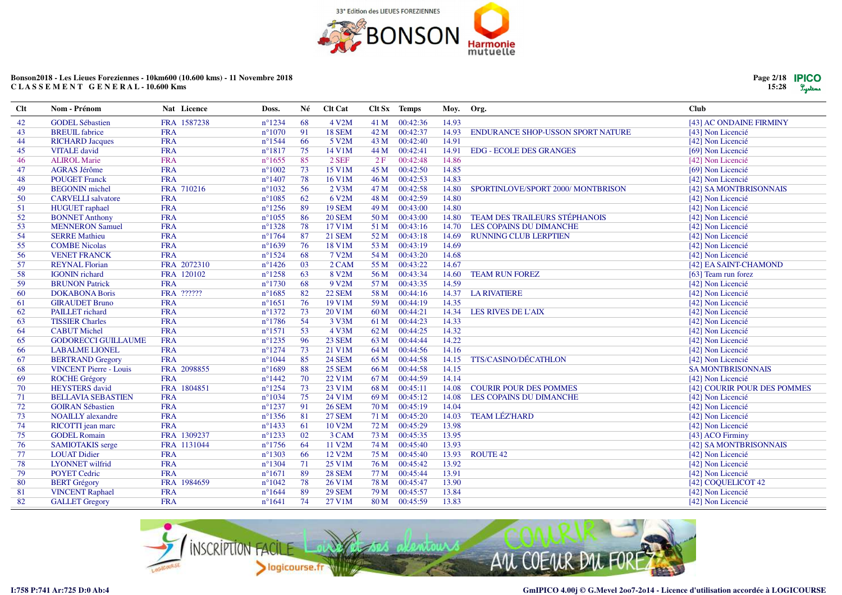

|                         | Page $2/18$ <b>PICO</b><br>$15:28$ $Sgy$ terms |
|-------------------------|------------------------------------------------|
| Club                    |                                                |
| [43] AC ONDAINE FIRMINY |                                                |

| Clt | Nom - Prénom                  | Nat Licence | Doss.            | Né | <b>Clt Cat</b>      |      | C <sub>It</sub> S <sub>x</sub> Temps | Moy.  | Org.                                     | Club                        |
|-----|-------------------------------|-------------|------------------|----|---------------------|------|--------------------------------------|-------|------------------------------------------|-----------------------------|
| 42  | <b>GODEL Sébastien</b>        | FRA 1587238 | $n^{\circ}1234$  | 68 | 4 V2M               |      | 41 M 00:42:36                        | 14.93 |                                          | [43] AC ONDAINE FIRMINY     |
| 43  | <b>BREUIL</b> fabrice         | <b>FRA</b>  | $n^{\circ}1070$  | 91 | <b>18 SEM</b>       | 42 M | 00:42:37                             | 14.93 | <b>ENDURANCE SHOP-USSON SPORT NATURE</b> | [43] Non Licencié           |
| 44  | <b>RICHARD Jacques</b>        | <b>FRA</b>  | $n^{\circ}1544$  | 66 | 5 V2M               | 43 M | 00:42:40                             | 14.91 |                                          | [42] Non Licencié           |
| 45  | <b>VITALE</b> david           | <b>FRA</b>  | $n^{\circ}1817$  | 75 | 14 V1M              | 44 M | 00:42:41                             | 14.91 | <b>EDG - ECOLE DES GRANGES</b>           | [69] Non Licencié           |
| 46  | <b>ALIROL Marie</b>           | <b>FRA</b>  | $n^{\circ}1655$  | 85 | $2$ SEF             | 2F   | 00:42:48                             | 14.86 |                                          | [42] Non Licencié           |
| 47  | <b>AGRAS Jérôme</b>           | <b>FRA</b>  | $n^{\circ}1002$  | 73 | 15 V1M              | 45 M | 00:42:50                             | 14.85 |                                          | [69] Non Licencié           |
| 48  | <b>POUGET Franck</b>          | <b>FRA</b>  | $n^{\circ}$ 1407 | 78 | 16 V1M              | 46 M | 00:42:53                             | 14.83 |                                          | [42] Non Licencié           |
| 49  | <b>BEGONIN</b> michel         | FRA 710216  | $n^{\circ}1032$  | 56 | $2$ V3M             | 47 M | 00:42:58                             | 14.80 | SPORTINLOVE/SPORT 2000/ MONTBRISON       | [42] SA MONTBRISONNAIS      |
| 50  | <b>CARVELLI</b> salvatore     | <b>FRA</b>  | $n^{\circ}1085$  | 62 | 6 V2M               | 48 M | 00:42:59                             | 14.80 |                                          | [42] Non Licencié           |
| 51  | <b>HUGUET</b> raphael         | <b>FRA</b>  | $n^{\circ}$ 1256 | 89 | <b>19 SEM</b>       | 49 M | 00:43:00                             | 14.80 |                                          | [42] Non Licencié           |
| 52  | <b>BONNET Anthony</b>         | <b>FRA</b>  | $n^{\circ}1055$  | 86 | <b>20 SEM</b>       | 50 M | 00:43:00                             | 14.80 | <b>TEAM DES TRAILEURS STÉPHANOIS</b>     | [42] Non Licencié           |
| 53  | <b>MENNERON Samuel</b>        | <b>FRA</b>  | $n^{\circ}1328$  | 78 | 17 V1M              |      | 51 M 00:43:16                        | 14.70 | LES COPAINS DU DIMANCHE                  | [42] Non Licencié           |
| 54  | <b>SERRE Mathieu</b>          | <b>FRA</b>  | $n^{\circ}1764$  | 87 | <b>21 SEM</b>       | 52 M | 00:43:18                             | 14.69 | <b>RUNNING CLUB LERPTIEN</b>             | [42] Non Licencié           |
| 55  | <b>COMBE Nicolas</b>          | <b>FRA</b>  | $n^{\circ}1639$  | 76 | 18 V1M              | 53 M | 00:43:19                             | 14.69 |                                          | [42] Non Licencié           |
| 56  | <b>VENET FRANCK</b>           | <b>FRA</b>  | $n^{\circ}1524$  | 68 | 7 V2M               | 54 M | 00:43:20                             | 14.68 |                                          | [42] Non Licencié           |
| 57  | <b>REYNAL Florian</b>         | FRA 2072310 | $n^{\circ}$ 1426 | 03 | 2 CAM               |      | 55 M 00:43:22                        | 14.67 |                                          | [42] EA SAINT-CHAMOND       |
| 58  | <b>IGONIN</b> richard         | FRA 120102  | $n^{\circ}1258$  | 63 | 8 V2M               | 56 M | 00:43:34                             | 14.60 | <b>TEAM RUN FOREZ</b>                    | [63] Team run forez         |
| 59  | <b>BRUNON Patrick</b>         | <b>FRA</b>  | $n^{\circ}1730$  | 68 | 9 V <sub>2</sub> M  |      | 57 M 00:43:35                        | 14.59 |                                          | [42] Non Licencié           |
| 60  | <b>DOKABONA Boris</b>         | FRA ??????  | $n^{\circ}1685$  | 82 | <b>22 SEM</b>       | 58 M | 00:44:16                             | 14.37 | <b>LA RIVATIERE</b>                      | [42] Non Licencié           |
| 61  | <b>GIRAUDET Bruno</b>         | <b>FRA</b>  | $n^{\circ}1651$  | 76 | 19 V1M              |      | 59 M 00:44:19                        | 14.35 |                                          | [42] Non Licencié           |
| 62  | PAILLET richard               | <b>FRA</b>  | $n^{\circ}1372$  | 73 | 20 V1M              | 60 M | 00:44:21                             | 14.34 | LES RIVES DE L'AIX                       | [42] Non Licencié           |
| 63  | <b>TISSIER Charles</b>        | <b>FRA</b>  | $n^{\circ}1786$  | 54 | 3 V3M               | 61 M | 00:44:23                             | 14.33 |                                          | [42] Non Licencié           |
| 64  | <b>CABUT</b> Michel           | <b>FRA</b>  | $n^{\circ}1571$  | 53 | 4 V3M               | 62 M | 00:44:25                             | 14.32 |                                          | [42] Non Licencié           |
| 65  | <b>GODORECCI GUILLAUME</b>    | <b>FRA</b>  | $n^{\circ}1235$  | 96 | <b>23 SEM</b>       |      | 63 M 00:44:44                        | 14.22 |                                          | [42] Non Licencié           |
| 66  | <b>LABALME LIONEL</b>         | <b>FRA</b>  | $n^{\circ}1274$  | 73 | 21 V1M              |      | 64 M 00:44:56                        | 14.16 |                                          | [42] Non Licencié           |
| 67  | <b>BERTRAND Gregory</b>       | <b>FRA</b>  | $n^{\circ}1044$  | 85 | <b>24 SEM</b>       | 65 M | 00:44:58                             | 14.15 | TTS/CASINO/DÉCATHLON                     | [42] Non Licencié           |
| 68  | <b>VINCENT Pierre - Louis</b> | FRA 2098855 | $n^{\circ}1689$  | 88 | <b>25 SEM</b>       | 66 M | 00:44:58                             | 14.15 |                                          | <b>SA MONTBRISONNAIS</b>    |
| 69  | <b>ROCHE Grégory</b>          | <b>FRA</b>  | $n^{\circ}$ 1442 | 70 | 22 V1M              | 67 M | 00:44:59                             | 14.14 |                                          | [42] Non Licencié           |
| 70  | <b>HEYSTERS</b> david         | FRA 1804851 | $n^{\circ}1254$  | 73 | 23 V1M              | 68 M | 00:45:11                             | 14.08 | <b>COURIR POUR DES POMMES</b>            | [42] COURIR POUR DES POMMES |
| 71  | <b>BELLAVIA SEBASTIEN</b>     | <b>FRA</b>  | $n^{\circ}1034$  | 75 | 24 V1M              | 69 M | 00:45:12                             | 14.08 | LES COPAINS DU DIMANCHE                  | [42] Non Licencié           |
| 72  | <b>GOIRAN Sébastien</b>       | <b>FRA</b>  | $n^{\circ}1237$  | 91 | <b>26 SEM</b>       | 70 M | 00:45:19                             | 14.04 |                                          | [42] Non Licencié           |
| 73  | <b>NOAILLY</b> alexandre      | <b>FRA</b>  | $n^{\circ}$ 1356 | 81 | <b>27 SEM</b>       | 71 M | 00:45:20                             | 14.03 | <b>TEAM LÉZ'HARD</b>                     | [42] Non Licencié           |
| 74  | RICOTTI jean marc             | <b>FRA</b>  | $n^{\circ}$ 1433 | 61 | 10 V2M              | 72 M | 00:45:29                             | 13.98 |                                          | [42] Non Licencié           |
| 75  | <b>GODEL Romain</b>           | FRA 1309237 | $n^{\circ}1233$  | 02 | 3 CAM               | 73 M | 00:45:35                             | 13.95 |                                          | [43] ACO Firminy            |
| 76  | <b>SAMIOTAKIS</b> serge       | FRA 1131044 | $n^{\circ}1756$  | 64 | 11 V2M              | 74 M | 00:45:40                             | 13.93 |                                          | [42] SA MONTBRISONNAIS      |
| 77  | <b>LOUAT Didier</b>           | <b>FRA</b>  | $n^{\circ}1303$  | 66 | 12 V <sub>2</sub> M | 75 M | 00:45:40                             | 13.93 | <b>ROUTE 42</b>                          | [42] Non Licencié           |
| 78  | <b>LYONNET</b> wilfrid        | <b>FRA</b>  | $n^{\circ}1304$  | 71 | 25 V1M              | 76 M | 00:45:42                             | 13.92 |                                          | [42] Non Licencié           |
| 79  | <b>POYET Cedric</b>           | <b>FRA</b>  | $n^{\circ}1671$  | 89 | <b>28 SEM</b>       | 77 M | 00:45:44                             | 13.91 |                                          | [42] Non Licencié           |
| 80  | <b>BERT</b> Grégory           | FRA 1984659 | $n^{\circ}1042$  | 78 | 26 V1M              | 78 M | 00:45:47                             | 13.90 |                                          | [42] COQUELICOT 42          |
| -81 | <b>VINCENT Raphael</b>        | <b>FRA</b>  | $n^{\circ}1644$  | 89 | <b>29 SEM</b>       | 79 M | 00:45:57                             | 13.84 |                                          | [42] Non Licencié           |
| 82  | <b>GALLET</b> Gregory         | <b>FRA</b>  | $n^{\circ}1641$  | 74 | 27 V1M              |      | 80 M 00:45:59                        | 13.83 |                                          | [42] Non Licencié           |

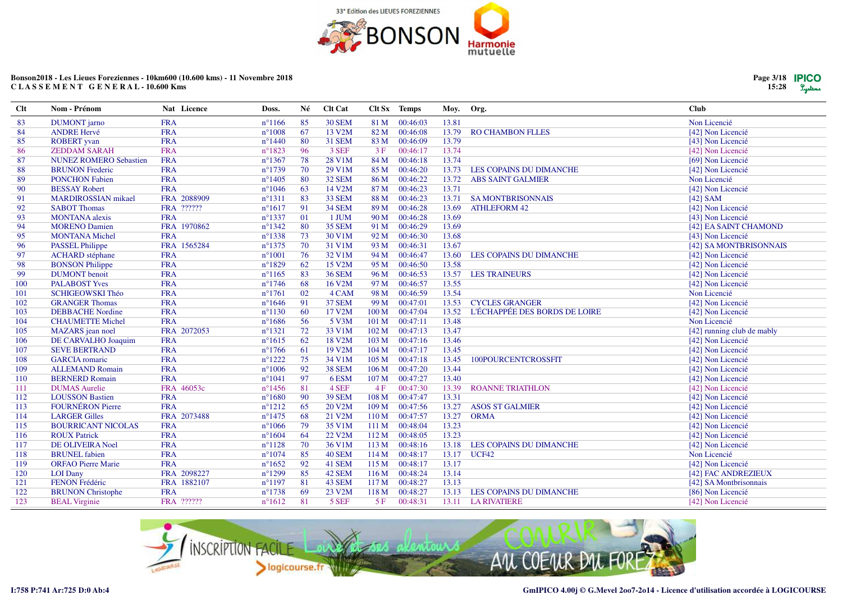

Moy.

Org.

Clt Sx Temps

Clt Cat

Né

Doss.

 $n^{\circ}1299$ 

 $n^{\circ}1197$ 

 $n^{\circ}1738$ 

 $n^{\circ}1612$ 

85

81

69

81

42 SEM

43 SEM

23 V2M

5 SEF

116 M

117 M

118 M

 $5F$ 

#### Bonson2018 - Les Lieues Foreziennes - 10km600 (10.600 kms) - 11 Novembre 2018 CLASSEMENT GENERAL-10.600 Kms

Nat Licence

FRA 2098227

FRA 1882107

FRA ??????

**FRA** 

| <b>DUMONT</b> jarno           | <b>FRA</b>            | $n^{\circ}1166$  | 85 | <b>30 SEM</b> | 81 M             | 00:46:03 | 13.81 |                                | Non Licencié               |
|-------------------------------|-----------------------|------------------|----|---------------|------------------|----------|-------|--------------------------------|----------------------------|
| <b>ANDRE Hervé</b>            | <b>FRA</b>            | $n^{\circ}1008$  | 67 | 13 V2M        | 82 M             | 00:46:08 | 13.79 | <b>RO CHAMBON FLLES</b>        | [42] Non Licencié          |
| <b>ROBERT</b> yvan            | <b>FRA</b>            | $n^{\circ}$ 1440 | 80 | <b>31 SEM</b> | 83 M             | 00:46:09 | 13.79 |                                | [43] Non Licencié          |
| <b>ZEDDAM SARAH</b>           | <b>FRA</b>            | $n^{\circ}1823$  | 96 | 3 SEF         | 3F               | 00:46:17 | 13.74 |                                | [42] Non Licencié          |
| <b>NUNEZ ROMERO Sebastien</b> | <b>FRA</b>            | $n^{\circ}$ 1367 | 78 | 28 V1M        | 84 M             | 00:46:18 | 13.74 |                                | [69] Non Licencié          |
| <b>BRUNON Frederic</b>        | <b>FRA</b>            | $n^{\circ}1739$  | 70 | 29 V1M        | 85 M             | 00:46:20 | 13.73 | LES COPAINS DU DIMANCHE        | [42] Non Licencié          |
| <b>PONCHON Fabien</b>         | <b>FRA</b>            | $n^{\circ}$ 1405 | 80 | <b>32 SEM</b> | 86 M             | 00:46:22 | 13.72 | <b>ABS SAINT GALMIER</b>       | Non Licencié               |
| <b>BESSAY Robert</b>          | <b>FRA</b>            | $n^{\circ}1046$  | 63 | 14 V2M        | 87 M             | 00:46:23 | 13.71 |                                | [42] Non Licencié          |
| <b>MARDIROSSIAN</b> mikael    | 2088909<br><b>FRA</b> | $n^{\circ}1311$  | 83 | 33 SEM        | 88 M             | 00:46:23 | 13.71 | <b>SA MONTBRISONNAIS</b>       | $[42]$ SAM                 |
| <b>SABOT Thomas</b>           | FRA ??????            | $n^{\circ}1617$  | 91 | <b>34 SEM</b> | 89 M             | 00:46:28 | 13.69 | <b>ATHLEFORM 42</b>            | [42] Non Licencié          |
| <b>MONTANA</b> alexis         | <b>FRA</b>            | $n^{\circ}$ 1337 | 01 | 1 JUM         | 90 M             | 00:46:28 | 13.69 |                                | [43] Non Licencié          |
| <b>MORENO Damien</b>          | FRA 1970862           | $n^{\circ}$ 1342 | 80 | <b>35 SEM</b> | 91 M             | 00:46:29 | 13.69 |                                | [42] EA SAINT CHAMOND      |
| <b>MONTANA Michel</b>         | <b>FRA</b>            | $n^{\circ}$ 1338 | 73 | 30 V1M        | 92 M             | 00:46:30 | 13.68 |                                | [43] Non Licencié          |
| <b>PASSEL Philippe</b>        | FRA 1565284           | $n^{\circ}$ 1375 | 70 | 31 V1M        | 93 M             | 00:46:31 | 13.67 |                                | [42] SA MONTBRISONNAIS     |
| <b>ACHARD</b> stéphane        | <b>FRA</b>            | $n^{\circ}1001$  | 76 | 32 V1M        | 94 M             | 00:46:47 | 13.60 | <b>LES COPAINS DU DIMANCHE</b> | [42] Non Licencié          |
| <b>BONSON Philippe</b>        | <b>FRA</b>            | $n^{\circ}1829$  | 62 | 15 V2M        | 95 M             | 00:46:50 | 13.58 |                                | [42] Non Licencié          |
| <b>DUMONT</b> benoit          | <b>FRA</b>            | $n^{\circ}1165$  | 83 | <b>36 SEM</b> | 96 M             | 00:46:53 | 13.57 | <b>LES TRAINEURS</b>           | [42] Non Licencié          |
| <b>PALABOST Yves</b>          | <b>FRA</b>            | $n^{\circ}$ 1746 | 68 | 16 V2M        | 97 M             | 00:46:57 | 13.55 |                                | [42] Non Licencié          |
| SCHIGEOWSKI Théo              | <b>FRA</b>            | $n^{\circ}1761$  | 02 | 4 CAM         | 98 M             | 00:46:59 | 13.54 |                                | Non Licencié               |
| <b>GRANGER Thomas</b>         | <b>FRA</b>            | $n^{\circ}1646$  | 91 | <b>37 SEM</b> | 99 M             | 00:47:01 | 13.53 | <b>CYCLES GRANGER</b>          | [42] Non Licencié          |
| <b>DEBBACHE Nordine</b>       | <b>FRA</b>            | $n^{\circ}1130$  | 60 | 17 V2M        | 100 <sub>M</sub> | 00:47:04 | 13.52 | L'ÉCHAPPÉE DES BORDS DE LOIRE  | [42] Non Licencié          |
| <b>CHAUMETTE Michel</b>       | <b>FRA</b>            | $n^{\circ}1686$  | 56 | 5 V3M         | 101 <sub>M</sub> | 00:47:11 | 13.48 |                                | Non Licencié               |
| MAZARS jean noel              | FRA 2072053           | $n^{\circ}1321$  | 72 | 33 V1M        | 102 M            | 00:47:13 | 13.47 |                                | [42] running club de mably |
| DE CARVALHO Joaquim           | <b>FRA</b>            | $n^{\circ}1615$  | 62 | 18 V2M        | 103 M            | 00:47:16 | 13.46 |                                | [42] Non Licencié          |
| <b>SEVE BERTRAND</b>          | <b>FRA</b>            | $n^{\circ}$ 1766 | 61 | 19 V2M        | 104M             | 00:47:17 | 13.45 |                                | [42] Non Licencié          |
| <b>GARCIA</b> romaric         | <b>FRA</b>            | $n^{\circ}1222$  | 75 | $34$ V $1M$   | 105 <sub>M</sub> | 00:47:18 | 13.45 | 100POURCENTCROSSFIT            | [42] Non Licencié          |
| <b>ALLEMAND Romain</b>        | <b>FRA</b>            | $n^{\circ}1006$  | 92 | 38 SEM        | 106 <sub>M</sub> | 00:47:20 | 13.44 |                                | [42] Non Licencié          |
| <b>BERNERD Romain</b>         | <b>FRA</b>            | $n^{\circ}1041$  | 97 | 6ESM          | 107 <sub>M</sub> | 00:47:27 | 13.40 |                                | [42] Non Licencié          |
| <b>DUMAS</b> Aurelie          | FRA 46053c            | $n^{\circ}$ 1456 | 81 | 4 SEF         | 4F               | 00:47:30 | 13.39 | <b>ROANNE TRIATHLON</b>        | [42] Non Licencié          |
| <b>LOUSSON Bastien</b>        | <b>FRA</b>            | $n^{\circ}1680$  | 90 | <b>39 SEM</b> | 108 M            | 00:47:47 | 13.31 |                                | [42] Non Licencié          |
| <b>FOURNÉRON Pierre</b>       | <b>FRA</b>            | $n^{\circ}1212$  | 65 | 20 V2M        | 109 M            | 00:47:56 | 13.27 | <b>ASOS ST GALMIER</b>         | [42] Non Licencié          |
| <b>LARGER Gilles</b>          | FRA 2073488           | $n^{\circ}$ 1475 | 68 | 21 V2M        | 110 <sub>M</sub> | 00:47:57 | 13.27 | <b>ORMA</b>                    | [42] Non Licencié          |
| <b>BOURRICANT NICOLAS</b>     | <b>FRA</b>            | $n^{\circ}1066$  | 79 | 35 V1M        | 111 M            | 00:48:04 | 13.23 |                                | [42] Non Licencié          |
| <b>ROUX Patrick</b>           | <b>FRA</b>            | $n^{\circ}1604$  | 64 | 22 V2M        | 112M             | 00:48:05 | 13.23 |                                | [42] Non Licencié          |
| <b>DE OLIVEIRA Noel</b>       | <b>FRA</b>            | $n^{\circ}1128$  | 70 | 36 V1M        | 113M             | 00:48:16 | 13.18 | LES COPAINS DU DIMANCHE        | [42] Non Licencié          |
| <b>BRUNEL</b> fabien          | <b>FRA</b>            | $n^{\circ}1074$  | 85 | 40 SEM        | 114M             | 00:48:17 | 13.17 | UCF42                          | Non Licencié               |
| <b>ORFAO Pierre Marie</b>     | <b>FRA</b>            | $n^{\circ}1652$  | 92 | 41 SEM        | 115M             | 00:48:17 | 13.17 |                                | [42] Non Licencié          |



00:48:24

00:48:27

00:48:27

00:48:31

13.14

13.13

13.13

13.11

LES COPAINS DU DIMANCHE

**LA RIVATIERE** 

**LOI** Dany

FENON Frédéric

**BEAL Virginie** 

**BRUNON** Christophe

**Clt** 

 $\overline{83}$ 

120

121

122

123

Nom - Prénom

[42] FAC ANDREZIEUX

[42] SA Montbrisonnais

[86] Non Licencié

[42] Non Licencié



**Club**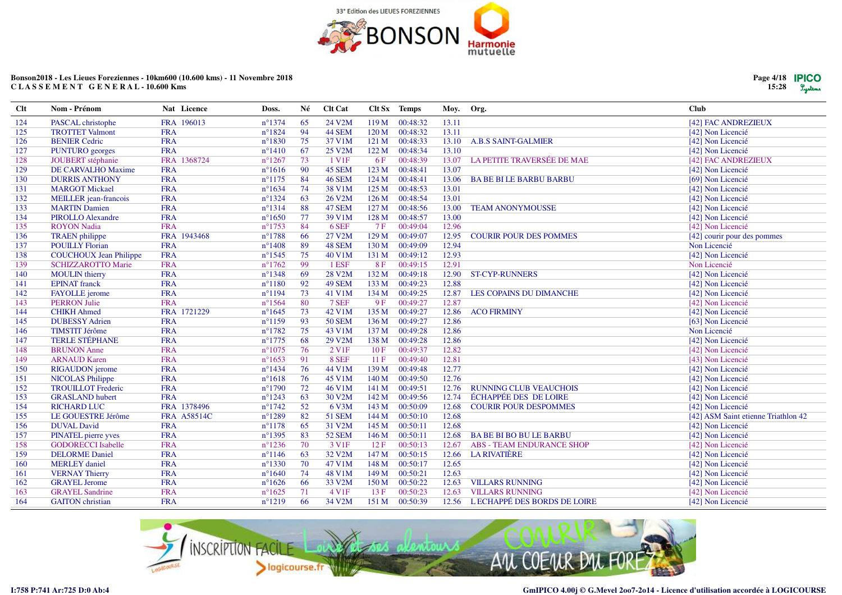

| Page 4/18   PICO |         |
|------------------|---------|
| 15:28            | Lystems |

| Clt | Nom - Prénom                  | Nat Licence        | Doss.            | Né | Clt Cat            |                  | Clt Sx Temps | Moy.  | Org.                              | Club                                |
|-----|-------------------------------|--------------------|------------------|----|--------------------|------------------|--------------|-------|-----------------------------------|-------------------------------------|
| 124 | PASCAL christophe             | FRA 196013         | $n^{\circ}1374$  | 65 | 24 V2M             | 119M             | 00:48:32     | 13.11 |                                   | [42] FAC ANDREZIEUX                 |
| 125 | <b>TROTTET Valmont</b>        | <b>FRA</b>         | $n^{\circ}1824$  | 94 | 44 SEM             | 120 <sub>M</sub> | 00:48:32     | 13.11 |                                   | [42] Non Licencié                   |
| 126 | <b>BENIER Cedric</b>          | <b>FRA</b>         | $n^{\circ}1830$  | 75 | 37 V1M             | 121 M            | 00:48:33     | 13.10 | <b>A.B.S SAINT-GALMIER</b>        | [42] Non Licencié                   |
| 127 | PUNTURO georges               | <b>FRA</b>         | $n^{\circ}1410$  | 67 | 25 V2M             | 122 M            | 00:48:34     | 13.10 |                                   | [42] Non Licencié                   |
| 128 | JOUBERT stéphanie             | FRA 1368724        | $n^{\circ}1267$  | 73 | 1 V <sub>1</sub> F | 6F               | 00:48:39     | 13.07 | LA PETITE TRAVERSÉE DE MAE        | [42] FAC ANDREZIEUX                 |
| 129 | DE CARVALHO Maxime            | <b>FRA</b>         | $n^{\circ}1616$  | 90 | 45 SEM             | 123 M            | 00:48:41     | 13.07 |                                   | [42] Non Licencié                   |
| 130 | <b>DURRIS ANTHONY</b>         | <b>FRA</b>         | $n^{\circ}1175$  | 84 | 46 SEM             | 124 M            | 00:48:41     | 13.06 | <b>BABE BILE BARBU BARBU</b>      | [69] Non Licencié                   |
| 131 | <b>MARGOT Mickael</b>         | <b>FRA</b>         | $n^{\circ}1634$  | 74 | 38 V1M             | 125 M            | 00:48:53     | 13.01 |                                   | [42] Non Licencié                   |
| 132 | MEILLER jean-francois         | <b>FRA</b>         | $n^{\circ}$ 1324 | 63 | 26 V2M             | 126 <sub>M</sub> | 00:48:54     | 13.01 |                                   | [42] Non Licencié                   |
| 133 | <b>MARTIN Damien</b>          | <b>FRA</b>         | $n^{\circ}1314$  | 88 | 47 SEM             | 127 <sub>M</sub> | 00:48:56     | 13.00 | <b>TEAM ANONYMOUSSE</b>           | [42] Non Licencié                   |
| 134 | <b>PIROLLO Alexandre</b>      | <b>FRA</b>         | $n^{\circ}1650$  | 77 | 39 V1M             | 128 M            | 00:48:57     | 13.00 |                                   | [42] Non Licencié                   |
| 135 | <b>ROYON Nadia</b>            | <b>FRA</b>         | $n^{\circ}1753$  | 84 | 6 SEF              | 7F               | 00:49:04     | 12.96 |                                   | [42] Non Licencié                   |
| 136 | <b>TRAEN</b> philippe         | FRA 1943468        | $n^{\circ}1788$  | 66 | 27 V2M             | 129 M            | 00:49:07     | 12.95 | <b>COURIR POUR DES POMMES</b>     | [42] courir pour des pommes         |
| 137 | <b>POUILLY Florian</b>        | <b>FRA</b>         | $n^{\circ}$ 1408 | 89 | 48 SEM             | 130 M            | 00:49:09     | 12.94 |                                   | Non Licencié                        |
| 138 | <b>COUCHOUX Jean Philippe</b> | <b>FRA</b>         | $n^{\circ}1545$  | 75 | 40 V1M             | 131 M            | 00:49:12     | 12.93 |                                   | [42] Non Licencié                   |
| 139 | <b>SCHIZZAROTTO Marie</b>     | <b>FRA</b>         | $n^{\circ}1762$  | 99 | 1 ESF              | 8F               | 00:49:15     | 12.91 |                                   | Non Licencié                        |
| 140 | <b>MOULIN</b> thierry         | <b>FRA</b>         | $n^{\circ}1348$  | 69 | <b>28 V2M</b>      | 132 M            | 00:49:18     | 12.90 | <b>ST-CYP-RUNNERS</b>             | [42] Non Licencié                   |
| 141 | <b>EPINAT</b> franck          | <b>FRA</b>         | $n^{\circ}1180$  | 92 | 49 SEM             | 133 M            | 00:49:23     | 12.88 |                                   | [42] Non Licencié                   |
| 142 | <b>FAYOLLE</b> jerome         | <b>FRA</b>         | $n^{\circ}1194$  | 73 | 41 V1M             | 134 M            | 00:49:25     | 12.87 | LES COPAINS DU DIMANCHE           | [42] Non Licencié                   |
| 143 | <b>PERRON Julie</b>           | <b>FRA</b>         | $n^{\circ}1564$  | 80 | 7 SEF              | 9F               | 00:49:27     | 12.87 |                                   | [42] Non Licencié                   |
| 144 | <b>CHIKH Ahmed</b>            | FRA 1721229        | $n^{\circ}1645$  | 73 | 42 V1M             | 135 M            | 00:49:27     | 12.86 | <b>ACO FIRMINY</b>                | [42] Non Licencié                   |
| 145 | <b>DUBESSY Adrien</b>         | <b>FRA</b>         | $n^{\circ}1159$  | 93 | <b>50 SEM</b>      | 136 M            | 00:49:27     | 12.86 |                                   | [63] Non Licencié                   |
| 146 | <b>TIMSTIT Jérôme</b>         | <b>FRA</b>         | $n^{\circ}1782$  | 75 | 43 V1M             | 137 M            | 00:49:28     | 12.86 |                                   | Non Licencié                        |
| 147 | <b>TERLE STÉPHANE</b>         | <b>FRA</b>         | $n^{\circ}1775$  | 68 | 29 V2M             | 138 M            | 00:49:28     | 12.86 |                                   | [42] Non Licencié                   |
| 148 | <b>BRUNON</b> Anne            | <b>FRA</b>         | $n^{\circ}1075$  | 76 | 2 V <sub>1F</sub>  | 10F              | 00:49:37     | 12.82 |                                   | [42] Non Licencié                   |
| 149 | <b>ARNAUD Karen</b>           | <b>FRA</b>         | $n^{\circ}1653$  | 91 | 8 SEF              | 11F              | 00:49:40     | 12.81 |                                   | [43] Non Licencié                   |
| 150 | <b>RIGAUDON</b> jerome        | <b>FRA</b>         | $n^{\circ}$ 1434 | 76 | 44 V1M             | 139 M            | 00:49:48     | 12.77 |                                   | [42] Non Licencié                   |
| 151 | <b>NICOLAS Philippe</b>       | <b>FRA</b>         | $n^{\circ}1618$  | 76 | 45 V1M             | 140 <sub>M</sub> | 00:49:50     | 12.76 |                                   | [42] Non Licencié                   |
| 152 | <b>TROUILLOT Frederic</b>     | <b>FRA</b>         | $n^{\circ}1790$  | 72 | 46 V1M             | 141 M            | 00:49:51     | 12.76 | <b>RUNNING CLUB VEAUCHOIS</b>     | [42] Non Licencié                   |
| 153 | <b>GRASLAND</b> hubert        | <b>FRA</b>         | $n^{\circ}1243$  | 63 | 30 V2M             | 142 M            | 00:49:56     | 12.74 | <b>ÉCHAPPÉE DES DE LOIRE</b>      | [42] Non Licencié                   |
| 154 | <b>RICHARD LUC</b>            | FRA 1378496        | $n^{\circ}1742$  | 52 | 6 V3M              | 143 M            | 00:50:09     | 12.68 | <b>COURIR POUR DESPOMMES</b>      | [42] Non Licencié                   |
| 155 | LE GOUESTRE Jérôme            | <b>FRA A58514C</b> | $n^{\circ}1289$  | 82 | <b>51 SEM</b>      | 144 M            | 00:50:10     | 12.68 |                                   | [42] ASM Saint etienne Triathlon 42 |
| 156 | <b>DUVAL David</b>            | <b>FRA</b>         | $n^{\circ}1178$  | 65 | 31 V2M             | 145 M            | 00:50:11     | 12.68 |                                   | [42] Non Licencié                   |
| 157 | PINATEL pierre yves           | <b>FRA</b>         | $n^{\circ}$ 1395 | 83 | <b>52 SEM</b>      | 146 M            | 00:50:11     | 12.68 | <b>BABE BIBO BULE BARBU</b>       | [42] Non Licencié                   |
| 158 | <b>GODORECCI</b> Isabelle     | <b>FRA</b>         | $n^{\circ}$ 1236 | 70 | 3 V <sub>1F</sub>  | 12 F             | 00:50:13     | 12.67 | <b>ABS - TEAM ENDURANCE SHOP</b>  | [42] Non Licencié                   |
| 159 | <b>DELORME</b> Daniel         | <b>FRA</b>         | $n^{\circ}1146$  | 63 | 32 V2M             | 147 M            | 00:50:15     | 12.66 | <b>LA RIVATIÈRE</b>               | [42] Non Licencié                   |
| 160 | <b>MERLEY</b> daniel          | <b>FRA</b>         | $n^{\circ}$ 1330 | 70 | 47 V1M             | 148 M            | 00:50:17     | 12.65 |                                   | [42] Non Licencié                   |
| 161 | <b>VERNAY Thierry</b>         | <b>FRA</b>         | $n^{\circ}1640$  | 74 | 48 V1M             | 149 M            | 00:50:21     | 12.63 |                                   | [42] Non Licencié                   |
| 162 | <b>GRAYEL Jerome</b>          | <b>FRA</b>         | $n^{\circ}1626$  | 66 | 33 V2M             | 150 M            | 00:50:22     | 12.63 | <b>VILLARS RUNNING</b>            | [42] Non Licencié                   |
| 163 | <b>GRAYEL Sandrine</b>        | <b>FRA</b>         | $n^{\circ}1625$  | 71 | 4 V1F              | 13F              | 00:50:23     | 12.63 | <b>VILLARS RUNNING</b>            | [42] Non Licencié                   |
| 164 | <b>GAITON</b> christian       | <b>FRA</b>         | $n^{\circ}1219$  | 66 | 34 V2M             | 151 M            | 00:50:39     |       | 12.56 LECHAPPÉ DES BORDS DE LOIRE | [42] Non Licencié                   |

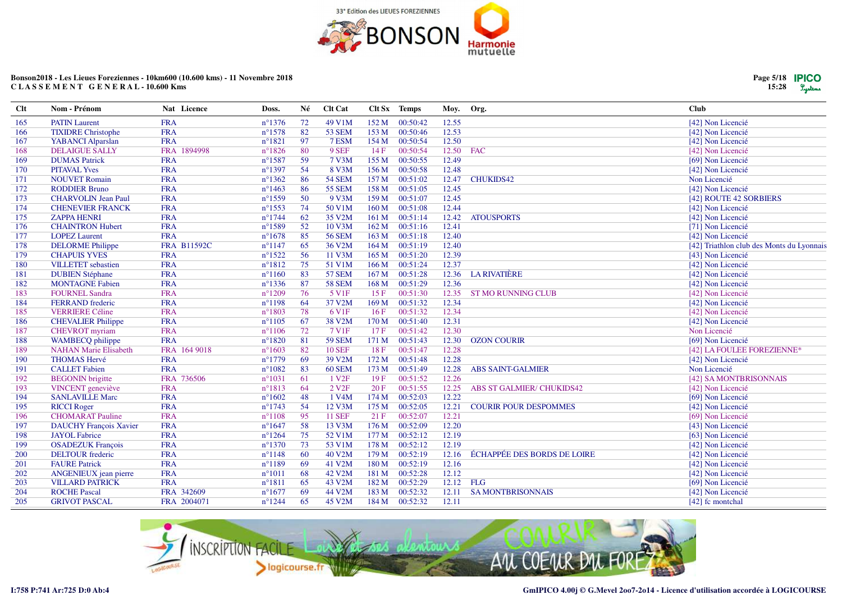

| $Cl$ t | Nom - Prénom                  | Nat Licence        | Doss.            | Né | <b>Clt Cat</b>     |                  | Clt Sx Temps | Moy.  | Org.                               | Club                                      |
|--------|-------------------------------|--------------------|------------------|----|--------------------|------------------|--------------|-------|------------------------------------|-------------------------------------------|
| 165    | <b>PATIN</b> Laurent          | <b>FRA</b>         | $n^{\circ}$ 1376 | 72 | 49 V1M             | 152 M            | 00:50:42     | 12.55 |                                    | [42] Non Licencié                         |
| 166    | <b>TIXIDRE Christophe</b>     | <b>FRA</b>         | $n^{\circ}1578$  | 82 | <b>53 SEM</b>      | 153 M            | 00:50:46     | 12.53 |                                    | [42] Non Licencié                         |
| 167    | YABANCI Alparslan             | <b>FRA</b>         | $n^{\circ}1821$  | 97 | 7 ESM              | 154 M            | 00:50:54     | 12.50 |                                    | [42] Non Licencié                         |
| 168    | <b>DELAIGUE SALLY</b>         | FRA 1894998        | $n^{\circ}1826$  | 80 | 9 SEF              | 14F              | 00:50:54     | 12.50 | <b>FAC</b>                         | [42] Non Licencié                         |
| 169    | <b>DUMAS Patrick</b>          | <b>FRA</b>         | $n^{\circ}$ 1587 | 59 | 7 V3M              | 155 M            | 00:50:55     | 12.49 |                                    | [69] Non Licencié                         |
| 170    | <b>PITAVAL Yves</b>           | <b>FRA</b>         | $n^{\circ}1397$  | 54 | 8 V3M              | 156 M            | 00:50:58     | 12.48 |                                    | [42] Non Licencié                         |
| 171    | <b>NOUVET Romain</b>          | <b>FRA</b>         | $n^{\circ}$ 1362 | 86 | <b>54 SEM</b>      | 157 M            | 00:51:02     | 12.47 | <b>CHUKIDS42</b>                   | Non Licencié                              |
| 172    | <b>RODDIER Bruno</b>          | <b>FRA</b>         | $n^{\circ}$ 1463 | 86 | <b>55 SEM</b>      | 158 M            | 00:51:05     | 12.45 |                                    | [42] Non Licencié                         |
| 173    | <b>CHARVOLIN Jean Paul</b>    | <b>FRA</b>         | $n^{\circ}$ 1559 | 50 | 9 V3M              | 159 M            | 00:51:07     | 12.45 |                                    | [42] ROUTE 42 SORBIERS                    |
| 174    | <b>CHENEVIER FRANCK</b>       | <b>FRA</b>         | $n^{\circ}$ 1553 | 74 | 50 V1M             | 160 M            | 00:51:08     | 12.44 |                                    | [42] Non Licencié                         |
| 175    | <b>ZAPPA HENRI</b>            | <b>FRA</b>         | $n^{\circ}1744$  | 62 | 35 V2M             | 161 M            | 00:51:14     | 12.42 | <b>ATOUSPORTS</b>                  | [42] Non Licencié                         |
| 176    | <b>CHAINTRON Hubert</b>       | <b>FRA</b>         | $n^{\circ}$ 1589 | 52 | 10 V3M             | 162 M            | 00:51:16     | 12.41 |                                    | [71] Non Licencié                         |
| 177    | <b>LOPEZ Laurent</b>          | <b>FRA</b>         | $n^{\circ}1678$  | 85 | <b>56 SEM</b>      | 163 M            | 00:51:18     | 12.40 |                                    | [42] Non Licencié                         |
| 178    | <b>DELORME</b> Philippe       | <b>FRA B11592C</b> | $n^{\circ}1147$  | 65 | 36 V2M             | 164 M            | 00:51:19     | 12.40 |                                    | [42] Triathlon club des Monts du Lyonnais |
| 179    | <b>CHAPUIS YVES</b>           | <b>FRA</b>         | $n^{\circ}1522$  | 56 | 11 V3M             | 165 M            | 00:51:20     | 12.39 |                                    | [43] Non Licencié                         |
| 180    | <b>VILLETET</b> sebastien     | <b>FRA</b>         | $n^{\circ}1812$  | 75 | 51 V1M             | 166 M            | 00:51:24     | 12.37 |                                    | [42] Non Licencié                         |
| 181    | <b>DUBIEN Stéphane</b>        | <b>FRA</b>         | $n^{\circ}1160$  | 83 | <b>57 SEM</b>      | 167 <sub>M</sub> | 00:51:28     | 12.36 | <b>LA RIVATIÈRE</b>                | [42] Non Licencié                         |
| 182    | <b>MONTAGNE Fabien</b>        | <b>FRA</b>         | $n^{\circ}$ 1336 | 87 | <b>58 SEM</b>      | 168 M            | 00:51:29     | 12.36 |                                    | [42] Non Licencié                         |
| 183    | <b>FOURNEL Sandra</b>         | <b>FRA</b>         | $n^{\circ}1209$  | 76 | 5 V <sub>1F</sub>  | 15F              | 00:51:30     | 12.35 | <b>ST MO RUNNING CLUB</b>          | [42] Non Licencié                         |
| 184    | <b>FERRAND</b> frederic       | <b>FRA</b>         | $n^{\circ}1198$  | 64 | 37 V2M             | 169 <sub>M</sub> | 00:51:32     | 12.34 |                                    | [42] Non Licencié                         |
| 185    | <b>VERRIERE Céline</b>        | <b>FRA</b>         | $n^{\circ}1803$  | 78 | 6 V <sub>1F</sub>  | 16F              | 00:51:32     | 12.34 |                                    | [42] Non Licencié                         |
| 186    | <b>CHEVALIER Philippe</b>     | <b>FRA</b>         | $n^{\circ}1105$  | 67 | 38 V2M             | 170 M            | 00:51:40     | 12.31 |                                    | [42] Non Licencié                         |
| 187    | <b>CHEVROT</b> myriam         | <b>FRA</b>         | $n^{\circ}1106$  | 72 | 7 V1F              | 17F              | 00:51:42     | 12.30 |                                    | Non Licencié                              |
| 188    | WAMBECQ philippe              | <b>FRA</b>         | $n^{\circ}1820$  | 81 | <b>59 SEM</b>      | 171 M            | 00:51:43     | 12.30 | <b>OZON COURIR</b>                 | [69] Non Licencié                         |
| 189    | <b>NAHAN Marie Elisabeth</b>  | FRA 164 9018       | $n^{\circ}1603$  | 82 | <b>10 SEF</b>      | 18F              | 00:51:47     | 12.28 |                                    | [42] LA FOULEE FOREZIENNE*                |
| 190    | <b>THOMAS Hervé</b>           | <b>FRA</b>         | $n^{\circ}1779$  | 69 | 39 V2M             | 172 M            | 00:51:48     | 12.28 |                                    | [42] Non Licencié                         |
| 191    | <b>CALLET</b> Fabien          | <b>FRA</b>         | $n^{\circ}1082$  | 83 | 60 SEM             | 173 M            | 00:51:49     | 12.28 | <b>ABS SAINT-GALMIER</b>           | Non Licencié                              |
| 192    | <b>BEGONIN</b> brigitte       | FRA 736506         | $n^{\circ}1031$  | 61 | 1 V2F              | 19F              | 00:51:52     | 12.26 |                                    | [42] SA MONTBRISONNAIS                    |
| 193    | <b>VINCENT</b> geneviève      | <b>FRA</b>         | $n^{\circ}1813$  | 64 | 2 V2F              | 20F              | 00:51:55     | 12.25 | <b>ABS ST GALMIER/ CHUKIDS42</b>   | [42] Non Licencié                         |
| 194    | <b>SANLAVILLE Marc</b>        | <b>FRA</b>         | $n^{\circ}1602$  | 48 | 1 V <sub>4</sub> M | 174M             | 00:52:03     | 12.22 |                                    | [69] Non Licencié                         |
| 195    | <b>RICCI</b> Roger            | <b>FRA</b>         | $n^{\circ}1743$  | 54 | 12 V3M             | 175 M            | 00:52:05     | 12.21 | <b>COURIR POUR DESPOMMES</b>       | [42] Non Licencié                         |
| 196    | <b>CHOMARAT Pauline</b>       | <b>FRA</b>         | $n^{\circ}1108$  | 95 | <b>11 SEF</b>      | 21 F             | 00:52:07     | 12.21 |                                    | [69] Non Licencié                         |
| 197    | <b>DAUCHY François Xavier</b> | <b>FRA</b>         | $n^{\circ}1647$  | 58 | 13 V3M             | 176M             | 00:52:09     | 12.20 |                                    | [43] Non Licencié                         |
| 198    | <b>JAYOL</b> Fabrice          | <b>FRA</b>         | $n^{\circ}1264$  | 75 | 52 V1M             | 177M             | 00:52:12     | 12.19 |                                    | [63] Non Licencié                         |
| 199    | <b>OSADEZUK François</b>      | <b>FRA</b>         | $n^{\circ}1370$  | 73 | 53 V1M             | 178 M            | 00:52:12     | 12.19 |                                    | [42] Non Licencié                         |
| 200    | <b>DELTOUR</b> frederic       | <b>FRA</b>         | $n^{\circ}1148$  | 60 | 40 V2M             | 179 M            | 00:52:19     | 12.16 | <b>ÉCHAPPÉE DES BORDS DE LOIRE</b> | [42] Non Licencié                         |
| 201    | <b>FAURE Patrick</b>          | <b>FRA</b>         | $n^{\circ}1189$  | 69 | 41 V2M             | 180 M            | 00:52:19     | 12.16 |                                    | [42] Non Licencié                         |
| 202    | ANGENIEUX jean pierre         | <b>FRA</b>         | $n^{\circ}1011$  | 68 | 42 V2M             | 181 M            | 00:52:28     | 12.12 |                                    | [42] Non Licencié                         |
| 203    | <b>VILLARD PATRICK</b>        | <b>FRA</b>         | $n^{\circ}1811$  | 65 | 43 V2M             | 182 M            | 00:52:29     | 12.12 | FLG                                | [69] Non Licencié                         |
| 204    | <b>ROCHE Pascal</b>           | FRA 342609         | $n^{\circ}1677$  | 69 | 44 V2M             | 183 M            | 00:52:32     | 12.11 | <b>SA MONTBRISONNAIS</b>           | [42] Non Licencié                         |
| 205    | <b>GRIVOT PASCAL</b>          | FRA 2004071        | $n^{\circ}1244$  | 65 | 45 V2M             | 184 M            | 00:52:32     | 12.11 |                                    | [42] fc montchal                          |



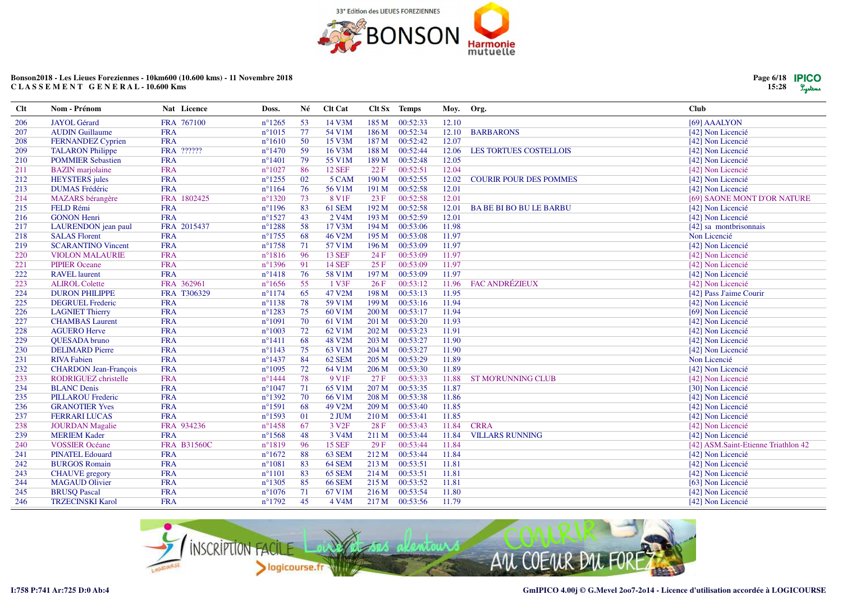

| Page 6/18 | <b>IPICO</b> |
|-----------|--------------|
| 15:28     | Lystems      |

| Clt | Nom - Prénom                 | Nat Licence        | Doss.            | Né | Clt Cat            |                  | Clt Sx Temps | Moy. Org. |                               | <b>Club</b>                         |
|-----|------------------------------|--------------------|------------------|----|--------------------|------------------|--------------|-----------|-------------------------------|-------------------------------------|
| 206 | <b>JAYOL</b> Gérard          | FRA 767100         | $n^{\circ}1265$  | 53 | 14 V3M             | 185 M            | 00:52:33     | 12.10     |                               | [69] AAALYON                        |
| 207 | <b>AUDIN Guillaume</b>       | <b>FRA</b>         | $n^{\circ}1015$  | 77 | 54 V1M             | 186 M            | 00:52:34     | 12.10     | <b>BARBARONS</b>              | [42] Non Licencié                   |
| 208 | <b>FERNANDEZ Cyprien</b>     | <b>FRA</b>         | $n^{\circ}1610$  | 50 | 15 V3M             | 187 M            | 00:52:42     | 12.07     |                               | [42] Non Licencié                   |
| 209 | <b>TALARON Philippe</b>      | FRA ??????         | $n^{\circ}1470$  | 59 | 16 V3M             | 188 <sub>M</sub> | 00:52:44     | 12.06     | LES TORTUES COSTELLOIS        | [42] Non Licencié                   |
| 210 | <b>POMMIER Sebastien</b>     | <b>FRA</b>         | $n^{\circ}1401$  | 79 | 55 V1M             | 189 M            | 00:52:48     | 12.05     |                               | [42] Non Licencié                   |
| 211 | <b>BAZIN</b> marjolaine      | <b>FRA</b>         | $n^{\circ}1027$  | 86 | <b>12 SEF</b>      | 22 F             | 00:52:51     | 12.04     |                               | [42] Non Licencié                   |
| 212 | <b>HEYSTERS</b> jules        | <b>FRA</b>         | $n^{\circ}$ 1255 | 02 | 5 CAM              | 190 M            | 00:52:55     | 12.02     | <b>COURIR POUR DES POMMES</b> | [42] Non Licencié                   |
| 213 | <b>DUMAS</b> Frédéric        | <b>FRA</b>         | $n^{\circ}1164$  | 76 | 56 V1M             | 191 M            | 00:52:58     | 12.01     |                               | [42] Non Licencié                   |
| 214 | <b>MAZARS</b> bérangère      | FRA 1802425        | $n^{\circ}1320$  | 73 | 8 V <sub>1F</sub>  | 23 F             | 00:52:58     | 12.01     |                               | [69] SAONE MONT D'OR NATURE         |
| 215 | FELD Rémi                    | <b>FRA</b>         | $n^{\circ}1196$  | 83 | 61 SEM             | 192 M            | 00:52:58     | 12.01     | <b>BABE BIBO BU LE BARBU</b>  | [42] Non Licencié                   |
| 216 | <b>GONON Henri</b>           | <b>FRA</b>         | $n^{\circ}1527$  | 43 | 2 V <sub>4</sub> M | 193 M            | 00:52:59     | 12.01     |                               | [42] Non Licencié                   |
| 217 | LAURENDON jean paul          | FRA 2015437        | $n^{\circ}1288$  | 58 | 17 V3M             | 194 M            | 00:53:06     | 11.98     |                               | [42] sa montbrisonnais              |
| 218 | <b>SALAS Florent</b>         | <b>FRA</b>         | $n^{\circ}$ 1755 | 68 | 46 V2M             | 195 M            | 00:53:08     | 11.97     |                               | Non Licencié                        |
| 219 | <b>SCARANTINO Vincent</b>    | <b>FRA</b>         | $n^{\circ}1758$  | 71 | 57 V1M             | 196 M            | 00:53:09     | 11.97     |                               | [42] Non Licencié                   |
| 220 | <b>VIOLON MALAURIE</b>       | <b>FRA</b>         | $n^{\circ}1816$  | 96 | <b>13 SEF</b>      | 24 F             | 00:53:09     | 11.97     |                               | [42] Non Licencié                   |
| 221 | <b>PIPIER Oceane</b>         | <b>FRA</b>         | $n^{\circ}1396$  | 91 | <b>14 SEF</b>      | 25 F             | 00:53:09     | 11.97     |                               | [42] Non Licencié                   |
| 222 | <b>RAVEL</b> laurent         | <b>FRA</b>         | $n^{\circ}1418$  | 76 | 58 V1M             | 197 M            | 00:53:09     | 11.97     |                               | [42] Non Licencié                   |
| 223 | <b>ALIROL Colette</b>        | FRA 362961         | $n^{\circ}1656$  | 55 | 1 V3F              | 26F              | 00:53:12     | 11.96     | <b>FAC ANDRÉZIEUX</b>         | [42] Non Licencié                   |
| 224 | <b>DURON PHILIPPE</b>        | FRA T306329        | $n^{\circ}1174$  | 65 | 47 V2M             | 198 M            | 00:53:13     | 11.95     |                               | [42] Pass J'aime Courir             |
| 225 | <b>DEGRUEL Frederic</b>      | <b>FRA</b>         | $n^{\circ}1138$  | 78 | 59 V1M             | 199 M            | 00:53:16     | 11.94     |                               | [42] Non Licencié                   |
| 226 | <b>LAGNIET Thierry</b>       | <b>FRA</b>         | $n^{\circ}1283$  | 75 | 60 V1M             | 200 M            | 00:53:17     | 11.94     |                               | [69] Non Licencié                   |
| 227 | <b>CHAMBAS</b> Laurent       | <b>FRA</b>         | $n^{\circ}1091$  | 70 | 61 V1M             | 201 M            | 00:53:20     | 11.93     |                               | [42] Non Licencié                   |
| 228 | <b>AGUERO Herve</b>          | <b>FRA</b>         | $n^{\circ}1003$  | 72 | 62 V1M             | 202 M            | 00:53:23     | 11.91     |                               | [42] Non Licencié                   |
| 229 | QUESADA bruno                | <b>FRA</b>         | $n^{\circ}1411$  | 68 | 48 V2M             | 203 M            | 00:53:27     | 11.90     |                               | [42] Non Licencié                   |
| 230 | <b>DELIMARD Pierre</b>       | <b>FRA</b>         | $n^{\circ}1143$  | 75 | 63 V1M             | 204 M            | 00:53:27     | 11.90     |                               | [42] Non Licencié                   |
| 231 | <b>RIVA Fabien</b>           | <b>FRA</b>         | $n^{\circ}$ 1437 | 84 | 62 SEM             | 205 M            | 00:53:29     | 11.89     |                               | Non Licencié                        |
| 232 | <b>CHARDON</b> Jean-François | <b>FRA</b>         | $n^{\circ}1095$  | 72 | 64 V1M             | 206 M            | 00:53:30     | 11.89     |                               | [42] Non Licencié                   |
| 233 | <b>RODRIGUEZ</b> christelle  | <b>FRA</b>         | $n^{\circ}$ 1444 | 78 | 9 V <sub>1F</sub>  | 27F              | 00:53:33     | 11.88     | <b>ST MO'RUNNING CLUB</b>     | [42] Non Licencié                   |
| 234 | <b>BLANC</b> Denis           | <b>FRA</b>         | $n^{\circ}1047$  | 71 | 65 V1M             | 207 M            | 00:53:35     | 11.87     |                               | [30] Non Licencié                   |
| 235 | <b>PILLAROU Frederic</b>     | <b>FRA</b>         | $n^{\circ}1392$  | 70 | 66 V1M             | 208 M            | 00:53:38     | 11.86     |                               | [42] Non Licencié                   |
| 236 | <b>GRANOTIER Yves</b>        | <b>FRA</b>         | $n^{\circ}1591$  | 68 | 49 V2M             | 209 M            | 00:53:40     | 11.85     |                               | [42] Non Licencié                   |
| 237 | <b>FERRARI LUCAS</b>         | <b>FRA</b>         | $n^{\circ}1593$  | 01 | 2 JUM              | 210 M            | 00:53:41     | 11.85     |                               | [42] Non Licencié                   |
| 238 | <b>JOURDAN Magalie</b>       | FRA 934236         | $n^{\circ}$ 1458 | 67 | 3 V <sub>2F</sub>  | 28 F             | 00:53:43     | 11.84     | <b>CRRA</b>                   | [42] Non Licencié                   |
| 239 | <b>MERIEM Kader</b>          | <b>FRA</b>         | $n^{\circ}1568$  | 48 | 3 V <sub>4</sub> M | 211 M            | 00:53:44     | 11.84     | <b>VILLARS RUNNING</b>        | [42] Non Licencié                   |
| 240 | <b>VOSSIER Océane</b>        | <b>FRA B31560C</b> | $n^{\circ}1819$  | 96 | <b>15 SEF</b>      | 29F              | 00:53:44     | 11.84     |                               | [42] ASM.Saint-Etienne Triathlon 42 |
| 241 | <b>PINATEL Edouard</b>       | <b>FRA</b>         | $n^{\circ}1672$  | 88 | 63 SEM             | 212 M            | 00:53:44     | 11.84     |                               | [42] Non Licencié                   |
| 242 | <b>BURGOS Romain</b>         | <b>FRA</b>         | $n^{\circ}1081$  | 83 | 64 SEM             | 213 M            | 00:53:51     | 11.81     |                               | [42] Non Licencié                   |
| 243 | <b>CHAUVE</b> gregory        | <b>FRA</b>         | $n^{\circ}1101$  | 83 | 65 SEM             | 214 M            | 00:53:51     | 11.81     |                               | [42] Non Licencié                   |
| 244 | <b>MAGAUD Olivier</b>        | <b>FRA</b>         | $n^{\circ}1305$  | 85 | <b>66 SEM</b>      | 215 M            | 00:53:52     | 11.81     |                               | [63] Non Licencié                   |
| 245 | <b>BRUSQ Pascal</b>          | <b>FRA</b>         | $n^{\circ}1076$  | 71 | 67 V1M             | 216 M            | 00:53:54     | 11.80     |                               | [42] Non Licencié                   |
| 246 | <b>TRZECINSKI Karol</b>      | <b>FRA</b>         | $n^{\circ}1792$  | 45 | 4 V4M              | 217 M            | 00:53:56     | 11.79     |                               | [42] Non Licencié                   |

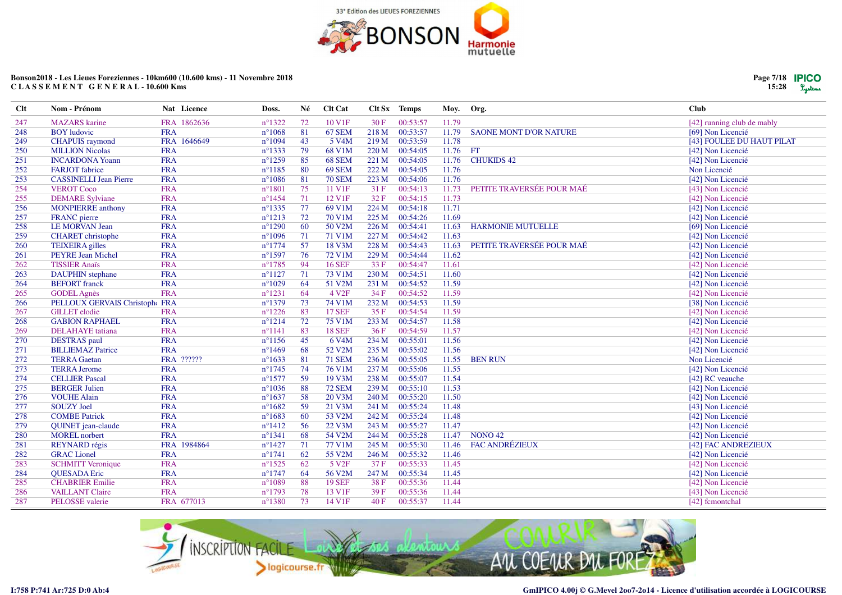

Nat Licence

FRA 1862636

FRA 1646649

**FRA** 

**FRA** 

**FRA** 

**FRA** 

**FRA** 

**FRA** 

**FRA** 

**FRA** 

**FRA** 

**FRA** 

**FRA** 

**FRA** 

**FRA** 

**FRA** 

**FRA** 

**FRA** 

**FRA** 

**FRA** 

**FRA** 

**FRA** 

**FRA** 

**FRA** 

**FRA** 

**FRA** 

**FRA** 

**FRA** 

**FRA** 

**FRA** 

**FRA** 

**FRA** 

**FRA** 

**FRA** 

**FRA** 

**FRA** 

**FRA** 

FRA 1984864

FRA 677013

FRA ??????

 $n^{\circ}1633$ 

 $n^{\circ}1745$ 

 $n^{\circ}1577$ 

 $n^{\circ}1036$ 

 $n^{\circ}1637$ 

 $n^{\circ}1682$ 

 $n^{\circ}1683$ 

 $n^{\circ}1412$ 

 $n^{\circ}1341$ 

 $n^{\circ}$ 1427

 $n^{\circ}1741$ 

 $n^{\circ}1525$ 

 $n^{\circ}1747$ 

 $n^{\circ}1089$ 

 $n^{\circ}1793$ 

 $n^{\circ}$ 1380

81

74

59

88

58

59

60

56

68

71

62

62

64

88

78

73

**71 SEM** 

76 V1M

19 V3M

72 SEM

20 V3M

21 V3M

53 V<sub>2</sub>M

22 V3M

54 V2M

77 V1M

55 V2M

5 V<sub>2F</sub>

56 V2M

**19 SEF** 

13 V1F

14 V1F

236 M

237 M

238 M

239 M

240 M

241 M

242 M

243 M

244 M

245 M

246 M

37 F

247 M

38F

39F

 $40F$ 

00:55:05

 $00:55:06$ 

00:55:07

00:55:10

00:55:20

00:55:24

 $00:55:24$ 

00:55:27

00:55:28

00:55:30

00:55:32

00:55:33

 $00:55:34$ 

00:55:36

00:55:36

00:55:37

11.55

11.55

11.54

11.53

11.50

11.48

11.48

11.47

11.47

11.46

11.46

11.45

11.45

11.44

11.44

11.44

**BEN RUN** 

**NONO 42** 

**FAC ANDRÉZIEUX** 

| Doss.            | Né | <b>Clt Cat</b>     |       | Clt Sx Temps | Moy. Org. |                               | <b>Club</b>                |
|------------------|----|--------------------|-------|--------------|-----------|-------------------------------|----------------------------|
| $n^{\circ}$ 1322 | 72 | 10 V1F             | 30F   | 00:53:57     | 11.79     |                               | [42] running club de mably |
| $n^{\circ}1068$  | 81 | 67 SEM             | 218 M | 00:53:57     | 11.79     | <b>SAONE MONT D'OR NATURE</b> | [69] Non Licencié          |
| $n^{\circ}1094$  | 43 | 5 V <sub>4</sub> M | 219 M | 00:53:59     | 11.78     |                               | [43] FOULEE DU HAUT PILAT  |
| $n^{\circ}$ 1333 | 79 | 68 V1M             | 220 M | 00:54:05     | 11.76     | FT                            | [42] Non Licencié          |
| $n^{\circ}1259$  | 85 | <b>68 SEM</b>      | 221 M | 00:54:05     | 11.76     | <b>CHUKIDS 42</b>             | [42] Non Licencié          |
| $n^{\circ}1185$  | 80 | <b>69 SEM</b>      | 222 M | 00:54:05     | 11.76     |                               | Non Licencié               |
| $n^{\circ}1086$  | 81 | <b>70 SEM</b>      | 223 M | 00:54:06     | 11.76     |                               | [42] Non Licencié          |
| $n^{\circ}1801$  | 75 | 11 V1F             | 31F   | 00:54:13     | 11.73     | PETITE TRAVERSÉE POUR MAÉ     | [43] Non Licencié          |
| $n^{\circ}$ 1454 | 71 | 12 V1F             | 32 F  | 00:54:15     | 11.73     |                               | [42] Non Licencié          |
| $n^{\circ}$ 1335 | 77 | 69 V1M             | 224 M | 00:54:18     | 11.71     |                               | [42] Non Licencié          |
| $n^{\circ}1213$  | 72 | 70 V1M             | 225 M | 00:54:26     | 11.69     |                               | [42] Non Licencié          |
| $n^{\circ}1290$  | 60 | 50 V2M             | 226 M | 00:54:41     | 11.63     | <b>HARMONIE MUTUELLE</b>      | [69] Non Licencié          |
| $n^{\circ}1096$  | 71 | 71 V1M             | 227 M | 00:54:42     | 11.63     |                               | [42] Non Licencié          |
| $n^{\circ}1774$  | 57 | 18 V3M             | 228 M | 00:54:43     | 11.63     | PETITE TRAVERSÉE POUR MAÉ     | [42] Non Licencié          |
| $n^{\circ}$ 1597 | 76 | 72 V1M             | 229 M | 00:54:44     | 11.62     |                               | [42] Non Licencié          |
| $n^{\circ}$ 1785 | 94 | <b>16 SEF</b>      | 33 F  | 00:54:47     | 11.61     |                               | [42] Non Licencié          |
| $n^{\circ}1127$  | 71 | 73 V1M             | 230 M | 00:54:51     | 11.60     |                               | [42] Non Licencié          |
| $n^{\circ}1029$  | 64 | 51 V2M             | 231 M | 00:54:52     | 11.59     |                               | [42] Non Licencié          |
| $n^{\circ}1231$  | 64 | 4 V <sub>2F</sub>  | 34F   | 00:54:52     | 11.59     |                               | [42] Non Licencié          |
| $n^{\circ}$ 1379 | 73 | 74 V1M             | 232 M | 00:54:53     | 11.59     |                               | [38] Non Licencié          |
| $n^{\circ}1226$  | 83 | <b>17 SEF</b>      | 35 F  | 00:54:54     | 11.59     |                               | [42] Non Licencié          |
| $n^{\circ}1214$  | 72 | 75 V1M             | 233 M | 00:54:57     | 11.58     |                               | [42] Non Licencié          |
| $n^{\circ}1141$  | 83 | <b>18 SEF</b>      | 36F   | 00:54:59     | 11.57     |                               | [42] Non Licencié          |
| $n^{\circ}1156$  | 45 | 6 V <sub>4</sub> M | 234 M | 00:55:01     | 11.56     |                               | [42] Non Licencié          |
| $n^{\circ}$ 1469 | 68 | 52 V2M             | 235 M | 00:55:02     | 11.56     |                               | [42] Non Licencié          |



**Clt** 

247

248

249

250

251

 $252$ 

253

254

255

256

257

258

259

260

261

262

263

264

265

266

267

268

269

270

271

272

273

274

275

276

277

278

279

280

281

282

283

284

285

286

287

Nom - Prénom

**BOY** ludovic

**MAZARS** karine

**CHAPUIS** raymond

**MILLION Nicolas** 

**FARJOT** fabrice

**VEROT Coco** 

**FRANC** pierre

**INCARDONA Yoann** 

**DEMARE Sylviane** 

**LE MORVAN Jean** 

**TEIXEIRA** gilles

**TISSIER Anaïs** 

**BEFORT** franck

**GODEL Agnès** 

**GILLET** elodie

**DESTRAS** paul

**TERRA Gaetan** 

**TERRA Jerome** 

**CELLIER Pascal** 

**BERGER Julien** 

**COMBE Patrick** 

**MOREL** norbert

**GRAC** Lionel

**OUESADA Eric** 

**REYNARD** régis

**QUINET** jean-claude

**SCHMITT Veronique** 

**CHABRIER Emilie** 

**VAILLANT Claire** 

PELOSSE valerie

**VOUHE Alain** 

**SOUZY Joel** 

**CHARET** christophe

**PEYRE Jean Michel** 

**DAUPHIN** stephane

**GABION RAPHAEL** 

**DELAHAYE** tatiana

**BILLIEMAZ Patrice** 

PELLOUX GERVAIS Christophe FRA

**MONPIERRE** anthony

**CASSINELLI Jean Pierre** 

Non Licencié

[42] Non Licencié

[42] Non Licencié

[42] Non Licencié

[43] Non Licencié

[42] Non Licencié

[42] Non Licencié

[42] Non Licencié

[42] Non Licencié

[42] Non Licencié

[42] Non Licencié

[42] Non Licencié

[43] Non Licencié

[42] fcmontchal

[42] FAC ANDREZIEUX

[42] RC veauche

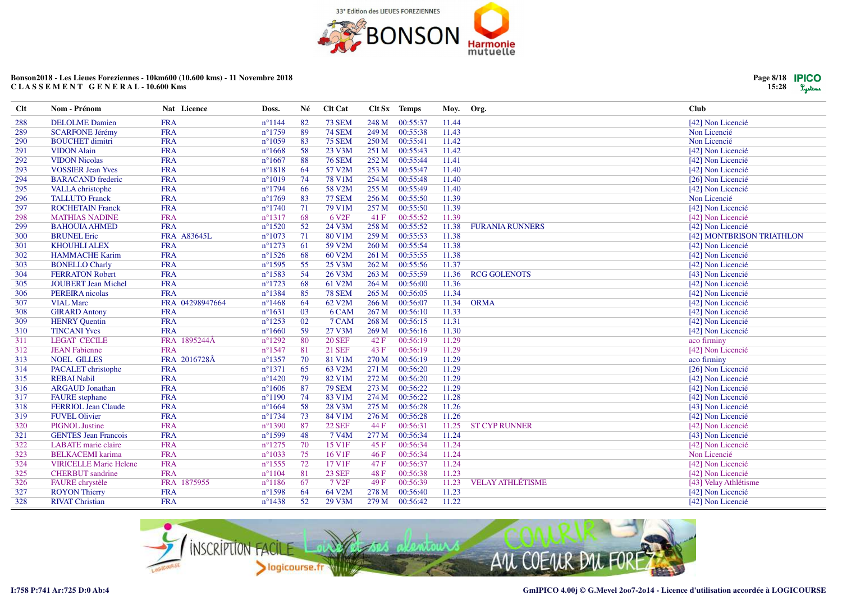

| Clt | Nom - Prénom                  | Nat Licence        | Doss.            | Né  | Clt Cat            |       | Clt Sx Temps | Moy.  | Org.                    | <b>Club</b>               |
|-----|-------------------------------|--------------------|------------------|-----|--------------------|-------|--------------|-------|-------------------------|---------------------------|
| 288 | <b>DELOLME</b> Damien         | <b>FRA</b>         | $n^{\circ}1144$  | -82 | <b>73 SEM</b>      | 248 M | 00:55:37     | 11.44 |                         | [42] Non Licencié         |
| 289 | <b>SCARFONE Jérémy</b>        | <b>FRA</b>         | $n^{\circ}1759$  | 89  | <b>74 SEM</b>      | 249 M | 00:55:38     | 11.43 |                         | Non Licencié              |
| 290 | <b>BOUCHET</b> dimitri        | <b>FRA</b>         | $n^{\circ}1059$  | 83  | <b>75 SEM</b>      | 250 M | 00:55:41     | 11.42 |                         | Non Licencié              |
| 291 | <b>VIDON</b> Alain            | <b>FRA</b>         | $n^{\circ}1668$  | 58  | 23 V3M             | 251 M | 00:55:43     | 11.42 |                         | [42] Non Licencié         |
| 292 | <b>VIDON Nicolas</b>          | <b>FRA</b>         | $n^{\circ}1667$  | 88  | <b>76 SEM</b>      | 252 M | 00:55:44     | 11.41 |                         | [42] Non Licencié         |
| 293 | <b>VOSSIER Jean Yves</b>      | <b>FRA</b>         | $n^{\circ}1818$  | 64  | 57 V2M             | 253 M | 00:55:47     | 11.40 |                         | [42] Non Licencié         |
| 294 | <b>BARACAND</b> frederic      | <b>FRA</b>         | $n^{\circ}1019$  | 74  | <b>78 V1M</b>      | 254 M | 00:55:48     | 11.40 |                         | [26] Non Licencié         |
| 295 | VALLA christophe              | <b>FRA</b>         | $n^{\circ}1794$  | -66 | 58 V2M             | 255 M | 00:55:49     | 11.40 |                         | [42] Non Licencié         |
| 296 | <b>TALLUTO Franck</b>         | <b>FRA</b>         | $n^{\circ}1769$  | 83  | <b>77 SEM</b>      | 256 M | 00:55:50     | 11.39 |                         | Non Licencié              |
| 297 | <b>ROCHETAIN Franck</b>       | <b>FRA</b>         | $n^{\circ}1740$  | 71  | 79 V1M             | 257 M | 00:55:50     | 11.39 |                         | [42] Non Licencié         |
| 298 | <b>MATHIAS NADINE</b>         | <b>FRA</b>         | $n^{\circ}1317$  | 68  | 6 V <sub>2F</sub>  | 41 F  | 00:55:52     | 11.39 |                         | [42] Non Licencié         |
| 299 | <b>BAHOUIA AHMED</b>          | <b>FRA</b>         | $n^{\circ}1520$  | 52  | 24 V3M             | 258 M | 00:55:52     | 11.38 | <b>FURANIA RUNNERS</b>  | [42] Non Licencié         |
| 300 | <b>BRUNEL</b> Eric            | <b>FRA A83645L</b> | $n^{\circ}1073$  | 71  | 80 V1M             | 259 M | 00:55:53     | 11.38 |                         | [42] MONTBRISON TRIATHLON |
| 301 | <b>KHOUHLI ALEX</b>           | <b>FRA</b>         | $n^{\circ}1273$  | 61  | 59 V2M             | 260 M | 00:55:54     | 11.38 |                         | [42] Non Licencié         |
| 302 | <b>HAMMACHE Karim</b>         | <b>FRA</b>         | $n^{\circ}1526$  | 68  | 60 V2M             | 261 M | 00:55:55     | 11.38 |                         | [42] Non Licencié         |
| 303 | <b>BONELLO Charly</b>         | <b>FRA</b>         | $n^{\circ}1595$  | 55  | 25 V3M             | 262 M | 00:55:56     | 11.37 |                         | [42] Non Licencié         |
| 304 | <b>FERRATON Robert</b>        | <b>FRA</b>         | $n^{\circ}1583$  | 54  | 26 V3M             | 263 M | 00:55:59     | 11.36 | <b>RCG GOLENOTS</b>     | [43] Non Licencié         |
| 305 | <b>JOUBERT Jean Michel</b>    | <b>FRA</b>         | $n^{\circ}1723$  | 68  | 61 V2M             | 264 M | 00:56:00     | 11.36 |                         | [42] Non Licencié         |
| 306 | PEREIRA nicolas               | <b>FRA</b>         | $n^{\circ}1384$  | 85  | <b>78 SEM</b>      | 265 M | 00:56:05     | 11.34 |                         | [42] Non Licencié         |
| 307 | <b>VIAL Marc</b>              | FRA 04298947664    | $n^{\circ}$ 1468 | 64  | 62 V2M             | 266 M | 00:56:07     | 11.34 | <b>ORMA</b>             | [42] Non Licencié         |
| 308 | <b>GIRARD Antony</b>          | <b>FRA</b>         | $n^{\circ}1631$  | 03  | 6 CAM              | 267 M | 00:56:10     | 11.33 |                         | [42] Non Licencié         |
| 309 | <b>HENRY Quentin</b>          | <b>FRA</b>         | $n^{\circ}1253$  | 02  | 7 CAM              | 268 M | 00:56:15     | 11.31 |                         | [42] Non Licencié         |
| 310 | <b>TINCANI Yves</b>           | <b>FRA</b>         | $n^{\circ}1660$  | 59  | 27 V3M             | 269 M | 00:56:16     | 11.30 |                         | [42] Non Licencié         |
| 311 | <b>LEGAT CECILE</b>           | FRA 1895244Â       | $n^{\circ}1292$  | 80  | <b>20 SEF</b>      | 42F   | 00:56:19     | 11.29 |                         | aco firminy               |
| 312 | <b>JEAN Fabienne</b>          | <b>FRA</b>         | $n^{\circ}1547$  | 81  | <b>21 SEF</b>      | 43 F  | 00:56:19     | 11.29 |                         | [42] Non Licencié         |
| 313 | <b>NOEL GILLES</b>            | FRA 2016728Â       | $n^{\circ}1357$  | 70  | 81 V1M             | 270 M | 00:56:19     | 11.29 |                         | aco firminy               |
| 314 | PACALET christophe            | <b>FRA</b>         | $n^{\circ}1371$  | 65  | 63 V2M             | 271 M | 00:56:20     | 11.29 |                         | [26] Non Licencié         |
| 315 | <b>REBAI Nabil</b>            | <b>FRA</b>         | $n^{\circ}1420$  | 79  | 82 V1M             | 272 M | 00:56:20     | 11.29 |                         | [42] Non Licencié         |
| 316 | <b>ARGAUD</b> Jonathan        | <b>FRA</b>         | $n^{\circ}1606$  | 87  | <b>79 SEM</b>      | 273 M | 00:56:22     | 11.29 |                         | [42] Non Licencié         |
| 317 | <b>FAURE</b> stephane         | <b>FRA</b>         | $n^{\circ}1190$  | 74  | 83 V1M             | 274 M | 00:56:22     | 11.28 |                         | [42] Non Licencié         |
| 318 | <b>FERRIOL Jean Claude</b>    | <b>FRA</b>         | $n^{\circ}1664$  | 58  | 28 V3M             | 275 M | 00:56:28     | 11.26 |                         | [43] Non Licencié         |
| 319 | <b>FUVEL Olivier</b>          | <b>FRA</b>         | $n^{\circ}1734$  | 73  | 84 V1M             | 276 M | 00:56:28     | 11.26 |                         | [42] Non Licencié         |
| 320 | <b>PIGNOL Justine</b>         | <b>FRA</b>         | $n^{\circ}1390$  | 87  | <b>22 SEF</b>      | 44 F  | 00:56:31     | 11.25 | <b>ST CYP RUNNER</b>    | [42] Non Licencié         |
| 321 | <b>GENTES Jean Francois</b>   | <b>FRA</b>         | $n^{\circ}1599$  | 48  | 7 V <sub>4</sub> M | 277 M | 00:56:34     | 11.24 |                         | [43] Non Licencié         |
| 322 | <b>LABATE</b> marie claire    | <b>FRA</b>         | $n^{\circ}1275$  | 70  | 15 V <sub>1F</sub> | 45 F  | 00:56:34     | 11.24 |                         | [42] Non Licencié         |
| 323 | <b>BELKACEMI</b> karima       | <b>FRA</b>         | $n^{\circ}1033$  | 75  | 16 V1F             | 46F   | 00:56:34     | 11.24 |                         | Non Licencié              |
| 324 | <b>VIRICELLE Marie Helene</b> | <b>FRA</b>         | $n^{\circ}$ 1555 | 72  | 17 V1F             | 47 F  | 00:56:37     | 11.24 |                         | [42] Non Licencié         |
| 325 | <b>CHERBUT</b> sandrine       | <b>FRA</b>         | $n^{\circ}1104$  | 81  | <b>23 SEF</b>      | 48 F  | 00:56:38     | 11.23 |                         | [42] Non Licencié         |
| 326 | FAURE chrystèle               | FRA 1875955        | $n^{\circ}1186$  | 67  | 7 V <sub>2F</sub>  | 49F   | 00:56:39     | 11.23 | <b>VELAY ATHLÉTISME</b> | [43] Velay Athlétisme     |
| 327 | <b>ROYON Thierry</b>          | <b>FRA</b>         | $n^{\circ}1598$  | 64  | 64 V2M             | 278 M | 00:56:40     | 11.23 |                         | [42] Non Licencié         |
| 328 | <b>RIVAT Christian</b>        | <b>FRA</b>         | $n^{\circ}$ 1438 | 52  | 29 V3M             | 279 M | 00:56:42     | 11.22 |                         | [42] Non Licencié         |

![](_page_7_Picture_3.jpeg)

![](_page_7_Picture_6.jpeg)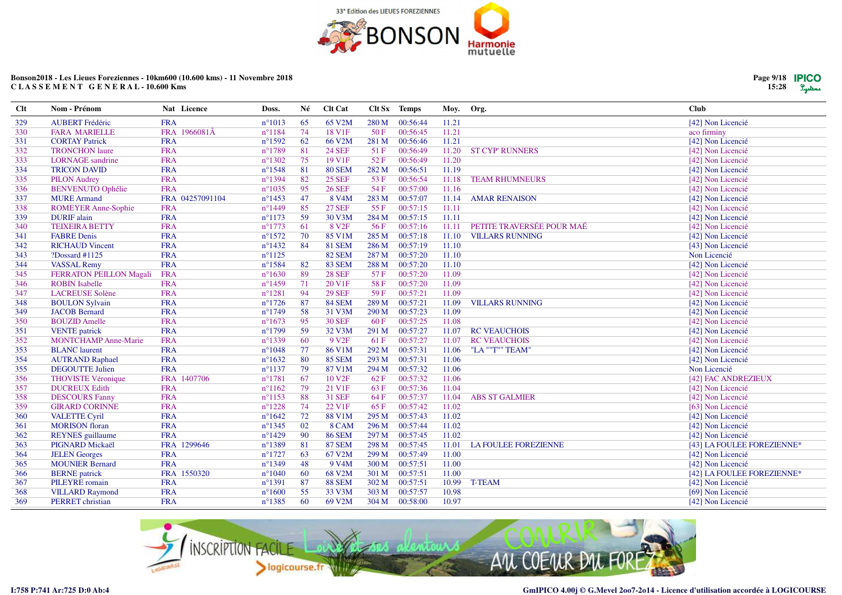![](_page_8_Picture_0.jpeg)

| <b>Clt</b> | Nom - Prénom                   | Nat Licence     | Doss.            | Né  | Clt Cat            |       | Clt Sx Temps | Moy.  | Org.                        | <b>Club</b>                |
|------------|--------------------------------|-----------------|------------------|-----|--------------------|-------|--------------|-------|-----------------------------|----------------------------|
| 329        | <b>AUBERT Frédéric</b>         | <b>FRA</b>      | $n^{\circ}1013$  | 65  | 65 V2M             | 280 M | 00:56:44     | 11.21 |                             | [42] Non Licencié          |
| 330        | <b>FARA MARIELLE</b>           | FRA 1966081Â    | $n^{\circ}1184$  | 74  | 18 V1F             | 50 F  | 00:56:45     | 11.21 |                             | aco firminy                |
| 331        | <b>CORTAY Patrick</b>          | <b>FRA</b>      | $n^{\circ}$ 1592 | 62  | 66 V2M             | 281 M | 00:56:46     | 11.21 |                             | [42] Non Licencié          |
| 332        | <b>TRONCHON</b> laure          | <b>FRA</b>      | $n^{\circ}1789$  | 81  | <b>24 SEF</b>      | 51F   | 00:56:49     | 11.20 | <b>ST CYP' RUNNERS</b>      | [42] Non Licencié          |
| 333        | <b>LORNAGE</b> sandrine        | <b>FRA</b>      | $n^{\circ}1302$  | 75  | 19 V1F             | 52F   | 00:56:49     | 11.20 |                             | [42] Non Licencié          |
| 334        | <b>TRICON DAVID</b>            | <b>FRA</b>      | $n^{\circ}1548$  | 81  | <b>80 SEM</b>      | 282 M | 00:56:51     | 11.19 |                             | [42] Non Licencié          |
| 335        | <b>PILON Audrey</b>            | <b>FRA</b>      | $n^{\circ}1394$  | 82  | <b>25 SEF</b>      | 53F   | 00:56:54     | 11.18 | <b>TEAM RHUMNEURS</b>       | [42] Non Licencié          |
| 336        | <b>BENVENUTO Ophélie</b>       | <b>FRA</b>      | $n^{\circ}1035$  | 95  | <b>26 SEF</b>      | 54 F  | 00:57:00     | 11.16 |                             | [42] Non Licencié          |
| 337        | <b>MURE</b> Armand             | FRA 04257091104 | $n^{\circ}$ 1453 | 47  | 8 V <sub>4</sub> M | 283 M | 00:57:07     | 11.14 | <b>AMAR RENAISON</b>        | [42] Non Licencié          |
| 338        | <b>ROMEYER Anne-Sophie</b>     | <b>FRA</b>      | $n^{\circ}$ 1449 | 85  | <b>27 SEF</b>      | 55 F  | 00:57:15     | 11.11 |                             | [42] Non Licencié          |
| 339        | <b>DURIF</b> alain             | <b>FRA</b>      | $n^{\circ}1173$  | 59  | 30 V3M             | 284 M | 00:57:15     | 11.11 |                             | [42] Non Licencié          |
| 340        | <b>TEIXEIRA BETTY</b>          | <b>FRA</b>      | $n^{\circ}1773$  | 61  | 8 V <sub>2F</sub>  | 56F   | 00:57:16     | 11.11 | PETITE TRAVERSÉE POUR MAÉ   | [42] Non Licencié          |
| 341        | <b>FABRE</b> Denis             | <b>FRA</b>      | $n^{\circ}1572$  | 70  | 85 V1M             | 285 M | 00:57:18     | 11.10 | <b>VILLARS RUNNING</b>      | [42] Non Licencié          |
| 342        | <b>RICHAUD Vincent</b>         | <b>FRA</b>      | $n^{\circ}$ 1432 | 84  | <b>81 SEM</b>      | 286 M | 00:57:19     | 11.10 |                             | [43] Non Licencié          |
| 343        | $?$ Dossard #1125              | <b>FRA</b>      | $n^{\circ}1125$  |     | <b>82 SEM</b>      | 287 M | 00:57:20     | 11.10 |                             | Non Licencié               |
| 344        | <b>VASSAL Remy</b>             | <b>FRA</b>      | $n^{\circ}$ 1584 | 82  | <b>83 SEM</b>      | 288 M | 00:57:20     | 11.10 |                             | [42] Non Licencié          |
| 345        | <b>FERRATON PEILLON Magali</b> | <b>FRA</b>      | $n^{\circ}1630$  | -89 | <b>28 SEF</b>      | 57 F  | 00:57:20     | 11.09 |                             | [42] Non Licencié          |
| 346        | <b>ROBIN</b> Isabelle          | <b>FRA</b>      | $n^{\circ}$ 1459 | 71  | 20 V1F             | 58 F  | 00:57:20     | 11.09 |                             | [42] Non Licencié          |
| 347        | <b>LACREUSE Solène</b>         | <b>FRA</b>      | $n^{\circ}1281$  | 94  | <b>29 SEF</b>      | 59F   | 00:57:21     | 11.09 |                             | [42] Non Licencié          |
| 348        | <b>BOULON Sylvain</b>          | <b>FRA</b>      | $n^{\circ}1726$  | 87  | <b>84 SEM</b>      | 289 M | 00:57:21     | 11.09 | <b>VILLARS RUNNING</b>      | [42] Non Licencié          |
| 349        | <b>JACOB</b> Bernard           | <b>FRA</b>      | $n^{\circ}1749$  | 58  | 31 V3M             | 290 M | 00:57:23     | 11.09 |                             | [42] Non Licencié          |
| 350        | <b>BOUZID</b> Amelle           | <b>FRA</b>      | $n^{\circ}1673$  | 95  | <b>30 SEF</b>      | 60F   | 00:57:25     | 11.08 |                             | [42] Non Licencié          |
| 351        | <b>VENTE</b> patrick           | <b>FRA</b>      | $n^{\circ}$ 1799 | 59  | 32 V3M             | 291 M | 00:57:27     | 11.07 | <b>RC VEAUCHOIS</b>         | [42] Non Licencié          |
| 352        | <b>MONTCHAMP Anne-Marie</b>    | <b>FRA</b>      | n°1339           | 60  | 9 V <sub>2F</sub>  | 61 F  | 00:57:27     | 11.07 | <b>RC VEAUCHOIS</b>         | [42] Non Licencié          |
| 353        | <b>BLANC</b> laurent           | <b>FRA</b>      | $n^{\circ}1048$  | 77  | 86 V1M             | 292 M | 00:57:31     | 11.06 | "LA ""T"" TEAM"             | [42] Non Licencié          |
| 354        | <b>AUTRAND Raphael</b>         | <b>FRA</b>      | $n^{\circ}1632$  | 80  | <b>85 SEM</b>      | 293 M | 00:57:31     | 11.06 |                             | [42] Non Licencié          |
| 355        | <b>DEGOUTTE Julien</b>         | <b>FRA</b>      | $n^{\circ}1137$  | 79  | 87 V1M             | 294 M | 00:57:32     | 11.06 |                             | Non Licencié               |
| 356        | <b>THOVISTE Véronique</b>      | FRA 1407706     | $n^{\circ}1781$  | 67  | 10 V <sub>2F</sub> | 62 F  | 00:57:32     | 11.06 |                             | [42] FAC ANDREZIEUX        |
| 357        | <b>DUCREUX Edith</b>           | <b>FRA</b>      | $n^{\circ}1162$  | 79  | 21 V1F             | 63F   | 00:57:36     | 11.04 |                             | [42] Non Licencié          |
| 358        | <b>DESCOURS Fanny</b>          | <b>FRA</b>      | $n^{\circ}1153$  | 88  | <b>31 SEF</b>      | 64 F  | 00:57:37     | 11.04 | <b>ABS ST GALMIER</b>       | [42] Non Licencié          |
| 359        | <b>GIRARD CORINNE</b>          | <b>FRA</b>      | $n^{\circ}1228$  | 74  | 22 V1F             | 65F   | 00:57:42     | 11.02 |                             | [63] Non Licencié          |
| 360        | <b>VALETTE Cyril</b>           | <b>FRA</b>      | $n^{\circ}1642$  | 72  | <b>88 V1M</b>      | 295 M | 00:57:43     | 11.02 |                             | [42] Non Licencié          |
| 361        | <b>MORISON</b> floran          | <b>FRA</b>      | $n^{\circ}$ 1345 | 02  | 8 CAM              | 296 M | 00:57:44     | 11.02 |                             | [42] Non Licencié          |
| 362        | <b>REYNES</b> guillaume        | <b>FRA</b>      | $n^{\circ}1429$  | 90  | <b>86 SEM</b>      | 297 M | 00:57:45     | 11.02 |                             | [42] Non Licencié          |
| 363        | PIGNARD Mickaël                | FRA 1299646     | $n^{\circ}1389$  | 81  | <b>87 SEM</b>      | 298 M | 00:57:45     | 11.01 | <b>LA FOULEE FOREZIENNE</b> | [43] LA FOULEE FOREZIENNE* |
| 364        | <b>JELEN</b> Georges           | <b>FRA</b>      | $n^{\circ}1727$  | 63  | 67 V2M             | 299 M | 00:57:49     | 11.00 |                             | [42] Non Licencié          |
| 365        | <b>MOUNIER Bernard</b>         | <b>FRA</b>      | $n^{\circ}1349$  | 48  | 9 V <sub>4</sub> M | 300 M | 00:57:51     | 11.00 |                             | [42] Non Licencié          |
| 366        | <b>BERNE</b> patrick           | FRA 1550320     | $n^{\circ}1040$  | -60 | 68 V2M             | 301 M | 00:57:51     | 11.00 |                             | [42] LA FOULEE FOREZIENNE* |
| 367        | PILEYRE romain                 | <b>FRA</b>      | $n^{\circ}1391$  | 87  | <b>88 SEM</b>      | 302 M | 00:57:51     | 10.99 | <b>T-TEAM</b>               | [42] Non Licencié          |
| 368        | <b>VILLARD Raymond</b>         | <b>FRA</b>      | $n^{\circ}1600$  | 55  | 33 V3M             | 303 M | 00:57:57     | 10.98 |                             | [69] Non Licencié          |
| 369        | PERRET christian               | <b>FRA</b>      | $n^{\circ}$ 1385 | 60  | 69 V2M             | 304 M | 00:58:00     | 10.97 |                             | [42] Non Licencié          |

![](_page_8_Picture_3.jpeg)

![](_page_8_Picture_6.jpeg)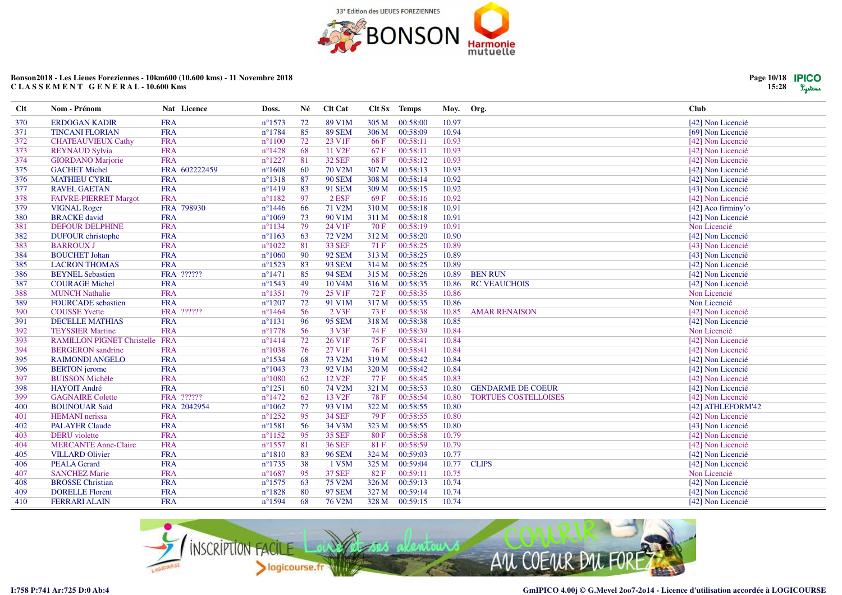![](_page_9_Picture_0.jpeg)

| Clt | Nom - Prénom                          | Nat Licence   | Doss.            | Né  | <b>Clt Cat</b>      |             | Clt Sx Temps | Moy.  | Org.                        | Club               |
|-----|---------------------------------------|---------------|------------------|-----|---------------------|-------------|--------------|-------|-----------------------------|--------------------|
| 370 | <b>ERDOGAN KADIR</b>                  | <b>FRA</b>    | $n^{\circ}1573$  | 72  | 89 V1M              | 305 M       | 00:58:00     | 10.97 |                             | [42] Non Licencié  |
| 371 | <b>TINCANI FLORIAN</b>                | <b>FRA</b>    | $n^{\circ}1784$  | 85  | <b>89 SEM</b>       | 306 M       | 00:58:09     | 10.94 |                             | [69] Non Licencié  |
| 372 | <b>CHATEAUVIEUX Cathy</b>             | <b>FRA</b>    | $n^{\circ}1100$  | 72  | 23 V1F              | 66 F        | 00:58:11     | 10.93 |                             | [42] Non Licencié  |
| 373 | <b>REYNAUD Sylvia</b>                 | <b>FRA</b>    | $n^{\circ}$ 1428 | 68  | 11 V <sub>2F</sub>  | 67F         | 00:58:11     | 10.93 |                             | [42] Non Licencié  |
| 374 | <b>GIORDANO</b> Marjorie              | <b>FRA</b>    | $n^{\circ}1227$  | 81  | <b>32 SEF</b>       | 68F         | 00:58:12     | 10.93 |                             | [42] Non Licencié  |
| 375 | <b>GACHET Michel</b>                  | FRA 602222459 | $n^{\circ}1608$  | 60  | 70 V2M              | 307 M       | 00:58:13     | 10.93 |                             | [42] Non Licencié  |
| 376 | <b>MATHIEU CYRIL</b>                  | <b>FRA</b>    | $n^{\circ}1318$  | 87  | <b>90 SEM</b>       | 308 M       | 00:58:14     | 10.92 |                             | [42] Non Licencié  |
| 377 | <b>RAVEL GAETAN</b>                   | <b>FRA</b>    | $n^{\circ}1419$  | 83  | <b>91 SEM</b>       | 309 M       | 00:58:15     | 10.92 |                             | [43] Non Licencié  |
| 378 | <b>FAIVRE-PIERRET Margot</b>          | <b>FRA</b>    | $n^{\circ}1182$  | 97  | $2$ ESF             | 69F         | 00:58:16     | 10.92 |                             | [42] Non Licencié  |
| 379 | <b>VIGNAL Roger</b>                   | FRA 798930    | $n^{\circ}$ 1446 | -66 | 71 V2M              | 310 M       | 00:58:18     | 10.91 |                             | [42] Aco firminy'o |
| 380 | <b>BRACKE</b> david                   | <b>FRA</b>    | $n^{\circ}1069$  | 73  | 90 V1M              | 311 M       | 00:58:18     | 10.91 |                             | [42] Non Licencié  |
| 381 | <b>DEFOUR DELPHINE</b>                | <b>FRA</b>    | $n^{\circ}1134$  | 79  | 24 V1F              | 70 F        | 00:58:19     | 10.91 |                             | Non Licencié       |
| 382 | <b>DUFOUR</b> christophe              | <b>FRA</b>    | $n^{\circ}1163$  | 63  | 72 V2M              | 312 M       | 00:58:20     | 10.90 |                             | [42] Non Licencié  |
| 383 | <b>BARROUX J</b>                      | <b>FRA</b>    | $n^{\circ}1022$  | 81  | <b>33 SEF</b>       | 71 F        | 00:58:25     | 10.89 |                             | [43] Non Licencié  |
| 384 | <b>BOUCHET Johan</b>                  | <b>FRA</b>    | $n^{\circ}1060$  | 90  | <b>92 SEM</b>       | 313 M       | 00:58:25     | 10.89 |                             | [43] Non Licencié  |
| 385 | <b>LACRON THOMAS</b>                  | <b>FRA</b>    | $n^{\circ}1523$  | 83  | <b>93 SEM</b>       | 314 M       | 00:58:25     | 10.89 |                             | [42] Non Licencié  |
| 386 | <b>BEYNEL Sebastien</b>               | FRA ??????    | $n^{\circ}1471$  | 85  | <b>94 SEM</b>       | 315 M       | 00:58:26     | 10.89 | <b>BEN RUN</b>              | [42] Non Licencié  |
| 387 | <b>COURAGE Michel</b>                 | <b>FRA</b>    | $n^{\circ}1543$  | 49  | 10 V <sub>4</sub> M | 316 M       | 00:58:35     | 10.86 | <b>RC VEAUCHOIS</b>         | [42] Non Licencié  |
| 388 | <b>MUNCH Nathalie</b>                 | <b>FRA</b>    | $n^{\circ}$ 1351 | 79  | 25 V1F              | 72 F        | 00:58:35     | 10.86 |                             | Non Licencié       |
| 389 | <b>FOURCADE</b> sebastien             | <b>FRA</b>    | $n^{\circ}1207$  | 72  | 91 V1M              | 317 M       | 00:58:35     | 10.86 |                             | Non Licencié       |
| 390 | <b>COUSSE</b> Yvette                  | FRA ??????    | $n^{\circ}$ 1464 | 56  | 2 V3F               | 73 F        | 00:58:38     | 10.85 | <b>AMAR RENAISON</b>        | [42] Non Licencié  |
| 391 | <b>DECELLE MATHIAS</b>                | <b>FRA</b>    | $n^{\circ}1131$  | 96  | <b>95 SEM</b>       | 318 M       | 00:58:38     | 10.85 |                             | [42] Non Licencié  |
| 392 | <b>TEYSSIER Martine</b>               | <b>FRA</b>    | $n^{\circ}1778$  | 56  | 3 V3F               | 74 F        | 00:58:39     | 10.84 |                             | Non Licencié       |
| 393 | <b>RAMILLON PIGNET Christelle FRA</b> |               | $n^{\circ}1414$  | 72  | 26 V1F              | 75F         | 00:58:41     | 10.84 |                             | [42] Non Licencié  |
| 394 | <b>BERGERON</b> sandrine              | <b>FRA</b>    | $n^{\circ}1038$  | 76  | 27 V1F              | 76F         | 00:58:41     | 10.84 |                             | [42] Non Licencié  |
| 395 | <b>RAIMONDI ANGELO</b>                | <b>FRA</b>    | $n^{\circ}1534$  | 68  | 73 V2M              | 319 M       | 00:58:42     | 10.84 |                             | [42] Non Licencié  |
| 396 | <b>BERTON</b> jerome                  | <b>FRA</b>    | $n^{\circ}1043$  | 73  | 92 V1M              | 320 M       | 00:58:42     | 10.84 |                             | [42] Non Licencié  |
| 397 | <b>BUISSON Michèle</b>                | <b>FRA</b>    | $n^{\circ}1080$  | 62  | 12 V <sub>2F</sub>  | 77 F        | 00:58:45     | 10.83 |                             | [42] Non Licencié  |
| 398 | <b>HAYOIT André</b>                   | <b>FRA</b>    | $n^{\circ}1251$  | 60  | 74 V2M              | 321 M       | 00:58:53     | 10.80 | <b>GENDARME DE COEUR</b>    | [42] Non Licencié  |
| 399 | <b>GAGNAIRE Colette</b>               | FRA ??????    | $n^{\circ}$ 1472 | 62  | 13 V <sub>2F</sub>  | <b>78 F</b> | 00:58:54     | 10.80 | <b>TORTUES COSTELLOISES</b> | [42] Non Licencié  |
| 400 | <b>BOUNOUAR Saïd</b>                  | FRA 2042954   | $n^{\circ}1062$  | 77  | 93 V1M              | 322 M       | 00:58:55     | 10.80 |                             | [42] ATHLEFORM'42  |
| 401 | <b>HEMANI</b> nerissa                 | <b>FRA</b>    | $n^{\circ}$ 1252 | 95  | <b>34 SEF</b>       | 79F         | 00:58:55     | 10.80 |                             | [42] Non Licencié  |
| 402 | <b>PALAYER Claude</b>                 | <b>FRA</b>    | $n^{\circ}1581$  | 56  | 34 V3M              | 323 M       | 00:58:55     | 10.80 |                             | [43] Non Licencié  |
| 403 | <b>DERU</b> violette                  | <b>FRA</b>    | $n^{\circ}1152$  | 95  | <b>35 SEF</b>       | 80F         | 00:58:58     | 10.79 |                             | [42] Non Licencié  |
| 404 | <b>MERCANTE Anne-Claire</b>           | <b>FRA</b>    | $n^{\circ}$ 1557 | 81  | <b>36 SEF</b>       | 81F         | 00:58:59     | 10.79 |                             | [42] Non Licencié  |
| 405 | <b>VILLARD Olivier</b>                | <b>FRA</b>    | $n^{\circ}1810$  | 83  | <b>96 SEM</b>       | 324 M       | 00:59:03     | 10.77 |                             | [42] Non Licencié  |
| 406 | <b>PEALA Gerard</b>                   | <b>FRA</b>    | $n^{\circ}1735$  | 38  | 1 V5M               | 325 M       | 00:59:04     | 10.77 | <b>CLIPS</b>                | [42] Non Licencié  |
| 407 | <b>SANCHEZ Marie</b>                  | <b>FRA</b>    | $n^{\circ}1687$  | 95  | <b>37 SEF</b>       | 82F         | 00:59:11     | 10.75 |                             | Non Licencié       |
| 408 | <b>BROSSE</b> Christian               | <b>FRA</b>    | $n^{\circ}1575$  | 63  | 75 V2M              | 326 M       | 00:59:13     | 10.74 |                             | [42] Non Licencié  |
| 409 | <b>DORELLE Florent</b>                | <b>FRA</b>    | $n^{\circ}1828$  | 80  | <b>97 SEM</b>       | 327 M       | 00:59:14     | 10.74 |                             | [42] Non Licencié  |
| 410 | <b>FERRARI ALAIN</b>                  | <b>FRA</b>    | $n^{\circ}1594$  | 68  | 76 V2M              | 328 M       | 00:59:15     | 10.74 |                             | [42] Non Licencié  |

![](_page_9_Picture_3.jpeg)

![](_page_9_Picture_6.jpeg)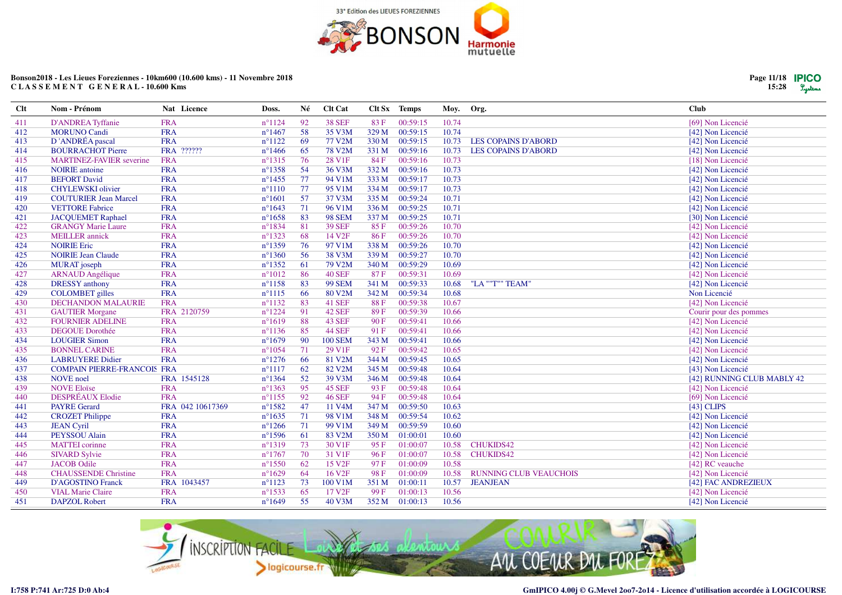![](_page_10_Picture_0.jpeg)

| Clt | Nom - Prénom                       | Nat Licence      | Doss.            | Né | <b>Clt Cat</b>      | Clt Sx | Temps    | Moy.  | Org.                          | <b>Club</b>                |
|-----|------------------------------------|------------------|------------------|----|---------------------|--------|----------|-------|-------------------------------|----------------------------|
| 411 | D'ANDREA Tyffanie                  | <b>FRA</b>       | $n^{\circ}1124$  | 92 | <b>38 SEF</b>       | 83 F   | 00:59:15 | 10.74 |                               | [69] Non Licencié          |
| 412 | <b>MORUNO Candi</b>                | <b>FRA</b>       | $n^{\circ}$ 1467 | 58 | 35 V3M              | 329 M  | 00:59:15 | 10.74 |                               | [42] Non Licencié          |
| 413 | D'ANDRÉA pascal                    | <b>FRA</b>       | $n^{\circ}1122$  | 69 | 77 V2M              | 330 M  | 00:59:15 | 10.73 | <b>LES COPAINS D'ABORD</b>    | [42] Non Licencié          |
| 414 | <b>BOURRACHOT Pierre</b>           | FRA ??????       | $n^{\circ}$ 1466 | 65 | <b>78 V2M</b>       | 331 M  | 00:59:16 | 10.73 | <b>LES COPAINS D'ABORD</b>    | [42] Non Licencié          |
| 415 | <b>MARTINEZ-FAVIER</b> severine    | <b>FRA</b>       | $n^{\circ}1315$  | 76 | 28 V1F              | 84 F   | 00:59:16 | 10.73 |                               | [18] Non Licencié          |
| 416 | <b>NOIRIE</b> antoine              | <b>FRA</b>       | $n^{\circ}$ 1358 | 54 | 36 V3M              | 332 M  | 00:59:16 | 10.73 |                               | [42] Non Licencié          |
| 417 | <b>BEFORT David</b>                | <b>FRA</b>       | $n^{\circ}$ 1455 | 77 | 94 V1M              | 333 M  | 00:59:17 | 10.73 |                               | [42] Non Licencié          |
| 418 | <b>CHYLEWSKI</b> olivier           | <b>FRA</b>       | $n^{\circ}1110$  | 77 | 95 V1M              | 334 M  | 00:59:17 | 10.73 |                               | [42] Non Licencié          |
| 419 | <b>COUTURIER Jean Marcel</b>       | <b>FRA</b>       | $n^{\circ}1601$  | 57 | 37 V3M              | 335 M  | 00:59:24 | 10.71 |                               | [42] Non Licencié          |
| 420 | <b>VETTORE Fabrice</b>             | <b>FRA</b>       | $n^{\circ}1643$  | 71 | 96 V1M              | 336 M  | 00:59:25 | 10.71 |                               | [42] Non Licencié          |
| 421 | <b>JACQUEMET Raphael</b>           | <b>FRA</b>       | $n^{\circ}1658$  | 83 | <b>98 SEM</b>       | 337 M  | 00:59:25 | 10.71 |                               | [30] Non Licencié          |
| 422 | <b>GRANGY Marie Laure</b>          | <b>FRA</b>       | $n^{\circ}1834$  | 81 | <b>39 SEF</b>       | 85F    | 00:59:26 | 10.70 |                               | [42] Non Licencié          |
| 423 | <b>MEILLER</b> annick              | <b>FRA</b>       | $n^{\circ}1323$  | 68 | 14 V <sub>2F</sub>  | 86F    | 00:59:26 | 10.70 |                               | [42] Non Licencié          |
| 424 | <b>NOIRIE Eric</b>                 | <b>FRA</b>       | $n^{\circ}1359$  | 76 | 97 V1M              | 338 M  | 00:59:26 | 10.70 |                               | [42] Non Licencié          |
| 425 | <b>NOIRIE Jean Claude</b>          | <b>FRA</b>       | $n^{\circ}1360$  | 56 | 38 V3M              | 339 M  | 00:59:27 | 10.70 |                               | [42] Non Licencié          |
| 426 | <b>MURAT</b> joseph                | <b>FRA</b>       | $n^{\circ}1352$  | 61 | 79 V2M              | 340 M  | 00:59:29 | 10.69 |                               | [42] Non Licencié          |
| 427 | <b>ARNAUD</b> Angélique            | <b>FRA</b>       | $n^{\circ}1012$  | 86 | <b>40 SEF</b>       | 87F    | 00:59:31 | 10.69 |                               | [42] Non Licencié          |
| 428 | <b>DRESSY</b> anthony              | <b>FRA</b>       | $n^{\circ}1158$  | 83 | <b>99 SEM</b>       | 341 M  | 00:59:33 | 10.68 | "LA ""T"" TEAM'               | [42] Non Licencié          |
| 429 | <b>COLOMBET</b> gilles             | <b>FRA</b>       | $n^{\circ}1115$  | 66 | 80 V2M              | 342 M  | 00:59:34 | 10.68 |                               | Non Licencié               |
| 430 | <b>DECHANDON MALAURIE</b>          | <b>FRA</b>       | $n^{\circ}1132$  | 83 | <b>41 SEF</b>       | 88 F   | 00:59:38 | 10.67 |                               | [42] Non Licencié          |
| 431 | <b>GAUTIER Morgane</b>             | FRA 2120759      | $n^{\circ}1224$  | 91 | 42 SEF              | 89F    | 00:59:39 | 10.66 |                               | Courir pour des pommes     |
| 432 | <b>FOURNIER ADELINE</b>            | <b>FRA</b>       | $n^{\circ}1619$  | 88 | 43 SEF              | 90F    | 00:59:41 | 10.66 |                               | [42] Non Licencié          |
| 433 | <b>DEGOUE Dorothée</b>             | <b>FRA</b>       | $n^{\circ}1136$  | 85 | <b>44 SEF</b>       | 91F    | 00:59:41 | 10.66 |                               | [42] Non Licencié          |
| 434 | <b>LOUGIER Simon</b>               | <b>FRA</b>       | $n^{\circ}1679$  | 90 | <b>100 SEM</b>      | 343 M  | 00:59:41 | 10.66 |                               | [42] Non Licencié          |
| 435 | <b>BONNEL CARINE</b>               | <b>FRA</b>       | $n^{\circ}1054$  | 71 | 29 V1F              | 92F    | 00:59:42 | 10.65 |                               | [42] Non Licencié          |
| 436 | <b>LABRUYERE Didier</b>            | <b>FRA</b>       | $n^{\circ}1276$  | 66 | 81 V2M              | 344 M  | 00:59:45 | 10.65 |                               | [42] Non Licencié          |
| 437 | <b>COMPAIN PIERRE-FRANCOIS FRA</b> |                  | $n^{\circ}1117$  | 62 | 82 V2M              | 345 M  | 00:59:48 | 10.64 |                               | [43] Non Licencié          |
| 438 | <b>NOVE</b> noel                   | FRA 1545128      | $n^{\circ}1364$  | 52 | 39 V3M              | 346 M  | 00:59:48 | 10.64 |                               | [42] RUNNING CLUB MABLY 42 |
| 439 | <b>NOVE Eloïse</b>                 | <b>FRA</b>       | $n^{\circ}1363$  | 95 | 45 SEF              | 93 F   | 00:59:48 | 10.64 |                               | [42] Non Licencié          |
| 440 | DESPRÉAUX Elodie                   | <b>FRA</b>       | $n^{\circ}1155$  | 92 | <b>46 SEF</b>       | 94 F   | 00:59:48 | 10.64 |                               | [69] Non Licencié          |
| 441 | <b>PAYRE Gerard</b>                | FRA 042 10617369 | $n^{\circ}1582$  | 47 | 11 V <sub>4</sub> M | 347 M  | 00:59:50 | 10.63 |                               | $[43]$ CLIPS               |
| 442 | <b>CROZET Philippe</b>             | <b>FRA</b>       | $n^{\circ}1635$  | 71 | 98 V1M              | 348 M  | 00:59:54 | 10.62 |                               | [42] Non Licencié          |
| 443 | <b>JEAN Cyril</b>                  | <b>FRA</b>       | $n^{\circ}1266$  | 71 | 99 V1M              | 349 M  | 00:59:59 | 10.60 |                               | [42] Non Licencié          |
| 444 | PEYSSOU Alain                      | <b>FRA</b>       | $n^{\circ}1596$  | 61 | 83 V2M              | 350 M  | 01:00:01 | 10.60 |                               | [42] Non Licencié          |
| 445 | <b>MATTEI</b> corinne              | <b>FRA</b>       | $n^{\circ}1319$  | 73 | 30 V1F              | 95F    | 01:00:07 | 10.58 | <b>CHUKIDS42</b>              | [42] Non Licencié          |
| 446 | <b>SIVARD Sylvie</b>               | <b>FRA</b>       | $n^{\circ}1767$  | 70 | 31 V1F              | 96F    | 01:00:07 | 10.58 | <b>CHUKIDS42</b>              | [42] Non Licencié          |
| 447 | <b>JACOB</b> Odile                 | <b>FRA</b>       | $n^{\circ}$ 1550 | 62 | 15 V <sub>2F</sub>  | 97 F   | 01:00:09 | 10.58 |                               | [42] RC veauche            |
| 448 | <b>CHAUSSENDE Christine</b>        | <b>FRA</b>       | $n^{\circ}1629$  | 64 | 16 V <sub>2F</sub>  | 98F    | 01:00:09 | 10.58 | <b>RUNNING CLUB VEAUCHOIS</b> | [42] Non Licencié          |
| 449 | <b>D'AGOSTINO Franck</b>           | FRA 1043457      | $n^{\circ}1123$  | 73 | 100 V1M             | 351 M  | 01:00:11 | 10.57 | <b>JEANJEAN</b>               | [42] FAC ANDREZIEUX        |
| 450 | <b>VIAL Marie Claire</b>           | <b>FRA</b>       | $n^{\circ}1533$  | 65 | 17 V <sub>2F</sub>  | 99F    | 01:00:13 | 10.56 |                               | [42] Non Licencié          |
| 451 | <b>DAPZOL Robert</b>               | <b>FRA</b>       | $n^{\circ}1649$  | 55 | 40 V3M              | 352 M  | 01:00:13 | 10.56 |                               | [42] Non Licencié          |

![](_page_10_Picture_3.jpeg)

![](_page_10_Picture_6.jpeg)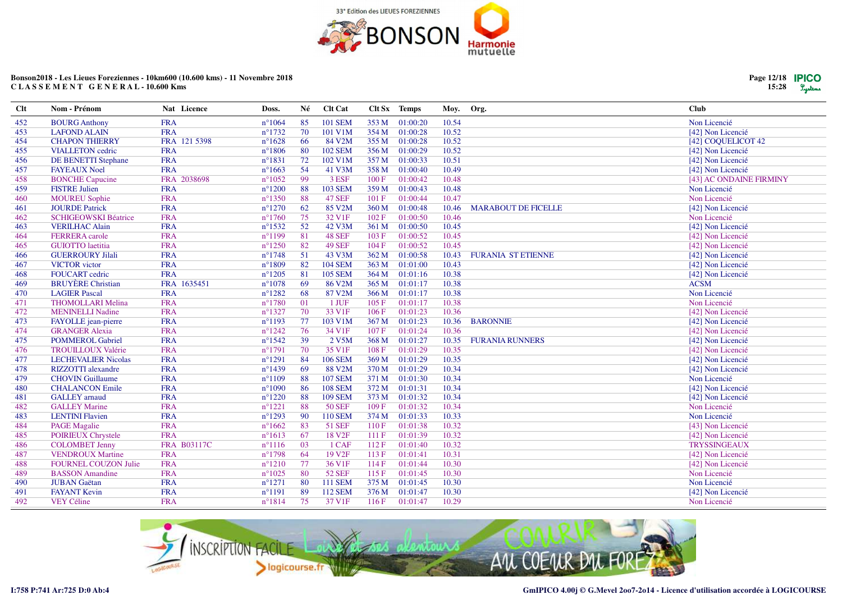![](_page_11_Picture_0.jpeg)

| <b>Clt</b> | Nom - Prénom                | Nat Licence  | Doss.            | Né  | Clt Cat            |       | Clt Sx Temps   | Moy.  | Org.                       | <b>Club</b>             |
|------------|-----------------------------|--------------|------------------|-----|--------------------|-------|----------------|-------|----------------------------|-------------------------|
| 452        | <b>BOURG</b> Anthony        | <b>FRA</b>   | $n^{\circ}1064$  | 85  | <b>101 SEM</b>     |       | 353 M 01:00:20 | 10.54 |                            | Non Licencié            |
| 453        | <b>LAFOND ALAIN</b>         | <b>FRA</b>   | $n^{\circ}1732$  | 70  | 101 V1M            | 354 M | 01:00:28       | 10.52 |                            | [42] Non Licencié       |
| 454        | <b>CHAPON THIERRY</b>       | FRA 121 5398 | $n^{\circ}1628$  | 66  | 84 V2M             | 355 M | 01:00:28       | 10.52 |                            | [42] COQUELICOT 42      |
| 455        | <b>VIALLETON</b> cedric     | <b>FRA</b>   | $n^{\circ}1806$  | 80  | <b>102 SEM</b>     | 356 M | 01:00:29       | 10.52 |                            | [42] Non Licencié       |
| 456        | <b>DE BENETTI Stephane</b>  | <b>FRA</b>   | $n^{\circ}1831$  | 72  | 102 V1M            | 357 M | 01:00:33       | 10.51 |                            | [42] Non Licencié       |
| 457        | <b>FAYEAUX Noel</b>         | <b>FRA</b>   | $n^{\circ}1663$  | 54  | 41 V3M             | 358 M | 01:00:40       | 10.49 |                            | [42] Non Licencié       |
| 458        | <b>BONCHE Capucine</b>      | FRA 2038698  | $n^{\circ}1052$  | 99  | 3 ESF              | 100 F | 01:00:42       | 10.48 |                            | [43] AC ONDAINE FIRMINY |
| 459        | <b>FISTRE Julien</b>        | <b>FRA</b>   | $n^{\circ}1200$  | 88  | <b>103 SEM</b>     | 359 M | 01:00:43       | 10.48 |                            | Non Licencié            |
| 460        | <b>MOUREU Sophie</b>        | <b>FRA</b>   | $n^{\circ}$ 1350 | 88  | <b>47 SEF</b>      | 101 F | 01:00:44       | 10.47 |                            | Non Licencié            |
| 461        | <b>JOURDE Patrick</b>       | <b>FRA</b>   | $n^{\circ}1270$  | 62  | 85 V2M             | 360 M | 01:00:48       | 10.46 | <b>MARABOUT DE FICELLE</b> | [42] Non Licencié       |
| 462        | <b>SCHIGEOWSKI Béatrice</b> | <b>FRA</b>   | $n^{\circ}1760$  | 75  | 32 V <sub>1F</sub> | 102 F | 01:00:50       | 10.46 |                            | Non Licencié            |
| 463        | <b>VERILHAC Alain</b>       | <b>FRA</b>   | $n^{\circ}$ 1532 | 52  | 42 V3M             | 361 M | 01:00:50       | 10.45 |                            | [42] Non Licencié       |
| 464        | <b>FERRERA</b> carole       | <b>FRA</b>   | $n^{\circ}1199$  | 81  | <b>48 SEF</b>      | 103 F | 01:00:52       | 10.45 |                            | [42] Non Licencié       |
| 465        | <b>GUIOTTO</b> laetitia     | <b>FRA</b>   | $n^{\circ}1250$  | 82  | <b>49 SEF</b>      | 104F  | 01:00:52       | 10.45 |                            | [42] Non Licencié       |
| 466        | <b>GUERROURY Jilali</b>     | <b>FRA</b>   | $n^{\circ}1748$  | 51  | 43 V3M             | 362 M | 01:00:58       | 10.43 | <b>FURANIA ST ETIENNE</b>  | [42] Non Licencié       |
| 467        | <b>VICTOR</b> victor        | <b>FRA</b>   | $n^{\circ}1809$  | 82  | <b>104 SEM</b>     | 363 M | 01:01:00       | 10.43 |                            | [42] Non Licencié       |
| 468        | <b>FOUCART</b> cedric       | <b>FRA</b>   | $n^{\circ}1205$  | 81  | <b>105 SEM</b>     | 364 M | 01:01:16       | 10.38 |                            | [42] Non Licencié       |
| 469        | <b>BRUYÈRE</b> Christian    | FRA 1635451  | $n^{\circ}1078$  | 69  | 86 V2M             | 365 M | 01:01:17       | 10.38 |                            | <b>ACSM</b>             |
| 470        | <b>LAGIER Pascal</b>        | <b>FRA</b>   | $n^{\circ}1282$  | 68  | 87 V2M             | 366 M | 01:01:17       | 10.38 |                            | Non Licencié            |
| 471        | <b>THOMOLLARI Melina</b>    | <b>FRA</b>   | $n^{\circ}1780$  | 01  | 1 JUF              | 105 F | 01:01:17       | 10.38 |                            | Non Licencié            |
| 472        | <b>MENINELLI Nadine</b>     | <b>FRA</b>   | $n^{\circ}1327$  | 70  | 33 V1F             | 106 F | 01:01:23       | 10.36 |                            | [42] Non Licencié       |
| 473        | FAYOLLE jean-pierre         | <b>FRA</b>   | $n^{\circ}1193$  | 77  | 103 V1M            | 367 M | 01:01:23       | 10.36 | <b>BARONNIE</b>            | [42] Non Licencié       |
| 474        | <b>GRANGER Alexia</b>       | <b>FRA</b>   | $n^{\circ}1242$  | 76  | 34 V1F             | 107 F | 01:01:24       | 10.36 |                            | [42] Non Licencié       |
| 475        | <b>POMMEROL Gabriel</b>     | <b>FRA</b>   | $n^{\circ}1542$  | 39  | 2 V5M              | 368 M | 01:01:27       | 10.35 | <b>FURANIA RUNNERS</b>     | [42] Non Licencié       |
| 476        | <b>TROUILLOUX Valérie</b>   | <b>FRA</b>   | $n^{\circ}1791$  | 70  | 35 V <sub>1F</sub> | 108F  | 01:01:29       | 10.35 |                            | [42] Non Licencié       |
| 477        | <b>LECHEVALIER Nicolas</b>  | <b>FRA</b>   | $n^{\circ}1291$  | 84  | <b>106 SEM</b>     | 369 M | 01:01:29       | 10.35 |                            | [42] Non Licencié       |
| 478        | <b>RIZZOTTI</b> alexandre   | <b>FRA</b>   | $n^{\circ}$ 1439 | 69  | 88 V2M             | 370 M | 01:01:29       | 10.34 |                            | [42] Non Licencié       |
| 479        | <b>CHOVIN Guillaume</b>     | <b>FRA</b>   | $n^{\circ}1109$  | 88  | <b>107 SEM</b>     | 371 M | 01:01:30       | 10.34 |                            | Non Licencié            |
| 480        | <b>CHALANCON Emile</b>      | <b>FRA</b>   | $n^{\circ}1090$  | -86 | <b>108 SEM</b>     | 372 M | 01:01:31       | 10.34 |                            | [42] Non Licencié       |
| 481        | <b>GALLEY</b> arnaud        | <b>FRA</b>   | $n^{\circ}1220$  | 88  | <b>109 SEM</b>     | 373 M | 01:01:32       | 10.34 |                            | [42] Non Licencié       |
| 482        | <b>GALLEY Marine</b>        | <b>FRA</b>   | $n^{\circ}1221$  | 88  | <b>50 SEF</b>      | 109F  | 01:01:32       | 10.34 |                            | Non Licencié            |
| 483        | <b>LENTINI Flavien</b>      | <b>FRA</b>   | $n^{\circ}1293$  | 90  | <b>110 SEM</b>     | 374 M | 01:01:33       | 10.33 |                            | Non Licencié            |
| 484        | <b>PAGE Magalie</b>         | <b>FRA</b>   | $n^{\circ}1662$  | 83  | <b>51 SEF</b>      | 110F  | 01:01:38       | 10.32 |                            | [43] Non Licencié       |
| 485        | <b>POIRIEUX Chrystele</b>   | <b>FRA</b>   | $n^{\circ}1613$  | 67  | 18 V <sub>2F</sub> | 111F  | 01:01:39       | 10.32 |                            | [42] Non Licencié       |
| 486        | <b>COLOMBET Jenny</b>       | FRA B03117C  | $n^{\circ}1116$  | 03  | 1 CAF              | 112F  | 01:01:40       | 10.32 |                            | <b>TRYSSINGEAUX</b>     |
| 487        | <b>VENDROUX Martine</b>     | <b>FRA</b>   | $n^{\circ}1798$  | 64  | 19 V <sub>2F</sub> | 113F  | 01:01:41       | 10.31 |                            | [42] Non Licencié       |
| 488        | <b>FOURNEL COUZON Julie</b> | <b>FRA</b>   | $n^{\circ}1210$  | 77  | 36 V1F             | 114F  | 01:01:44       | 10.30 |                            | [42] Non Licencié       |
| 489        | <b>BASSON</b> Amandine      | <b>FRA</b>   | $n^{\circ}1025$  | -80 | <b>52 SEF</b>      | 115F  | 01:01:45       | 10.30 |                            | Non Licencié            |
| 490        | <b>JUBAN</b> Gaëtan         | <b>FRA</b>   | $n^{\circ}1271$  | 80  | <b>111 SEM</b>     | 375 M | 01:01:45       | 10.30 |                            | Non Licencié            |
| 491        | <b>FAYANT Kevin</b>         | <b>FRA</b>   | $n^{\circ}1191$  | 89  | <b>112 SEM</b>     | 376 M | 01:01:47       | 10.30 |                            | [42] Non Licencié       |
| 492        | <b>VEY Céline</b>           | <b>FRA</b>   | $n^{\circ}1814$  | 75  | 37 V1F             | 116F  | 01:01:47       | 10.29 |                            | Non Licencié            |

![](_page_11_Picture_3.jpeg)

![](_page_11_Picture_6.jpeg)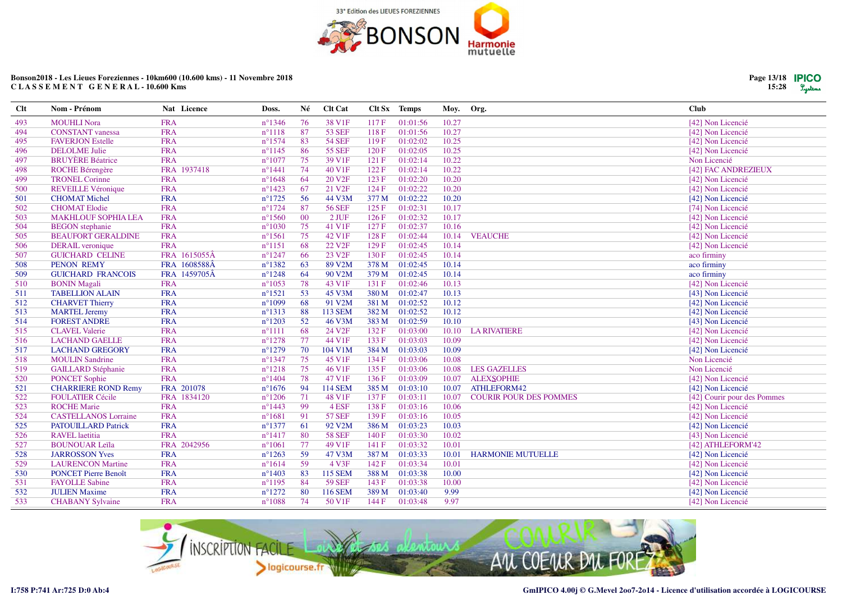![](_page_12_Picture_0.jpeg)

| Clt | Nom - Prénom                | Nat Licence  | Doss.            | Né     | Clt Cat            |       | Clt Sx Temps | Moy.  | Org.                          | <b>Club</b>                 |
|-----|-----------------------------|--------------|------------------|--------|--------------------|-------|--------------|-------|-------------------------------|-----------------------------|
| 493 | <b>MOUHLI Nora</b>          | <b>FRA</b>   | $n^{\circ}$ 1346 | 76     | 38 V1F             | 117F  | 01:01:56     | 10.27 |                               | [42] Non Licencié           |
| 494 | <b>CONSTANT</b> vanessa     | <b>FRA</b>   | $n^{\circ}1118$  | 87     | <b>53 SEF</b>      | 118F  | 01:01:56     | 10.27 |                               | [42] Non Licencié           |
| 495 | <b>FAVERJON Estelle</b>     | <b>FRA</b>   | $n^{\circ}1574$  | 83     | <b>54 SEF</b>      | 119F  | 01:02:02     | 10.25 |                               | [42] Non Licencié           |
| 496 | <b>DELOLME</b> Julie        | <b>FRA</b>   | $n^{\circ}1145$  | 86     | <b>55 SEF</b>      | 120F  | 01:02:05     | 10.25 |                               | [42] Non Licencié           |
| 497 | <b>BRUYÈRE Béatrice</b>     | <b>FRA</b>   | $n^{\circ}1077$  | 75     | 39 V1F             | 121 F | 01:02:14     | 10.22 |                               | Non Licencié                |
| 498 | <b>ROCHE Bérengère</b>      | FRA 1937418  | $n^{\circ}$ 1441 | 74     | 40 V1F             | 122F  | 01:02:14     | 10.22 |                               | [42] FAC ANDREZIEUX         |
| 499 | <b>TRONEL Corinne</b>       | <b>FRA</b>   | $n^{\circ}1648$  | 64     | 20 V <sub>2F</sub> | 123 F | 01:02:20     | 10.20 |                               | [42] Non Licencié           |
| 500 | <b>REVEILLE Véronique</b>   | <b>FRA</b>   | $n^{\circ}$ 1423 | 67     | 21 V <sub>2F</sub> | 124 F | 01:02:22     | 10.20 |                               | [42] Non Licencié           |
| 501 | <b>CHOMAT Michel</b>        | <b>FRA</b>   | $n^{\circ}1725$  | 56     | 44 V3M             | 377 M | 01:02:22     | 10.20 |                               | [42] Non Licencié           |
| 502 | <b>CHOMAT Elodie</b>        | <b>FRA</b>   | $n^{\circ}1724$  | 87     | <b>56 SEF</b>      | 125F  | 01:02:31     | 10.17 |                               | [74] Non Licencié           |
| 503 | <b>MAKHLOUF SOPHIA LEA</b>  | <b>FRA</b>   | $n^{\circ}1560$  | $00\,$ | $2$ JUF            | 126F  | 01:02:32     | 10.17 |                               | [42] Non Licencié           |
| 504 | <b>BEGON</b> stephanie      | <b>FRA</b>   | $n^{\circ}1030$  | 75     | 41 V1F             | 127 F | 01:02:37     | 10.16 |                               | [42] Non Licencié           |
| 505 | <b>BEAUFORT GERALDINE</b>   | <b>FRA</b>   | $n^{\circ}1561$  | 75     | 42 V1F             | 128 F | 01:02:44     | 10.14 | <b>VEAUCHE</b>                | [42] Non Licencié           |
| 506 | <b>DERAIL</b> veronique     | <b>FRA</b>   | $n^{\circ}1151$  | 68     | 22 V <sub>2F</sub> | 129F  | 01:02:45     | 10.14 |                               | [42] Non Licencié           |
| 507 | <b>GUICHARD CELINE</b>      | FRA 1615055Â | $n^{\circ}1247$  | 66     | 23 V <sub>2F</sub> | 130 F | 01:02:45     | 10.14 |                               | aco firminy                 |
| 508 | <b>PENON REMY</b>           | FRA 1608588Â | $n^{\circ}$ 1382 | 63     | 89 V2M             | 378 M | 01:02:45     | 10.14 |                               | aco firminy                 |
| 509 | <b>GUICHARD FRANCOIS</b>    | FRA 1459705Â | $n^{\circ}1248$  | 64     | 90 V2M             | 379 M | 01:02:45     | 10.14 |                               | aco firminy                 |
| 510 | <b>BONIN</b> Magali         | <b>FRA</b>   | $n^{\circ}1053$  | 78     | 43 V1F             | 131 F | 01:02:46     | 10.13 |                               | [42] Non Licencié           |
| 511 | <b>TABELLION ALAIN</b>      | <b>FRA</b>   | $n^{\circ}1521$  | 53     | 45 V3M             | 380 M | 01:02:47     | 10.13 |                               | [43] Non Licencié           |
| 512 | <b>CHARVET Thierry</b>      | <b>FRA</b>   | $n^{\circ}1099$  | 68     | 91 V2M             | 381 M | 01:02:52     | 10.12 |                               | [42] Non Licencié           |
| 513 | <b>MARTEL Jeremy</b>        | <b>FRA</b>   | $n^{\circ}1313$  | 88     | <b>113 SEM</b>     | 382 M | 01:02:52     | 10.12 |                               | [42] Non Licencié           |
| 514 | <b>FOREST ANDRE</b>         | <b>FRA</b>   | $n^{\circ}1203$  | 52     | 46 V3M             | 383 M | 01:02:59     | 10.10 |                               | [43] Non Licencié           |
| 515 | <b>CLAVEL Valerie</b>       | <b>FRA</b>   | $n^{\circ}1111$  | 68     | 24 V2F             | 132 F | 01:03:00     | 10.10 | <b>LA RIVATIERE</b>           | [42] Non Licencié           |
| 516 | <b>LACHAND GAELLE</b>       | <b>FRA</b>   | $n^{\circ}1278$  | 77     | 44 V1F             | 133 F | 01:03:03     | 10.09 |                               | [42] Non Licencié           |
| 517 | <b>LACHAND GREGORY</b>      | <b>FRA</b>   | $n^{\circ}1279$  | 70     | 104 V1M            | 384 M | 01:03:03     | 10.09 |                               | [42] Non Licencié           |
| 518 | <b>MOULIN Sandrine</b>      | <b>FRA</b>   | $n^{\circ}1347$  | 75     | 45 V1F             | 134 F | 01:03:06     | 10.08 |                               | Non Licencié                |
| 519 | <b>GAILLARD Stéphanie</b>   | <b>FRA</b>   | $n^{\circ}1218$  | 75     | 46 V1F             | 135 F | 01:03:06     | 10.08 | <b>LES GAZELLES</b>           | Non Licencié                |
| 520 | <b>PONCET Sophie</b>        | <b>FRA</b>   | $n^{\circ}1404$  | 78     | 47 V1F             | 136F  | 01:03:09     | 10.07 | <b>ALEXSOPHIE</b>             | [42] Non Licencié           |
| 521 | <b>CHARRIERE ROND Remy</b>  | FRA 201078   | $n^{\circ}1676$  | -94    | <b>114 SEM</b>     | 385 M | 01:03:10     | 10.07 | ATHLEFORM42                   | [42] Non Licencié           |
| 522 | <b>FOULATIER Cécile</b>     | FRA 1834120  | $n^{\circ}1206$  | 71     | 48 V1F             | 137 F | 01:03:11     | 10.07 | <b>COURIR POUR DES POMMES</b> | [42] Courir pour des Pommes |
| 523 | <b>ROCHE Marie</b>          | <b>FRA</b>   | $n^{\circ}$ 1443 | 99     | 4 ESF              | 138 F | 01:03:16     | 10.06 |                               | [42] Non Licencié           |
| 524 | <b>CASTELLANOS Lorraine</b> | <b>FRA</b>   | $n^{\circ}1681$  | 91     | <b>57 SEF</b>      | 139 F | 01:03:16     | 10.05 |                               | [42] Non Licencié           |
| 525 | <b>PATOUILLARD Patrick</b>  | <b>FRA</b>   | $n^{\circ}1377$  | 61     | 92 V2M             | 386 M | 01:03:23     | 10.03 |                               | [42] Non Licencié           |
| 526 | <b>RAVEL</b> laetitia       | <b>FRA</b>   | $n^{\circ}1417$  | 80     | <b>58 SEF</b>      | 140 F | 01:03:30     | 10.02 |                               | [43] Non Licencié           |
| 527 | <b>BOUNOUAR Leïla</b>       | FRA 2042956  | $n^{\circ}1061$  | 77     | 49 V1F             | 141 F | 01:03:32     | 10.01 |                               | [42] ATHLEFORM'42           |
| 528 | <b>JARROSSON Yves</b>       | <b>FRA</b>   | $n^{\circ}1263$  | 59     | 47 V3M             | 387 M | 01:03:33     | 10.01 | <b>HARMONIE MUTUELLE</b>      | [42] Non Licencié           |
| 529 | <b>LAURENCON Martine</b>    | <b>FRA</b>   | $n^{\circ}1614$  | 59     | 4 V3F              | 142 F | 01:03:34     | 10.01 |                               | [42] Non Licencié           |
| 530 | <b>PONCET Pierre Benoît</b> | <b>FRA</b>   | $n^{\circ}1403$  | 83     | <b>115 SEM</b>     | 388 M | 01:03:38     | 10.00 |                               | [42] Non Licencié           |
| 531 | <b>FAYOLLE Sabine</b>       | <b>FRA</b>   | $n^{\circ}1195$  | 84     | <b>59 SEF</b>      | 143 F | 01:03:38     | 10.00 |                               | [42] Non Licencié           |
| 532 | <b>JULIEN Maxime</b>        | <b>FRA</b>   | $n^{\circ}1272$  | 80     | 116 SEM            | 389 M | 01:03:40     | 9.99  |                               | [42] Non Licencié           |
| 533 | <b>CHABANY Sylvaine</b>     | <b>FRA</b>   | $n^{\circ}1088$  | 74     | 50 V1F             | 144 F | 01:03:48     | 9.97  |                               | [42] Non Licencié           |

![](_page_12_Picture_3.jpeg)

**Page 13/1815:28**

Lystems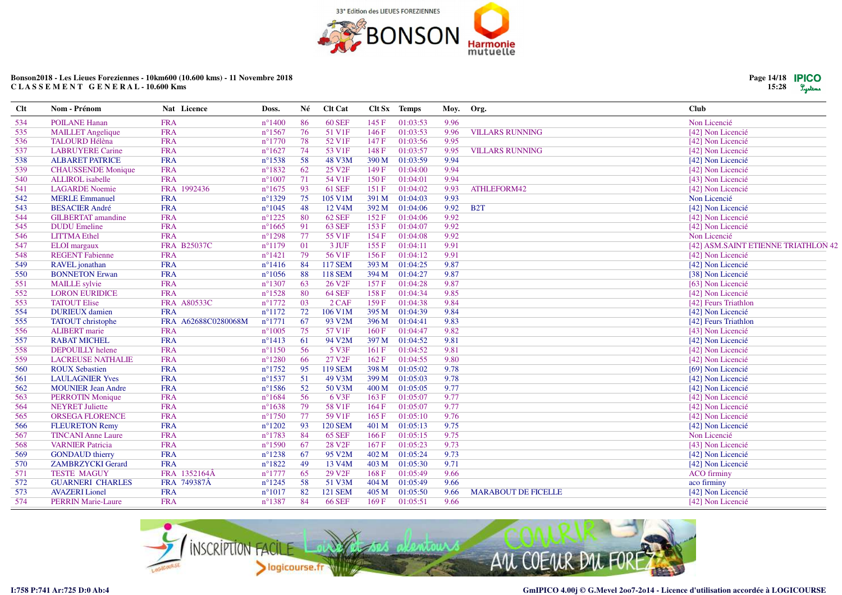![](_page_13_Picture_0.jpeg)

| $Cl$ t | Nom - Prénom              | Nat Licence         | Doss.            | Né | <b>Clt Cat</b>      |       | Clt Sx Temps | Moy. | Org.                       | <b>Club</b>                         |  |
|--------|---------------------------|---------------------|------------------|----|---------------------|-------|--------------|------|----------------------------|-------------------------------------|--|
| 534    | <b>POILANE Hanan</b>      | <b>FRA</b>          | $n^{\circ}1400$  | 86 | <b>60 SEF</b>       | 145 F | 01:03:53     | 9.96 |                            | Non Licencié                        |  |
| 535    | <b>MAILLET</b> Angelique  | <b>FRA</b>          | $n^{\circ}1567$  | 76 | 51 V1F              | 146 F | 01:03:53     | 9.96 | <b>VILLARS RUNNING</b>     | [42] Non Licencié                   |  |
| 536    | <b>TALOURD Hélèna</b>     | <b>FRA</b>          | $n^{\circ}1770$  | 78 | 52 V <sub>1F</sub>  | 147 F | 01:03:56     | 9.95 |                            | [42] Non Licencié                   |  |
| 537    | <b>LABRUYERE Carine</b>   | <b>FRA</b>          | $n^{\circ}1627$  | 74 | 53 V1F              | 148 F | 01:03:57     | 9.95 | <b>VILLARS RUNNING</b>     | [42] Non Licencié                   |  |
| 538    | <b>ALBARET PATRICE</b>    | <b>FRA</b>          | $n^{\circ}1538$  | 58 | 48 V3M              | 390 M | 01:03:59     | 9.94 |                            | [42] Non Licencié                   |  |
| 539    | <b>CHAUSSENDE Monique</b> | <b>FRA</b>          | $n^{\circ}1832$  | 62 | 25 V <sub>2F</sub>  | 149 F | 01:04:00     | 9.94 |                            | [42] Non Licencié                   |  |
| 540    | <b>ALLIROL</b> isabelle   | <b>FRA</b>          | $n^{\circ}1007$  | 71 | 54 V1F              | 150 F | 01:04:01     | 9.94 |                            | [43] Non Licencié                   |  |
| 541    | <b>LAGARDE</b> Noemie     | FRA 1992436         | $n^{\circ}1675$  | 93 | 61 SEF              | 151 F | 01:04:02     | 9.93 | ATHLEFORM42                | [42] Non Licencié                   |  |
| 542    | <b>MERLE Emmanuel</b>     | <b>FRA</b>          | $n^{\circ}1329$  | 75 | 105 V1M             | 391 M | 01:04:03     | 9.93 |                            | Non Licencié                        |  |
| 543    | <b>BESACIER André</b>     | <b>FRA</b>          | $n^{\circ}1045$  | 48 | 12 V <sub>4</sub> M | 392 M | 01:04:06     | 9.92 | B <sub>2</sub> T           | [42] Non Licencié                   |  |
| 544    | <b>GILBERTAT</b> amandine | <b>FRA</b>          | $n^{\circ}1225$  | 80 | <b>62 SEF</b>       | 152 F | 01:04:06     | 9.92 |                            | [42] Non Licencié                   |  |
| 545    | <b>DUDU</b> Emeline       | <b>FRA</b>          | $n^{\circ}1665$  | 91 | <b>63 SEF</b>       | 153F  | 01:04:07     | 9.92 |                            | [42] Non Licencié                   |  |
| 546    | <b>LITTMA</b> Ethel       | <b>FRA</b>          | $n^{\circ}1298$  | 77 | 55 V1F              | 154 F | 01:04:08     | 9.92 |                            | Non Licencié                        |  |
| 547    | <b>ELOI</b> margaux       | <b>FRA B25037C</b>  | $n^{\circ}1179$  | 01 | 3 JUF               | 155 F | 01:04:11     | 9.91 |                            | [42] ASM.SAINT ETIENNE TRIATHLON 42 |  |
| 548    | <b>REGENT Fabienne</b>    | <b>FRA</b>          | $n^{\circ}1421$  | 79 | 56 V1F              | 156 F | 01:04:12     | 9.91 |                            | [42] Non Licencié                   |  |
| 549    | RAVEL jonathan            | <b>FRA</b>          | $n^{\circ}1416$  | 84 | <b>117 SEM</b>      | 393 M | 01:04:25     | 9.87 |                            | [42] Non Licencié                   |  |
| 550    | <b>BONNETON Erwan</b>     | <b>FRA</b>          | $n^{\circ}1056$  | 88 | <b>118 SEM</b>      | 394 M | 01:04:27     | 9.87 |                            | [38] Non Licencié                   |  |
| 551    | <b>MAILLE</b> sylvie      | <b>FRA</b>          | $n^{\circ}1307$  | 63 | 26 V <sub>2F</sub>  | 157 F | 01:04:28     | 9.87 |                            | [63] Non Licencié                   |  |
| 552    | <b>LORON EURIDICE</b>     | <b>FRA</b>          | $n^{\circ}1528$  | 80 | <b>64 SEF</b>       | 158F  | 01:04:34     | 9.85 |                            | [42] Non Licencié                   |  |
| 553    | <b>TATOUT Elise</b>       | FRA A80533C         | $n^{\circ}1772$  | 03 | $2$ CAF             | 159F  | 01:04:38     | 9.84 |                            | [42] Feurs Triathlon                |  |
| 554    | <b>DURIEUX</b> damien     | <b>FRA</b>          | $n^{\circ}1172$  | 72 | 106 V1M             | 395 M | 01:04:39     | 9.84 |                            | [42] Non Licencié                   |  |
| 555    | <b>TATOUT</b> christophe  | FRA A62688C0280068M | $n^{\circ}1771$  | 67 | 93 V2M              | 396 M | 01:04:41     | 9.83 |                            | [42] Feurs Triathlon                |  |
| 556    | <b>ALIBERT</b> marie      | <b>FRA</b>          | $n^{\circ}1005$  | 75 | 57 V1F              | 160 F | 01:04:47     | 9.82 |                            | [43] Non Licencié                   |  |
| 557    | <b>RABAT MICHEL</b>       | <b>FRA</b>          | $n^{\circ}1413$  | 61 | 94 V2M              | 397 M | 01:04:52     | 9.81 |                            | [42] Non Licencié                   |  |
| 558    | <b>DEPOUILLY</b> helene   | <b>FRA</b>          | $n^{\circ}1150$  | 56 | 5 V3F               | 161 F | 01:04:52     | 9.81 |                            | [42] Non Licencié                   |  |
| 559    | <b>LACREUSE NATHALIE</b>  | <b>FRA</b>          | $n^{\circ}1280$  | 66 | 27 V <sub>2F</sub>  | 162 F | 01:04:55     | 9.80 |                            | [42] Non Licencié                   |  |
| 560    | <b>ROUX Sebastien</b>     | <b>FRA</b>          | $n^{\circ}1752$  | 95 | <b>119 SEM</b>      | 398 M | 01:05:02     | 9.78 |                            | [69] Non Licencié                   |  |
| 561    | <b>LAULAGNIER Yves</b>    | <b>FRA</b>          | $n^{\circ}1537$  | 51 | 49 V3M              | 399 M | 01:05:03     | 9.78 |                            | [42] Non Licencié                   |  |
| 562    | <b>MOUNIER Jean Andre</b> | <b>FRA</b>          | $n^{\circ}1586$  | 52 | 50 V3M              | 400 M | 01:05:05     | 9.77 |                            | [42] Non Licencié                   |  |
| 563    | <b>PERROTIN Monique</b>   | <b>FRA</b>          | $n^{\circ}1684$  | 56 | 6 V3F               | 163 F | 01:05:07     | 9.77 |                            | [42] Non Licencié                   |  |
| 564    | <b>NEYRET Juliette</b>    | <b>FRA</b>          | $n^{\circ}1638$  | 79 | 58 V1F              | 164 F | 01:05:07     | 9.77 |                            | [42] Non Licencié                   |  |
| 565    | <b>ORSEGA FLORENCE</b>    | <b>FRA</b>          | $n^{\circ}1750$  | 77 | 59 V1F              | 165 F | 01:05:10     | 9.76 |                            | [42] Non Licencié                   |  |
| 566    | <b>FLEURETON Remy</b>     | <b>FRA</b>          | $n^{\circ}1202$  | 93 | <b>120 SEM</b>      | 401 M | 01:05:13     | 9.75 |                            | [42] Non Licencié                   |  |
| 567    | <b>TINCANI Anne Laure</b> | <b>FRA</b>          | $n^{\circ}1783$  | 84 | <b>65 SEF</b>       | 166 F | 01:05:15     | 9.75 |                            | Non Licencié                        |  |
| 568    | <b>VARNIER Patricia</b>   | <b>FRA</b>          | $n^{\circ}1590$  | 67 | 28 V <sub>2F</sub>  | 167 F | 01:05:23     | 9.73 |                            | [43] Non Licencié                   |  |
| 569    | <b>GONDAUD</b> thierry    | <b>FRA</b>          | $n^{\circ}1238$  | 67 | 95 V2M              | 402 M | 01:05:24     | 9.73 |                            | [42] Non Licencié                   |  |
| 570    | <b>ZAMBRZYCKI Gerard</b>  | <b>FRA</b>          | $n^{\circ}1822$  | 49 | 13 V <sub>4</sub> M | 403 M | 01:05:30     | 9.71 |                            | [42] Non Licencié                   |  |
| 571    | <b>TESTE MAGUY</b>        | FRA 1352164Â        | $n^{\circ}1777$  | 65 | 29 V <sub>2F</sub>  | 168 F | 01:05:49     | 9.66 |                            | <b>ACO</b> firminy                  |  |
| 572    | <b>GUARNERI CHARLES</b>   | FRA 749387Â         | $n^{\circ}1245$  | 58 | 51 V3M              | 404 M | 01:05:49     | 9.66 |                            | aco firminy                         |  |
| 573    | <b>AVAZERI</b> Lionel     | <b>FRA</b>          | $n^{\circ}1017$  | 82 | <b>121 SEM</b>      | 405 M | 01:05:50     | 9.66 | <b>MARABOUT DE FICELLE</b> | [42] Non Licencié                   |  |
| 574    | <b>PERRIN Marie-Laure</b> | <b>FRA</b>          | $n^{\circ}$ 1387 | 84 | <b>66 SEF</b>       | 169F  | 01:05:51     | 9.66 |                            | [42] Non Licencié                   |  |

![](_page_13_Picture_3.jpeg)

![](_page_13_Picture_6.jpeg)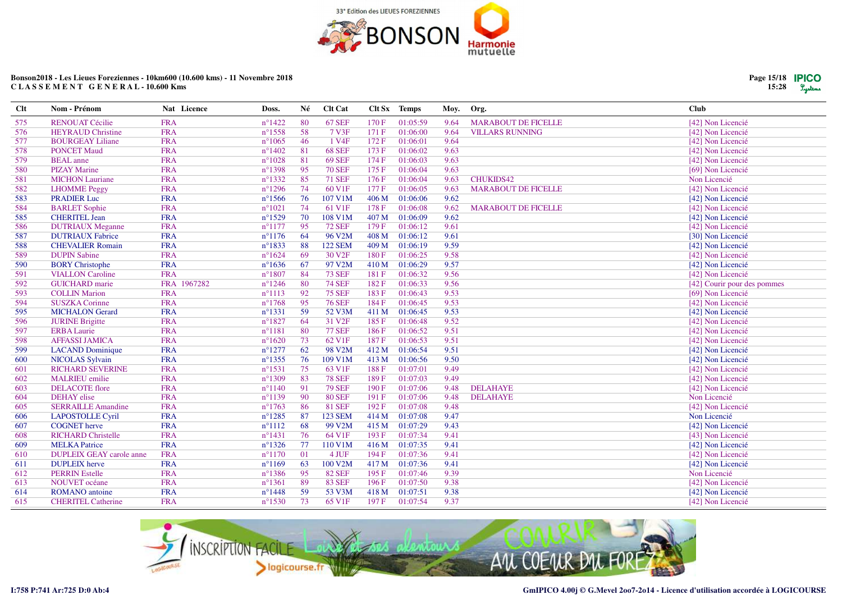![](_page_14_Picture_0.jpeg)

Clt Nom - Prénom Nat Licence Doss. Né Clt Cat Clt Sx Temps Moy. Org. Club

| 575 | <b>RENOUAT Cécilie</b>          | <b>FRA</b>  | $n^{\circ}$ 1422 | 80 | <b>67 SEF</b>      | 170F  | 01:05:59 | 9.64 | <b>MARABOUT DE FICELLE</b> | [42] Non Licencié           |
|-----|---------------------------------|-------------|------------------|----|--------------------|-------|----------|------|----------------------------|-----------------------------|
| 576 | <b>HEYRAUD Christine</b>        | <b>FRA</b>  | $n^{\circ}$ 1558 | 58 | <b>7 V3F</b>       | 171 F | 01:06:00 | 9.64 | <b>VILLARS RUNNING</b>     | [42] Non Licencié           |
| 577 | <b>BOURGEAY Liliane</b>         | <b>FRA</b>  | $n^{\circ}1065$  | 46 | 1 V <sub>4F</sub>  | 172F  | 01:06:01 | 9.64 |                            | [42] Non Licencié           |
| 578 | <b>PONCET Maud</b>              | <b>FRA</b>  | $n^{\circ}$ 1402 | 81 | <b>68 SEF</b>      | 173 F | 01:06:02 | 9.63 |                            | [42] Non Licencié           |
| 579 | <b>BEAL</b> anne                | <b>FRA</b>  | $n^{\circ}1028$  | 81 | <b>69 SEF</b>      | 174 F | 01:06:03 | 9.63 |                            | [42] Non Licencié           |
| 580 | <b>PIZAY</b> Marine             | <b>FRA</b>  | $n^{\circ}$ 1398 | 95 | <b>70 SEF</b>      | 175F  | 01:06:04 | 9.63 |                            | [69] Non Licencié           |
| 581 | <b>MICHON Lauriane</b>          | <b>FRA</b>  | $n^{\circ}$ 1332 | 85 | <b>71 SEF</b>      | 176F  | 01:06:04 | 9.63 | CHUKIDS42                  | Non Licencié                |
| 582 | <b>LHOMME</b> Peggy             | <b>FRA</b>  | $n^{\circ}1296$  | 74 | 60 V1F             | 177 F | 01:06:05 | 9.63 | <b>MARABOUT DE FICELLE</b> | [42] Non Licencié           |
| 583 | <b>PRADIER Luc</b>              | <b>FRA</b>  | $n^{\circ}1566$  | 76 | 107 V1M            | 406 M | 01:06:06 | 9.62 |                            | [42] Non Licencié           |
| 584 | <b>BARLET</b> Sophie            | <b>FRA</b>  | $n^{\circ}1021$  | 74 | 61 V1F             | 178 F | 01:06:08 | 9.62 | <b>MARABOUT DE FICELLE</b> | [42] Non Licencié           |
| 585 | <b>CHERITEL Jean</b>            | <b>FRA</b>  | $n^{\circ}1529$  | 70 | 108 V1M            | 407 M | 01:06:09 | 9.62 |                            | [42] Non Licencié           |
| 586 | <b>DUTRIAUX Meganne</b>         | <b>FRA</b>  | $n^{\circ}1177$  | 95 | <b>72 SEF</b>      | 179F  | 01:06:12 | 9.61 |                            | [42] Non Licencié           |
| 587 | <b>DUTRIAUX Fabrice</b>         | <b>FRA</b>  | $n^{\circ}1176$  | 64 | 96 V2M             | 408 M | 01:06:12 | 9.61 |                            | [30] Non Licencié           |
| 588 | <b>CHEVALIER Romain</b>         | <b>FRA</b>  | $n^{\circ}1833$  | 88 | <b>122 SEM</b>     | 409 M | 01:06:19 | 9.59 |                            | [42] Non Licencié           |
| 589 | <b>DUPIN Sabine</b>             | <b>FRA</b>  | $n^{\circ}1624$  | 69 | 30 V <sub>2F</sub> | 180F  | 01:06:25 | 9.58 |                            | [42] Non Licencié           |
| 590 | <b>BORY</b> Christophe          | <b>FRA</b>  | $n^{\circ}1636$  | 67 | 97 V2M             | 410 M | 01:06:29 | 9.57 |                            | [42] Non Licencié           |
| 591 | <b>VIALLON Caroline</b>         | <b>FRA</b>  | $n^{\circ}1807$  | 84 | <b>73 SEF</b>      | 181 F | 01:06:32 | 9.56 |                            | [42] Non Licencié           |
| 592 | <b>GUICHARD</b> marie           | FRA 1967282 | $n^{\circ}$ 1246 | 80 | <b>74 SEF</b>      | 182F  | 01:06:33 | 9.56 |                            | [42] Courir pour des pommes |
| 593 | <b>COLLIN Marion</b>            | <b>FRA</b>  | $n^{\circ}1113$  | 92 | <b>75 SEF</b>      | 183F  | 01:06:43 | 9.53 |                            | [69] Non Licencié           |
| 594 | <b>SUSZKA Corinne</b>           | <b>FRA</b>  | $n^{\circ}1768$  | 95 | <b>76 SEF</b>      | 184 F | 01:06:45 | 9.53 |                            | [42] Non Licencié           |
| 595 | <b>MICHALON</b> Gerard          | <b>FRA</b>  | $n^{\circ}1331$  | 59 | 52 V3M             | 411 M | 01:06:45 | 9.53 |                            | [42] Non Licencié           |
| 596 | <b>JURINE Brigitte</b>          | <b>FRA</b>  | $n^{\circ}1827$  | 64 | 31 V <sub>2F</sub> | 185 F | 01:06:48 | 9.52 |                            | [42] Non Licencié           |
| 597 | <b>ERBA Laurie</b>              | <b>FRA</b>  | $n^{\circ}1181$  | 80 | <b>77 SEF</b>      | 186F  | 01:06:52 | 9.51 |                            | [42] Non Licencié           |
| 598 | <b>AFFASSI JAMICA</b>           | <b>FRA</b>  | $n^{\circ}1620$  | 73 | 62 V1F             | 187F  | 01:06:53 | 9.51 |                            | [42] Non Licencié           |
| 599 | <b>LACAND</b> Dominique         | <b>FRA</b>  | $n^{\circ}1277$  | 62 | 98 V2M             | 412 M | 01:06:54 | 9.51 |                            | [42] Non Licencié           |
| 600 | <b>NICOLAS Sylvain</b>          | <b>FRA</b>  | $n^{\circ}$ 1355 | 76 | 109 V1M            | 413 M | 01:06:56 | 9.50 |                            | [42] Non Licencié           |
| 601 | <b>RICHARD SEVERINE</b>         | <b>FRA</b>  | $n^{\circ}1531$  | 75 | 63 V1F             | 188F  | 01:07:01 | 9.49 |                            | [42] Non Licencié           |
| 602 | <b>MALRIEU</b> emilie           | <b>FRA</b>  | $n^{\circ}1309$  | 83 | <b>78 SEF</b>      | 189F  | 01:07:03 | 9.49 |                            | [42] Non Licencié           |
| 603 | <b>DELACOTE</b> flore           | <b>FRA</b>  | $n^{\circ}1140$  | 91 | <b>79 SEF</b>      | 190F  | 01:07:06 | 9.48 | <b>DELAHAYE</b>            | [42] Non Licencié           |
| 604 | <b>DEHAY</b> elise              | <b>FRA</b>  | $n^{\circ}1139$  | 90 | <b>80 SEF</b>      | 191 F | 01:07:06 | 9.48 | <b>DELAHAYE</b>            | Non Licencié                |
| 605 | <b>SERRAILLE Amandine</b>       | <b>FRA</b>  | $n^{\circ}1763$  | 86 | <b>81 SEF</b>      | 192F  | 01:07:08 | 9.48 |                            | [42] Non Licencié           |
| 606 | <b>LAPOSTOLLE Cyril</b>         | <b>FRA</b>  | $n^{\circ}1285$  | 87 | <b>123 SEM</b>     | 414 M | 01:07:08 | 9.47 |                            | Non Licencié                |
| 607 | <b>COGNET</b> herve             | <b>FRA</b>  | $n^{\circ}1112$  | 68 | 99 V2M             | 415 M | 01:07:29 | 9.43 |                            | [42] Non Licencié           |
| 608 | <b>RICHARD Christelle</b>       | <b>FRA</b>  | $n^{\circ}1431$  | 76 | 64 V1F             | 193 F | 01:07:34 | 9.41 |                            | [43] Non Licencié           |
| 609 | <b>MELKA</b> Patrice            | <b>FRA</b>  | $n^{\circ}$ 1326 | 77 | 110 V1M            | 416 M | 01:07:35 | 9.41 |                            | [42] Non Licencié           |
| 610 | <b>DUPLEIX GEAY carole anne</b> | <b>FRA</b>  | $n^{\circ}1170$  | 01 | 4 JUF              | 194 F | 01:07:36 | 9.41 |                            | [42] Non Licencié           |
| 611 | <b>DUPLEIX</b> herve            | <b>FRA</b>  | $n^{\circ}1169$  | 63 | 100 V2M            | 417 M | 01:07:36 | 9.41 |                            | [42] Non Licencié           |
| 612 | <b>PERRIN Estelle</b>           | <b>FRA</b>  | $n^{\circ}$ 1386 | 95 | <b>82 SEF</b>      | 195F  | 01:07:46 | 9.39 |                            | Non Licencié                |
| 613 | NOUVET océane                   | <b>FRA</b>  | $n^{\circ}1361$  | 89 | <b>83 SEF</b>      | 196F  | 01:07:50 | 9.38 |                            | [42] Non Licencié           |
| 614 | <b>ROMANO</b> antoine           | <b>FRA</b>  | $n^{\circ}$ 1448 | 59 | 53 V3M             | 418 M | 01:07:51 | 9.38 |                            | [42] Non Licencié           |
| 615 | <b>CHERITEL Catherine</b>       | <b>FRA</b>  | $n^{\circ}$ 1530 | 73 | 65 V1F             | 197F  | 01:07:54 | 9.37 |                            | [42] Non Licencié           |

![](_page_14_Picture_3.jpeg)

![](_page_14_Picture_6.jpeg)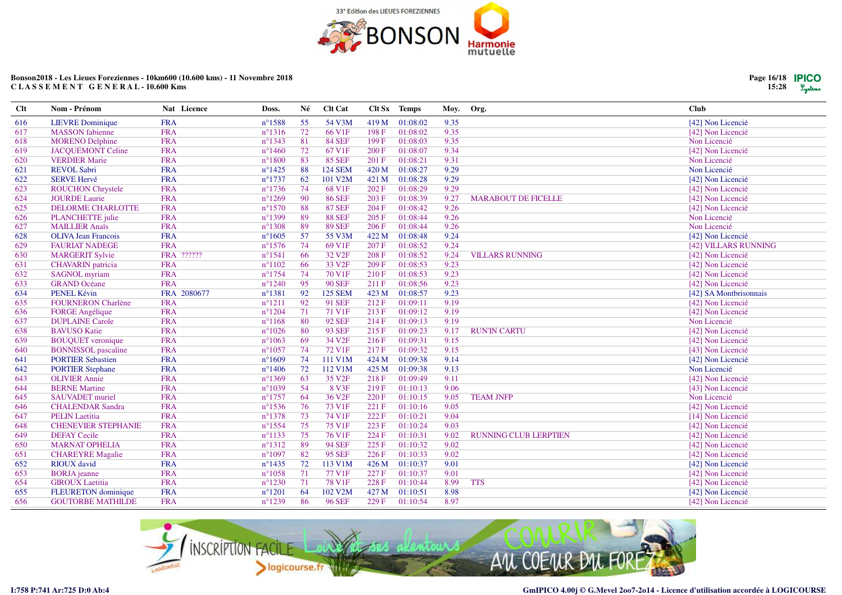![](_page_15_Picture_0.jpeg)

| <b>Clt</b> | Nom - Prénom               | Nat Licence | Doss.            | Né   | Clt Cat            |       | Clt Sx Temps | Moy. | Org.                         | <b>Club</b>            |
|------------|----------------------------|-------------|------------------|------|--------------------|-------|--------------|------|------------------------------|------------------------|
| 616        | <b>LIEVRE</b> Dominique    | <b>FRA</b>  | $n^{\circ}$ 1588 | 55   | 54 V3M             | 419 M | 01:08:02     | 9.35 |                              | [42] Non Licencié      |
| 617        | <b>MASSON</b> fabienne     | <b>FRA</b>  | $n^{\circ}1316$  | 72   | 66 V1F             | 198F  | 01:08:02     | 9.35 |                              | [42] Non Licencié      |
| 618        | <b>MORENO Delphine</b>     | <b>FRA</b>  | $n^{\circ}$ 1343 | 81   | <b>84 SEF</b>      | 199 F | 01:08:03     | 9.35 |                              | Non Licencié           |
| 619        | <b>JACOUEMONT Celine</b>   | <b>FRA</b>  | $n^{\circ}$ 1460 | 72   | 67 V1F             | 200F  | 01:08:07     | 9.34 |                              | [42] Non Licencié      |
| 620        | <b>VERDIER Marie</b>       | <b>FRA</b>  | $n^{\circ}1800$  | 83   | <b>85 SEF</b>      | 201 F | 01:08:21     | 9.31 |                              | Non Licencié           |
| 621        | <b>REVOL Sabri</b>         | <b>FRA</b>  | $n^{\circ}$ 1425 | 88   | <b>124 SEM</b>     | 420 M | 01:08:27     | 9.29 |                              | Non Licencié           |
| 622        | <b>SERVE Hervé</b>         | <b>FRA</b>  | $n^{\circ}$ 1737 | 62   | 101 V2M            | 421 M | 01:08:28     | 9.29 |                              | [42] Non Licencié      |
| 623        | <b>ROUCHON Chrystele</b>   | <b>FRA</b>  | $n^{\circ}1736$  | 74   | 68 V1F             | 202 F | 01:08:29     | 9.29 |                              | [42] Non Licencié      |
| 624        | <b>JOURDE Laurie</b>       | <b>FRA</b>  | $n^{\circ}1269$  | - 90 | <b>86 SEF</b>      | 203 F | 01:08:39     | 9.27 | <b>MARABOUT DE FICELLE</b>   | [42] Non Licencié      |
| 625        | DELORME CHARLOTTE          | <b>FRA</b>  | $n^{\circ}1570$  | 88   | <b>87 SEF</b>      | 204 F | 01:08:42     | 9.26 |                              | [42] Non Licencié      |
| 626        | PLANCHETTE julie           | <b>FRA</b>  | $n^{\circ}$ 1399 | 89   | <b>88 SEF</b>      | 205 F | 01:08:44     | 9.26 |                              | Non Licencié           |
| 627        | <b>MAILLIER Anaïs</b>      | <b>FRA</b>  | $n^{\circ}$ 1308 | 89   | <b>89 SEF</b>      | 206 F | 01:08:44     | 9.26 |                              | Non Licencié           |
| 628        | <b>OLIVA Jean Francois</b> | <b>FRA</b>  | $n^{\circ}1605$  | 57   | 55 V3M             | 422 M | 01:08:48     | 9.24 |                              | [42] Non Licencié      |
| 629        | <b>FAURIAT NADEGE</b>      | <b>FRA</b>  | $n^{\circ}1576$  | 74   | 69 V1F             | 207 F | 01:08:52     | 9.24 |                              | [42] VILLARS RUNNING   |
| 630        | <b>MARGERIT Sylvie</b>     | FRA ??????  | $n^{\circ}1541$  | -66  | 32 V <sub>2F</sub> | 208 F | 01:08:52     | 9.24 | <b>VILLARS RUNNING</b>       | [42] Non Licencié      |
| 631        | <b>CHAVARIN</b> patricia   | <b>FRA</b>  | $n^{\circ}1102$  | 66   | 33 V <sub>2F</sub> | 209 F | 01:08:53     | 9.23 |                              | [42] Non Licencié      |
| 632        | <b>SAGNOL</b> myriam       | <b>FRA</b>  | $n^{\circ}1754$  | 74   | 70 V1F             | 210 F | 01:08:53     | 9.23 |                              | [42] Non Licencié      |
| 633        | <b>GRAND</b> Océane        | <b>FRA</b>  | $n^{\circ}1240$  | 95   | <b>90 SEF</b>      | 211 F | 01:08:56     | 9.23 |                              | [42] Non Licencié      |
| 634        | PENEL Kévin                | FRA 2080677 | $n^{\circ}$ 1381 | 92   | <b>125 SEM</b>     | 423 M | 01:08:57     | 9.23 |                              | [42] SA Montbrisonnais |
| 635        | <b>FOURNERON Charlène</b>  | <b>FRA</b>  | $n^{\circ}1211$  | 92   | <b>91 SEF</b>      | 212F  | 01:09:11     | 9.19 |                              | [42] Non Licencié      |
| 636        | <b>FORGE Angélique</b>     | <b>FRA</b>  | $n^{\circ}1204$  | 71   | 71 V1F             | 213F  | 01:09:12     | 9.19 |                              | [42] Non Licencié      |
| 637        | <b>DUPLAINE Carole</b>     | <b>FRA</b>  | $n^{\circ}1168$  | -80  | <b>92 SEF</b>      | 214F  | 01:09:13     | 9.19 |                              | Non Licencié           |
| 638        | <b>BAVUSO Katie</b>        | <b>FRA</b>  | $n^{\circ}1026$  | -80  | <b>93 SEF</b>      | 215F  | 01:09:23     | 9.17 | <b>RUN'IN CARTU</b>          | [42] Non Licencié      |
| 639        | <b>BOUQUET</b> veronique   | <b>FRA</b>  | $n^{\circ}1063$  | 69   | 34 V <sub>2F</sub> | 216F  | 01:09:31     | 9.15 |                              | [42] Non Licencié      |
| 640        | <b>BONNISSOL</b> pascaline | <b>FRA</b>  | $n^{\circ}1057$  | 74   | 72 V1F             | 217 F | 01:09:32     | 9.15 |                              | [43] Non Licencié      |
| 641        | <b>PORTIER Sebastien</b>   | <b>FRA</b>  | $n^{\circ}1609$  | 74   | 111 V1M            | 424 M | 01:09:38     | 9.14 |                              | [42] Non Licencié      |
| 642        | <b>PORTIER Stephane</b>    | <b>FRA</b>  | $n^{\circ}$ 1406 | 72   | 112 V1M            | 425 M | 01:09:38     | 9.13 |                              | Non Licencié           |
| 643        | <b>OLIVIER Annie</b>       | <b>FRA</b>  | $n^{\circ}$ 1369 | 63   | 35 V <sub>2F</sub> | 218F  | 01:09:49     | 9.11 |                              | [42] Non Licencié      |
| 644        | <b>BERNE Martine</b>       | <b>FRA</b>  | $n^{\circ}1039$  | - 54 | 8 V3F              | 219F  | 01:10:13     | 9.06 |                              | [43] Non Licencié      |
| 645        | <b>SAUVADET</b> muriel     | <b>FRA</b>  | $n^{\circ}$ 1757 | 64   | 36 V <sub>2F</sub> | 220 F | 01:10:15     | 9.05 | <b>TEAM JNFP</b>             | Non Licencié           |
| 646        | <b>CHALENDAR Sandra</b>    | <b>FRA</b>  | $n^{\circ}$ 1536 | 76   | 73 V1F             | 221 F | 01:10:16     | 9.05 |                              | [42] Non Licencié      |
| 647        | <b>PELIN</b> Laetitia      | <b>FRA</b>  | $n^{\circ}$ 1378 | 73   | 74 V1F             | 222 F | 01:10:21     | 9.04 |                              | [14] Non Licencié      |
| 648        | <b>CHENEVIER STEPHANIE</b> | <b>FRA</b>  | $n^{\circ}$ 1554 | 75   | 75 V1F             | 223 F | 01:10:24     | 9.03 |                              | [42] Non Licencié      |
| 649        | <b>DEFAY Cecile</b>        | <b>FRA</b>  | $n^{\circ}1133$  | 75   | 76 V1F             | 224 F | 01:10:31     | 9.02 | <b>RUNNING CLUB LERPTIEN</b> | [42] Non Licencié      |
| 650        | <b>MARNAT OPHELIA</b>      | <b>FRA</b>  | $n^{\circ}1312$  | 89   | <b>94 SEF</b>      | 225 F | 01:10:32     | 9.02 |                              | [42] Non Licencié      |
| 651        | <b>CHAREYRE Magalie</b>    | <b>FRA</b>  | $n^{\circ}1097$  | 82   | <b>95 SEF</b>      | 226 F | 01:10:33     | 9.02 |                              | [42] Non Licencié      |
| 652        | <b>RIOUX</b> david         | <b>FRA</b>  | $n^{\circ}$ 1435 | 72   | 113 V1M            | 426 M | 01:10:37     | 9.01 |                              | [42] Non Licencié      |
| 653        | <b>BORJA</b> jeanne        | <b>FRA</b>  | $n^{\circ}1058$  | 71   | 77 V1F             | 227 F | 01:10:37     | 9.01 |                              | [42] Non Licencié      |
| 654        | <b>GIROUX</b> Laetitia     | <b>FRA</b>  | $n^{\circ}$ 1230 | 71   | 78 V1F             | 228 F | 01:10:44     | 8.99 | <b>TTS</b>                   | [42] Non Licencié      |
| 655        | <b>FLEURETON</b> dominique | <b>FRA</b>  | $n^{\circ}1201$  | 64   | 102 V2M            | 427 M | 01:10:51     | 8.98 |                              | [42] Non Licencié      |
| 656        | <b>GOUTORBE MATHILDE</b>   | <b>FRA</b>  | $n^{\circ}1239$  | 86   | <b>96 SEF</b>      | 229F  | 01:10:54     | 8.97 |                              | [42] Non Licencié      |

![](_page_15_Picture_3.jpeg)

![](_page_15_Picture_6.jpeg)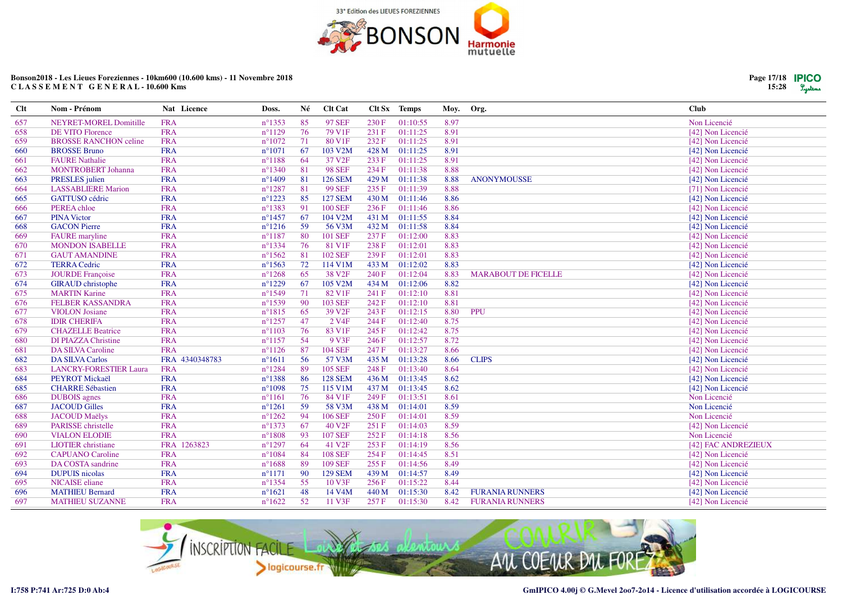![](_page_16_Picture_0.jpeg)

| Clt | Nom - Prénom                  | Nat Licence    | Doss.            | Né  | Clt Cat             |       | Clt Sx Temps | Moy. | Org.                       | <b>Club</b>         |
|-----|-------------------------------|----------------|------------------|-----|---------------------|-------|--------------|------|----------------------------|---------------------|
| 657 | <b>NEYRET-MOREL Domitille</b> | <b>FRA</b>     | $n^{\circ}$ 1353 | 85  | <b>97 SEF</b>       | 230F  | 01:10:55     | 8.97 |                            | Non Licencié        |
| 658 | <b>DE VITO Florence</b>       | <b>FRA</b>     | $n^{\circ}1129$  | 76  | 79 V <sub>1F</sub>  | 231 F | 01:11:25     | 8.91 |                            | [42] Non Licencié   |
| 659 | <b>BROSSE RANCHON celine</b>  | <b>FRA</b>     | $n^{\circ}1072$  | 71  | 80 V1F              | 232 F | 01:11:25     | 8.91 |                            | [42] Non Licencié   |
| 660 | <b>BROSSE Bruno</b>           | <b>FRA</b>     | $n^{\circ}1071$  | 67  | 103 V2M             | 428 M | 01:11:25     | 8.91 |                            | [42] Non Licencié   |
| 661 | <b>FAURE Nathalie</b>         | <b>FRA</b>     | $n^{\circ}1188$  | 64  | 37 V <sub>2F</sub>  | 233 F | 01:11:25     | 8.91 |                            | [42] Non Licencié   |
| 662 | <b>MONTROBERT Johanna</b>     | <b>FRA</b>     | $n^{\circ}$ 1340 | 81  | <b>98 SEF</b>       | 234 F | 01:11:38     | 8.88 |                            | [42] Non Licencié   |
| 663 | PRESLES julien                | <b>FRA</b>     | $n^{\circ}$ 1409 | 81  | <b>126 SEM</b>      | 429 M | 01:11:38     | 8.88 | <b>ANONYMOUSSE</b>         | [42] Non Licencié   |
| 664 | <b>LASSABLIERE Marion</b>     | <b>FRA</b>     | $n^{\circ}1287$  | 81  | <b>99 SEF</b>       | 235 F | 01:11:39     | 8.88 |                            | [71] Non Licencié   |
| 665 | <b>GATTUSO</b> cédric         | <b>FRA</b>     | $n^{\circ}1223$  | 85  | <b>127 SEM</b>      | 430 M | 01:11:46     | 8.86 |                            | [42] Non Licencié   |
| 666 | PEREA chloe                   | <b>FRA</b>     | $n^{\circ}$ 1383 | 91  | <b>100 SEF</b>      | 236F  | 01:11:46     | 8.86 |                            | [42] Non Licencié   |
| 667 | <b>PINA Victor</b>            | <b>FRA</b>     | $n^{\circ}$ 1457 | 67  | 104 V2M             | 431 M | 01:11:55     | 8.84 |                            | [42] Non Licencié   |
| 668 | <b>GACON Pierre</b>           | <b>FRA</b>     | $n^{\circ}1216$  | 59  | 56 V3M              | 432 M | 01:11:58     | 8.84 |                            | [42] Non Licencié   |
| 669 | <b>FAURE</b> maryline         | <b>FRA</b>     | $n^{\circ}1187$  | 80  | <b>101 SEF</b>      | 237 F | 01:12:00     | 8.83 |                            | [42] Non Licencié   |
| 670 | <b>MONDON ISABELLE</b>        | <b>FRA</b>     | $n^{\circ}1334$  | 76  | 81 V1F              | 238 F | 01:12:01     | 8.83 |                            | [42] Non Licencié   |
| 671 | <b>GAUT AMANDINE</b>          | <b>FRA</b>     | $n^{\circ}1562$  | 81  | <b>102 SEF</b>      | 239 F | 01:12:01     | 8.83 |                            | [42] Non Licencié   |
| 672 | <b>TERRA Cedric</b>           | <b>FRA</b>     | $n^{\circ}1563$  | 72  | 114 V1M             | 433 M | 01:12:02     | 8.83 |                            | [42] Non Licencié   |
| 673 | <b>JOURDE</b> Françoise       | <b>FRA</b>     | $n^{\circ}1268$  | 65  | 38 V <sub>2F</sub>  | 240 F | 01:12:04     | 8.83 | <b>MARABOUT DE FICELLE</b> | [42] Non Licencié   |
| 674 | <b>GIRAUD</b> christophe      | <b>FRA</b>     | $n^{\circ}1229$  | 67  | 105 V2M             | 434 M | 01:12:06     | 8.82 |                            | [42] Non Licencié   |
| 675 | <b>MARTIN Karine</b>          | <b>FRA</b>     | $n^{\circ}1549$  | 71  | 82 V1F              | 241 F | 01:12:10     | 8.81 |                            | [42] Non Licencié   |
| 676 | <b>FELBER KASSANDRA</b>       | <b>FRA</b>     | $n^{\circ}$ 1539 | -90 | <b>103 SEF</b>      | 242 F | 01:12:10     | 8.81 |                            | [42] Non Licencié   |
| 677 | <b>VIOLON</b> Josiane         | <b>FRA</b>     | $n^{\circ}1815$  | 65  | 39 V <sub>2F</sub>  | 243 F | 01:12:15     | 8.80 | <b>PPU</b>                 | [42] Non Licencié   |
| 678 | <b>IDIR CHERIFA</b>           | <b>FRA</b>     | $n^{\circ}1257$  | 47  | 2 V <sub>4F</sub>   | 244 F | 01:12:40     | 8.75 |                            | [42] Non Licencié   |
| 679 | <b>CHAZELLE Beatrice</b>      | <b>FRA</b>     | $n^{\circ}1103$  | 76  | 83 V1F              | 245 F | 01:12:42     | 8.75 |                            | [42] Non Licencié   |
| 680 | <b>DI PIAZZA Christine</b>    | <b>FRA</b>     | $n^{\circ}1157$  | 54  | 9 V3F               | 246 F | 01:12:57     | 8.72 |                            | [42] Non Licencié   |
| 681 | <b>DA SILVA Caroline</b>      | <b>FRA</b>     | $n^{\circ}1126$  | 87  | <b>104 SEF</b>      | 247 F | 01:13:27     | 8.66 |                            | [42] Non Licencié   |
| 682 | <b>DA SILVA Carlos</b>        | FRA 4340348783 | $n^{\circ}1611$  | 56  | 57 V3M              | 435 M | 01:13:28     | 8.66 | <b>CLIPS</b>               | [42] Non Licencié   |
| 683 | <b>LANCRY-FORESTIER Laura</b> | <b>FRA</b>     | $n^{\circ}1284$  | 89  | <b>105 SEF</b>      | 248 F | 01:13:40     | 8.64 |                            | [42] Non Licencié   |
| 684 | PEYROT Mickaël                | <b>FRA</b>     | $n^{\circ}$ 1388 | 86  | <b>128 SEM</b>      | 436 M | 01:13:45     | 8.62 |                            | [42] Non Licencié   |
| 685 | <b>CHARRE Sébastien</b>       | <b>FRA</b>     | $n^{\circ}1098$  | 75  | 115 V1M             | 437 M | 01:13:45     | 8.62 |                            | [42] Non Licencié   |
| 686 | <b>DUBOIS</b> agnes           | <b>FRA</b>     | $n^{\circ}1161$  | 76  | 84 V1F              | 249 F | 01:13:51     | 8.61 |                            | Non Licencié        |
| 687 | <b>JACOUD Gilles</b>          | <b>FRA</b>     | $n^{\circ}1261$  | 59  | 58 V3M              | 438 M | 01:14:01     | 8.59 |                            | Non Licencié        |
| 688 | <b>JACOUD Maëlys</b>          | <b>FRA</b>     | $n^{\circ}1262$  | -94 | <b>106 SEF</b>      | 250 F | 01:14:01     | 8.59 |                            | Non Licencié        |
| 689 | PARISSE christelle            | <b>FRA</b>     | $n^{\circ}1373$  | 67  | 40 V <sub>2F</sub>  | 251F  | 01:14:03     | 8.59 |                            | [42] Non Licencié   |
| 690 | <b>VIALON ELODIE</b>          | <b>FRA</b>     | $n^{\circ}1808$  | 93  | <b>107 SEF</b>      | 252 F | 01:14:18     | 8.56 |                            | Non Licencié        |
| 691 | <b>LIOTIER</b> christiane     | FRA 1263823    | $n^{\circ}1297$  | 64  | 41 V <sub>2F</sub>  | 253 F | 01:14:19     | 8.56 |                            | [42] FAC ANDREZIEUX |
| 692 | <b>CAPUANO</b> Caroline       | <b>FRA</b>     | $n^{\circ}1084$  | 84  | <b>108 SEF</b>      | 254 F | 01:14:45     | 8.51 |                            | [42] Non Licencié   |
| 693 | DA COSTA sandrine             | <b>FRA</b>     | $n^{\circ}1688$  | 89  | <b>109 SEF</b>      | 255 F | 01:14:56     | 8.49 |                            | [42] Non Licencié   |
| 694 | <b>DUPUIS</b> nicolas         | <b>FRA</b>     | $n^{\circ}1171$  | -90 | <b>129 SEM</b>      | 439 M | 01:14:57     | 8.49 |                            | [42] Non Licencié   |
| 695 | NICAISE eliane                | <b>FRA</b>     | $n^{\circ}$ 1354 | 55  | 10 V3F              | 256 F | 01:15:22     | 8.44 |                            | [42] Non Licencié   |
| 696 | <b>MATHIEU Bernard</b>        | <b>FRA</b>     | $n^{\circ}1621$  | 48  | 14 V <sub>4</sub> M | 440 M | 01:15:30     | 8.42 | <b>FURANIA RUNNERS</b>     | [42] Non Licencié   |
| 697 | <b>MATHIEU SUZANNE</b>        | <b>FRA</b>     | $n^{\circ}1622$  | 52  | 11 V3F              | 257 F | 01:15:30     | 8.42 | <b>FURANIA RUNNERS</b>     | [42] Non Licencié   |

![](_page_16_Picture_3.jpeg)

![](_page_16_Picture_6.jpeg)